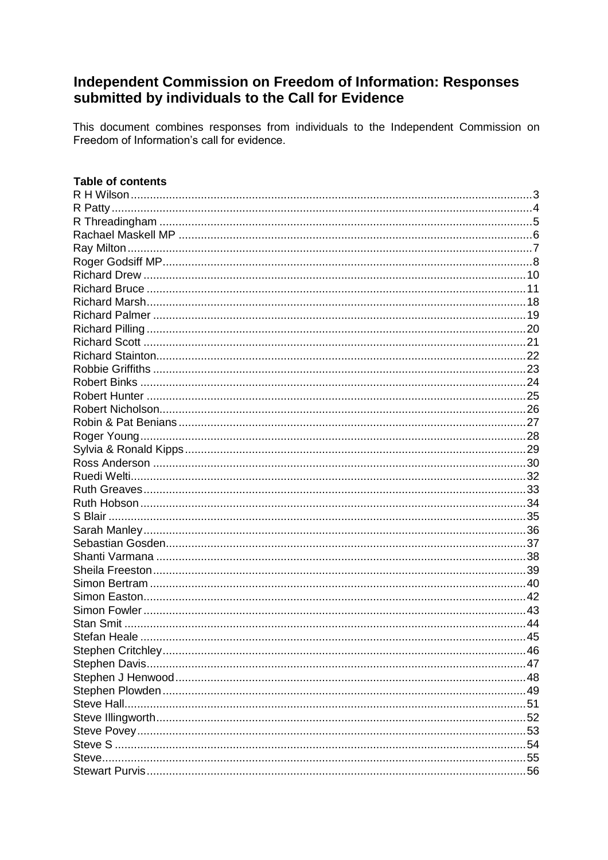# Independent Commission on Freedom of Information: Responses submitted by individuals to the Call for Evidence

This document combines responses from individuals to the Independent Commission on Freedom of Information's call for evidence.

| <b>Table of contents</b> |  |
|--------------------------|--|
|                          |  |
|                          |  |
|                          |  |
|                          |  |
|                          |  |
|                          |  |
|                          |  |
|                          |  |
|                          |  |
|                          |  |
|                          |  |
|                          |  |
|                          |  |
|                          |  |
|                          |  |
|                          |  |
|                          |  |
|                          |  |
|                          |  |
|                          |  |
|                          |  |
|                          |  |
|                          |  |
|                          |  |
|                          |  |
|                          |  |
|                          |  |
|                          |  |
|                          |  |
|                          |  |
|                          |  |
|                          |  |
|                          |  |
|                          |  |
|                          |  |
|                          |  |
|                          |  |
|                          |  |
|                          |  |
|                          |  |
|                          |  |
|                          |  |
|                          |  |
|                          |  |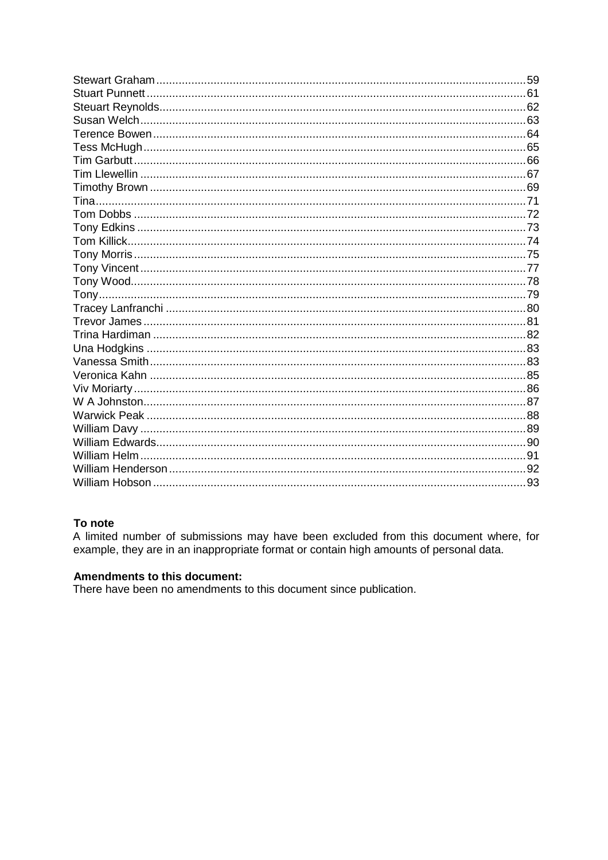# To note

A limited number of submissions may have been excluded from this document where, for example, they are in an inappropriate format or contain high amounts of personal data.

# **Amendments to this document:**

There have been no amendments to this document since publication.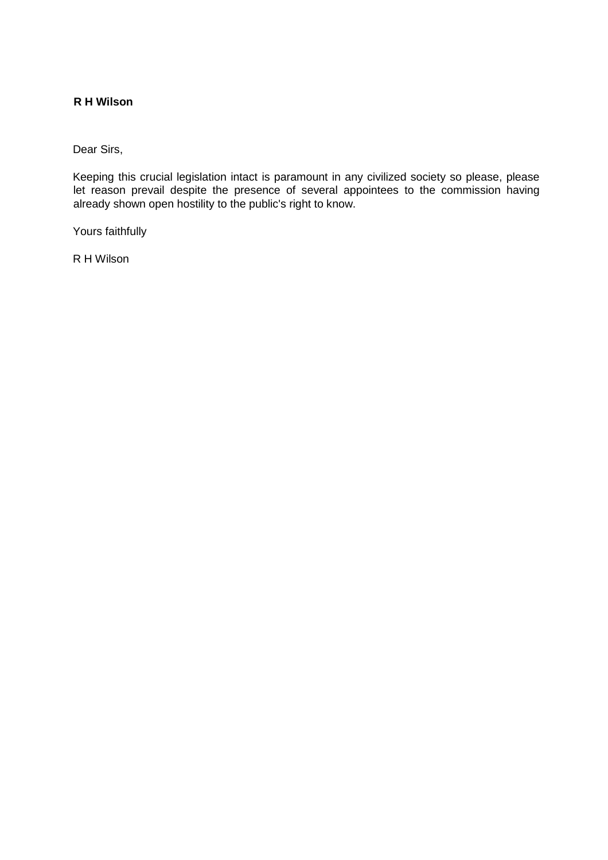# <span id="page-2-0"></span>**R H Wilson**

Dear Sirs,

Keeping this crucial legislation intact is paramount in any civilized society so please, please let reason prevail despite the presence of several appointees to the commission having already shown open hostility to the public's right to know.

Yours faithfully

R H Wilson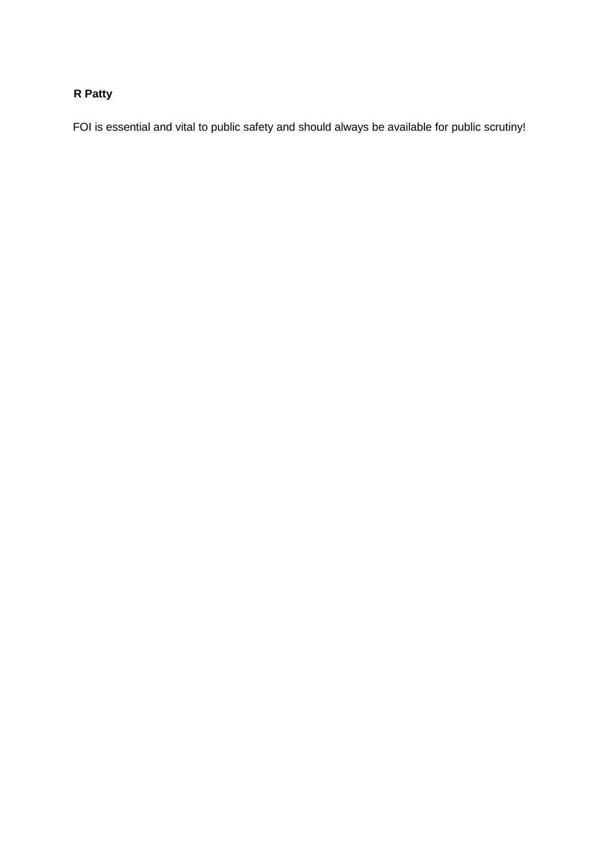# <span id="page-3-0"></span>**R Patty**

FOI is essential and vital to public safety and should always be available for public scrutiny!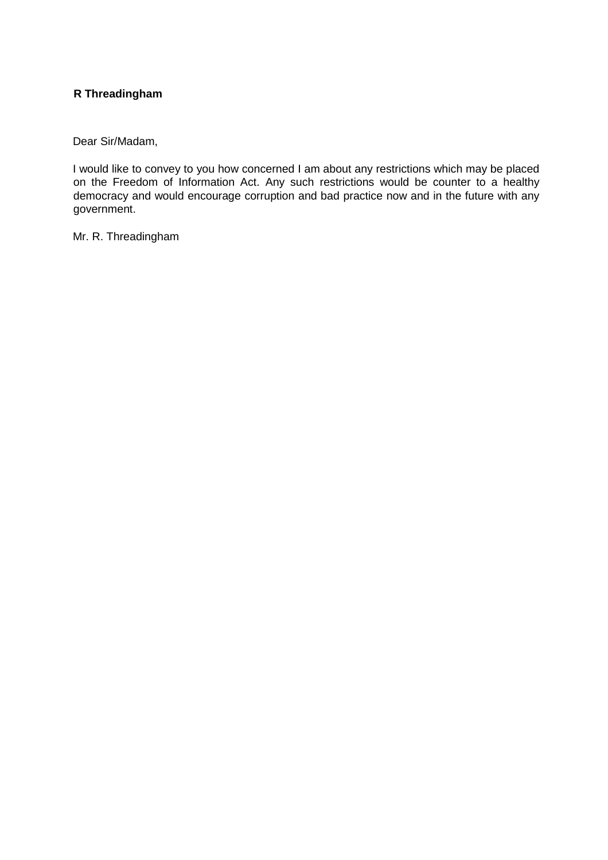# <span id="page-4-0"></span>**R Threadingham**

Dear Sir/Madam,

I would like to convey to you how concerned I am about any restrictions which may be placed on the Freedom of Information Act. Any such restrictions would be counter to a healthy democracy and would encourage corruption and bad practice now and in the future with any government.

Mr. R. Threadingham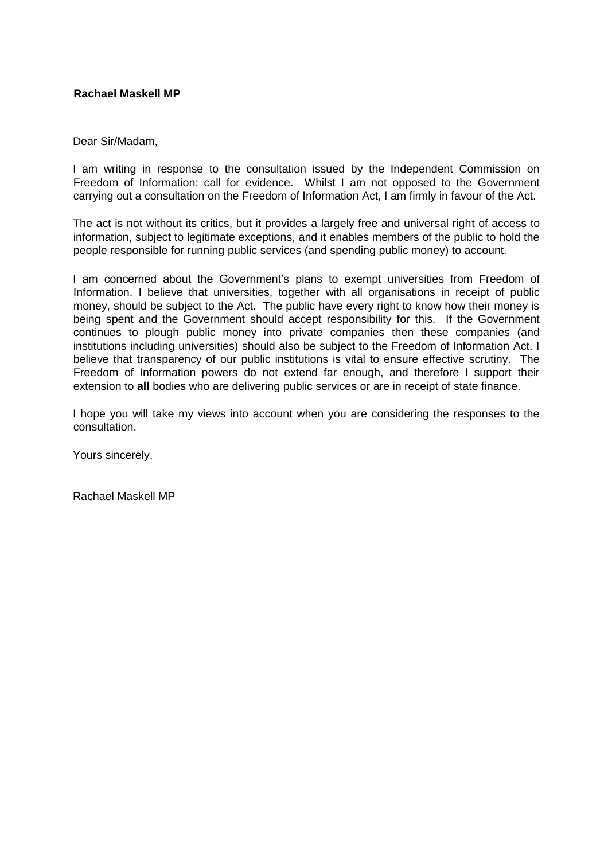## <span id="page-5-0"></span>**Rachael Maskell MP**

#### Dear Sir/Madam,

I am writing in response to the consultation issued by the Independent Commission on Freedom of Information: call for evidence. Whilst I am not opposed to the Government carrying out a consultation on the Freedom of Information Act, I am firmly in favour of the Act.

The act is not without its critics, but it provides a largely free and universal right of access to information, subject to legitimate exceptions, and it enables members of the public to hold the people responsible for running public services (and spending public money) to account.

I am concerned about the Government's plans to exempt universities from Freedom of Information. I believe that universities, together with all organisations in receipt of public money, should be subject to the Act. The public have every right to know how their money is being spent and the Government should accept responsibility for this. If the Government continues to plough public money into private companies then these companies (and institutions including universities) should also be subject to the Freedom of Information Act. I believe that transparency of our public institutions is vital to ensure effective scrutiny. The Freedom of Information powers do not extend far enough, and therefore I support their extension to **all** bodies who are delivering public services or are in receipt of state finance.

I hope you will take my views into account when you are considering the responses to the consultation.

Yours sincerely,

Rachael Maskell MP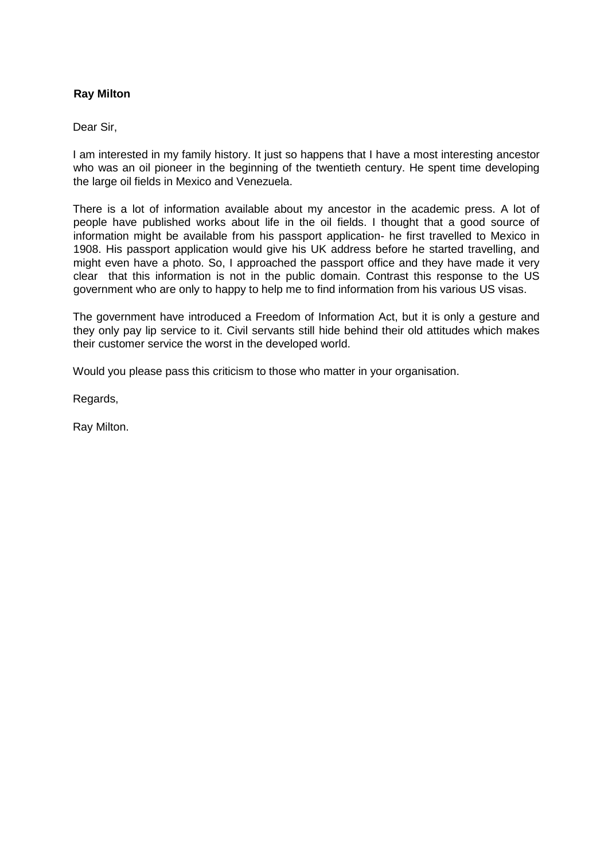# <span id="page-6-0"></span>**Ray Milton**

Dear Sir,

I am interested in my family history. It just so happens that I have a most interesting ancestor who was an oil pioneer in the beginning of the twentieth century. He spent time developing the large oil fields in Mexico and Venezuela.

There is a lot of information available about my ancestor in the academic press. A lot of people have published works about life in the oil fields. I thought that a good source of information might be available from his passport application- he first travelled to Mexico in 1908. His passport application would give his UK address before he started travelling, and might even have a photo. So, I approached the passport office and they have made it very clear that this information is not in the public domain. Contrast this response to the US government who are only to happy to help me to find information from his various US visas.

The government have introduced a Freedom of Information Act, but it is only a gesture and they only pay lip service to it. Civil servants still hide behind their old attitudes which makes their customer service the worst in the developed world.

Would you please pass this criticism to those who matter in your organisation.

Regards,

Ray Milton.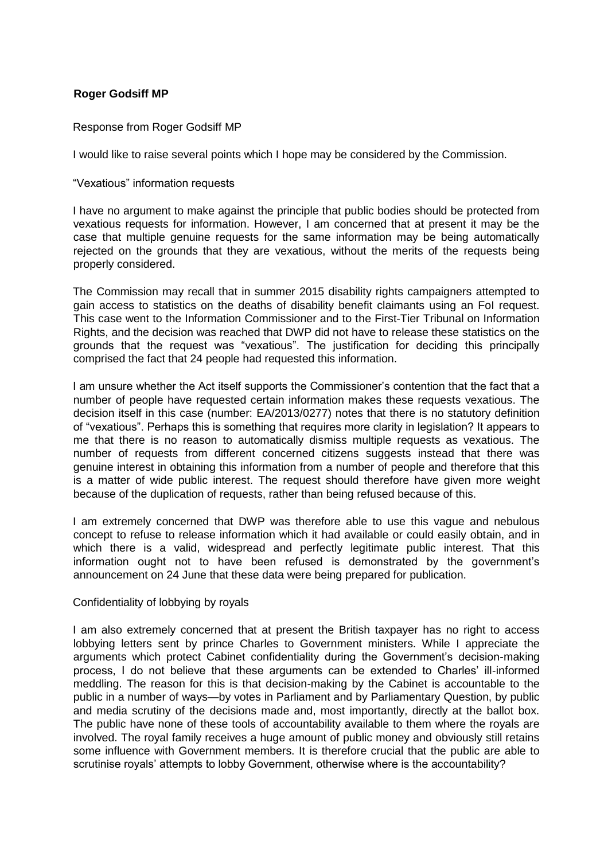## <span id="page-7-0"></span>**Roger Godsiff MP**

Response from Roger Godsiff MP

I would like to raise several points which I hope may be considered by the Commission.

"Vexatious" information requests

I have no argument to make against the principle that public bodies should be protected from vexatious requests for information. However, I am concerned that at present it may be the case that multiple genuine requests for the same information may be being automatically rejected on the grounds that they are vexatious, without the merits of the requests being properly considered.

The Commission may recall that in summer 2015 disability rights campaigners attempted to gain access to statistics on the deaths of disability benefit claimants using an FoI request. This case went to the Information Commissioner and to the First-Tier Tribunal on Information Rights, and the decision was reached that DWP did not have to release these statistics on the grounds that the request was "vexatious". The justification for deciding this principally comprised the fact that 24 people had requested this information.

I am unsure whether the Act itself supports the Commissioner's contention that the fact that a number of people have requested certain information makes these requests vexatious. The decision itself in this case (number: EA/2013/0277) notes that there is no statutory definition of "vexatious". Perhaps this is something that requires more clarity in legislation? It appears to me that there is no reason to automatically dismiss multiple requests as vexatious. The number of requests from different concerned citizens suggests instead that there was genuine interest in obtaining this information from a number of people and therefore that this is a matter of wide public interest. The request should therefore have given more weight because of the duplication of requests, rather than being refused because of this.

I am extremely concerned that DWP was therefore able to use this vague and nebulous concept to refuse to release information which it had available or could easily obtain, and in which there is a valid, widespread and perfectly legitimate public interest. That this information ought not to have been refused is demonstrated by the government's announcement on 24 June that these data were being prepared for publication.

#### Confidentiality of lobbying by royals

I am also extremely concerned that at present the British taxpayer has no right to access lobbying letters sent by prince Charles to Government ministers. While I appreciate the arguments which protect Cabinet confidentiality during the Government's decision-making process, I do not believe that these arguments can be extended to Charles' ill-informed meddling. The reason for this is that decision-making by the Cabinet is accountable to the public in a number of ways—by votes in Parliament and by Parliamentary Question, by public and media scrutiny of the decisions made and, most importantly, directly at the ballot box. The public have none of these tools of accountability available to them where the royals are involved. The royal family receives a huge amount of public money and obviously still retains some influence with Government members. It is therefore crucial that the public are able to scrutinise royals' attempts to lobby Government, otherwise where is the accountability?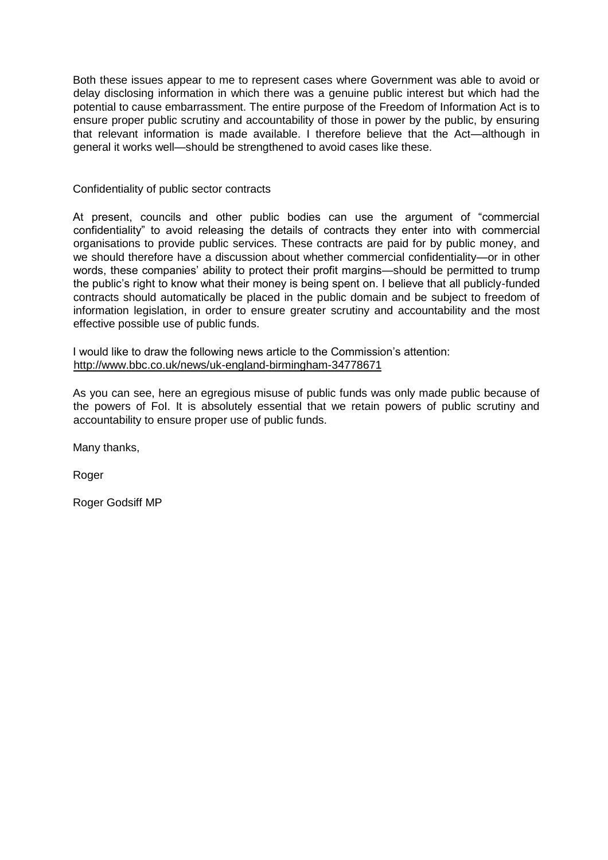Both these issues appear to me to represent cases where Government was able to avoid or delay disclosing information in which there was a genuine public interest but which had the potential to cause embarrassment. The entire purpose of the Freedom of Information Act is to ensure proper public scrutiny and accountability of those in power by the public, by ensuring that relevant information is made available. I therefore believe that the Act—although in general it works well—should be strengthened to avoid cases like these.

#### Confidentiality of public sector contracts

At present, councils and other public bodies can use the argument of "commercial confidentiality" to avoid releasing the details of contracts they enter into with commercial organisations to provide public services. These contracts are paid for by public money, and we should therefore have a discussion about whether commercial confidentiality—or in other words, these companies' ability to protect their profit margins—should be permitted to trump the public's right to know what their money is being spent on. I believe that all publicly-funded contracts should automatically be placed in the public domain and be subject to freedom of information legislation, in order to ensure greater scrutiny and accountability and the most effective possible use of public funds.

I would like to draw the following news article to the Commission's attention: <http://www.bbc.co.uk/news/uk-england-birmingham-34778671>

As you can see, here an egregious misuse of public funds was only made public because of the powers of FoI. It is absolutely essential that we retain powers of public scrutiny and accountability to ensure proper use of public funds.

Many thanks,

Roger

Roger Godsiff MP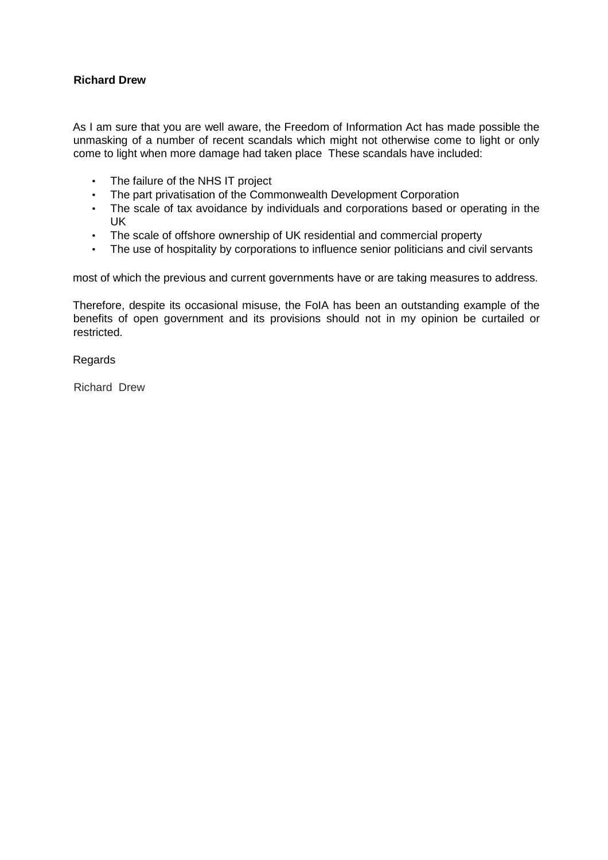## <span id="page-9-0"></span>**Richard Drew**

As I am sure that you are well aware, the Freedom of Information Act has made possible the unmasking of a number of recent scandals which might not otherwise come to light or only come to light when more damage had taken place These scandals have included:

- The failure of the NHS IT project
- The part privatisation of the Commonwealth Development Corporation
- The scale of tax avoidance by individuals and corporations based or operating in the UK
- The scale of offshore ownership of UK residential and commercial property
- The use of hospitality by corporations to influence senior politicians and civil servants

most of which the previous and current governments have or are taking measures to address.

Therefore, despite its occasional misuse, the FoIA has been an outstanding example of the benefits of open government and its provisions should not in my opinion be curtailed or restricted.

#### Regards

Richard Drew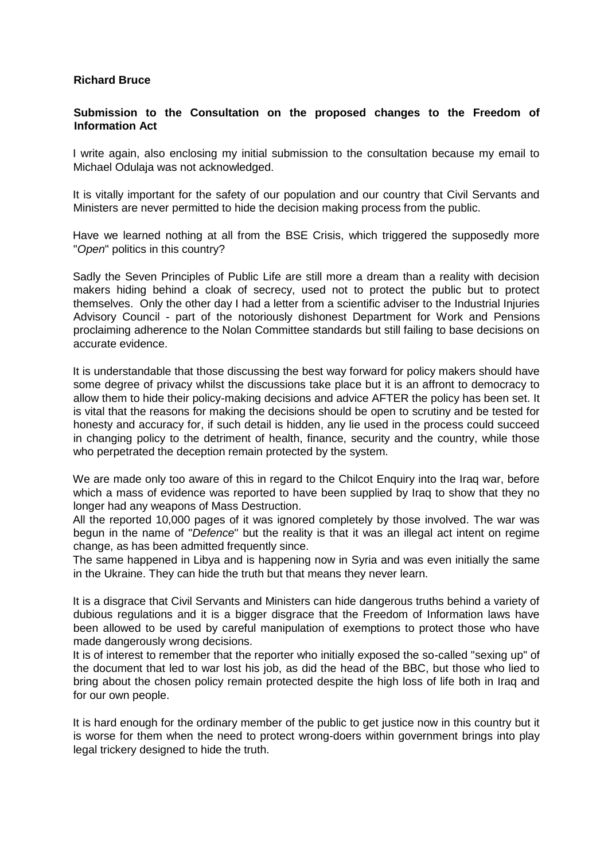#### <span id="page-10-0"></span>**Richard Bruce**

### **Submission to the Consultation on the proposed changes to the Freedom of Information Act**

I write again, also enclosing my initial submission to the consultation because my email to Michael Odulaja was not acknowledged.

It is vitally important for the safety of our population and our country that Civil Servants and Ministers are never permitted to hide the decision making process from the public.

Have we learned nothing at all from the BSE Crisis, which triggered the supposedly more "*Open*" politics in this country?

Sadly the Seven Principles of Public Life are still more a dream than a reality with decision makers hiding behind a cloak of secrecy, used not to protect the public but to protect themselves. Only the other day I had a letter from a scientific adviser to the Industrial Injuries Advisory Council - part of the notoriously dishonest Department for Work and Pensions proclaiming adherence to the Nolan Committee standards but still failing to base decisions on accurate evidence.

It is understandable that those discussing the best way forward for policy makers should have some degree of privacy whilst the discussions take place but it is an affront to democracy to allow them to hide their policy-making decisions and advice AFTER the policy has been set. It is vital that the reasons for making the decisions should be open to scrutiny and be tested for honesty and accuracy for, if such detail is hidden, any lie used in the process could succeed in changing policy to the detriment of health, finance, security and the country, while those who perpetrated the deception remain protected by the system.

We are made only too aware of this in regard to the Chilcot Enquiry into the Iraq war, before which a mass of evidence was reported to have been supplied by Iraq to show that they no longer had any weapons of Mass Destruction.

All the reported 10,000 pages of it was ignored completely by those involved. The war was begun in the name of "*Defence*" but the reality is that it was an illegal act intent on regime change, as has been admitted frequently since.

The same happened in Libya and is happening now in Syria and was even initially the same in the Ukraine. They can hide the truth but that means they never learn.

It is a disgrace that Civil Servants and Ministers can hide dangerous truths behind a variety of dubious regulations and it is a bigger disgrace that the Freedom of Information laws have been allowed to be used by careful manipulation of exemptions to protect those who have made dangerously wrong decisions.

It is of interest to remember that the reporter who initially exposed the so-called "sexing up" of the document that led to war lost his job, as did the head of the BBC, but those who lied to bring about the chosen policy remain protected despite the high loss of life both in Iraq and for our own people.

It is hard enough for the ordinary member of the public to get justice now in this country but it is worse for them when the need to protect wrong-doers within government brings into play legal trickery designed to hide the truth.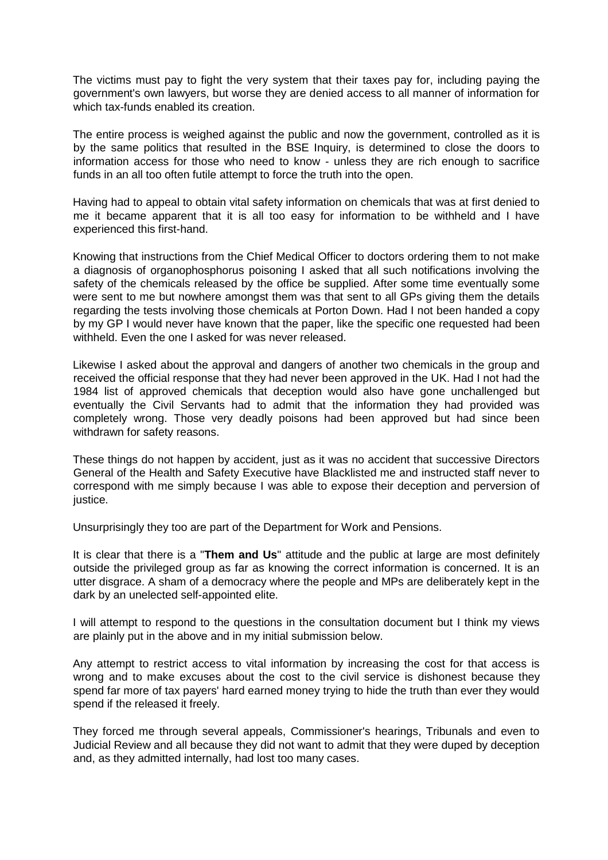The victims must pay to fight the very system that their taxes pay for, including paying the government's own lawyers, but worse they are denied access to all manner of information for which tax-funds enabled its creation.

The entire process is weighed against the public and now the government, controlled as it is by the same politics that resulted in the BSE Inquiry, is determined to close the doors to information access for those who need to know - unless they are rich enough to sacrifice funds in an all too often futile attempt to force the truth into the open.

Having had to appeal to obtain vital safety information on chemicals that was at first denied to me it became apparent that it is all too easy for information to be withheld and I have experienced this first-hand.

Knowing that instructions from the Chief Medical Officer to doctors ordering them to not make a diagnosis of organophosphorus poisoning I asked that all such notifications involving the safety of the chemicals released by the office be supplied. After some time eventually some were sent to me but nowhere amongst them was that sent to all GPs giving them the details regarding the tests involving those chemicals at Porton Down. Had I not been handed a copy by my GP I would never have known that the paper, like the specific one requested had been withheld. Even the one I asked for was never released.

Likewise I asked about the approval and dangers of another two chemicals in the group and received the official response that they had never been approved in the UK. Had I not had the 1984 list of approved chemicals that deception would also have gone unchallenged but eventually the Civil Servants had to admit that the information they had provided was completely wrong. Those very deadly poisons had been approved but had since been withdrawn for safety reasons.

These things do not happen by accident, just as it was no accident that successive Directors General of the Health and Safety Executive have Blacklisted me and instructed staff never to correspond with me simply because I was able to expose their deception and perversion of justice.

Unsurprisingly they too are part of the Department for Work and Pensions.

It is clear that there is a "**Them and Us**" attitude and the public at large are most definitely outside the privileged group as far as knowing the correct information is concerned. It is an utter disgrace. A sham of a democracy where the people and MPs are deliberately kept in the dark by an unelected self-appointed elite.

I will attempt to respond to the questions in the consultation document but I think my views are plainly put in the above and in my initial submission below.

Any attempt to restrict access to vital information by increasing the cost for that access is wrong and to make excuses about the cost to the civil service is dishonest because they spend far more of tax payers' hard earned money trying to hide the truth than ever they would spend if the released it freely.

They forced me through several appeals, Commissioner's hearings, Tribunals and even to Judicial Review and all because they did not want to admit that they were duped by deception and, as they admitted internally, had lost too many cases.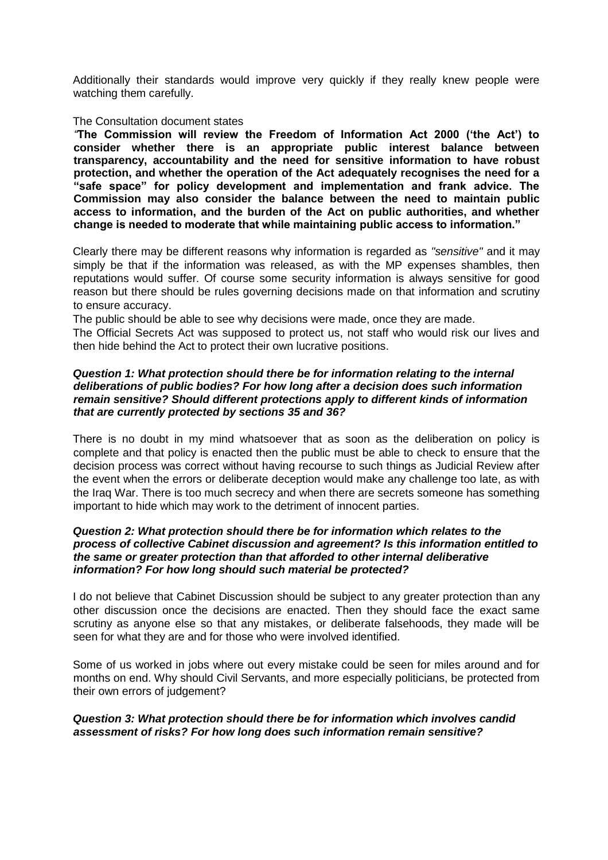Additionally their standards would improve very quickly if they really knew people were watching them carefully.

#### The Consultation document states

*"***The Commission will review the Freedom of Information Act 2000 ('the Act') to consider whether there is an appropriate public interest balance between transparency, accountability and the need for sensitive information to have robust protection, and whether the operation of the Act adequately recognises the need for a "safe space" for policy development and implementation and frank advice. The Commission may also consider the balance between the need to maintain public access to information, and the burden of the Act on public authorities, and whether change is needed to moderate that while maintaining public access to information."**

Clearly there may be different reasons why information is regarded as *"sensitive"* and it may simply be that if the information was released, as with the MP expenses shambles, then reputations would suffer. Of course some security information is always sensitive for good reason but there should be rules governing decisions made on that information and scrutiny to ensure accuracy.

The public should be able to see why decisions were made, once they are made.

The Official Secrets Act was supposed to protect us, not staff who would risk our lives and then hide behind the Act to protect their own lucrative positions.

#### *Question 1: What protection should there be for information relating to the internal deliberations of public bodies? For how long after a decision does such information remain sensitive? Should different protections apply to different kinds of information that are currently protected by sections 35 and 36?*

There is no doubt in my mind whatsoever that as soon as the deliberation on policy is complete and that policy is enacted then the public must be able to check to ensure that the decision process was correct without having recourse to such things as Judicial Review after the event when the errors or deliberate deception would make any challenge too late, as with the Iraq War. There is too much secrecy and when there are secrets someone has something important to hide which may work to the detriment of innocent parties.

#### *Question 2: What protection should there be for information which relates to the process of collective Cabinet discussion and agreement? Is this information entitled to the same or greater protection than that afforded to other internal deliberative information? For how long should such material be protected?*

I do not believe that Cabinet Discussion should be subject to any greater protection than any other discussion once the decisions are enacted. Then they should face the exact same scrutiny as anyone else so that any mistakes, or deliberate falsehoods, they made will be seen for what they are and for those who were involved identified.

Some of us worked in jobs where out every mistake could be seen for miles around and for months on end. Why should Civil Servants, and more especially politicians, be protected from their own errors of judgement?

#### *Question 3: What protection should there be for information which involves candid assessment of risks? For how long does such information remain sensitive?*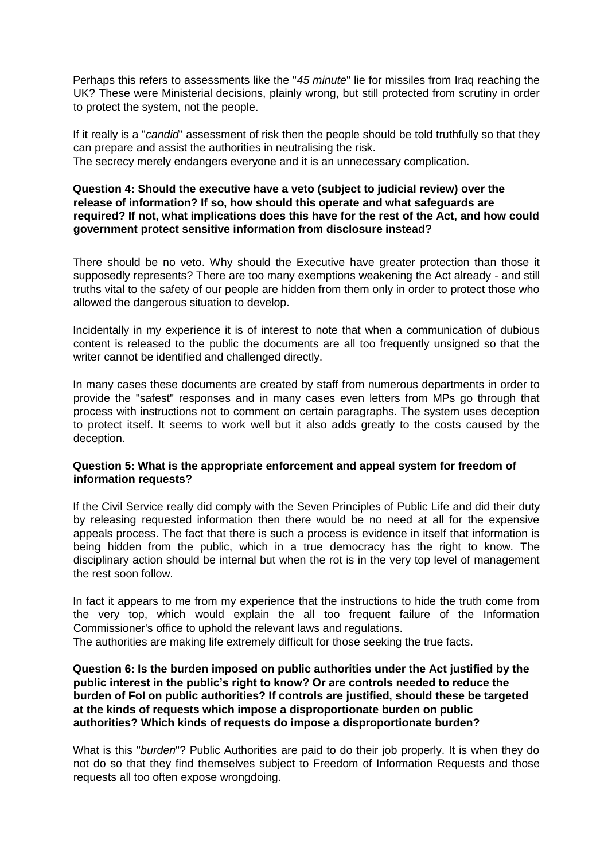Perhaps this refers to assessments like the "*45 minute*" lie for missiles from Iraq reaching the UK? These were Ministerial decisions, plainly wrong, but still protected from scrutiny in order to protect the system, not the people.

If it really is a "*candid*" assessment of risk then the people should be told truthfully so that they can prepare and assist the authorities in neutralising the risk. The secrecy merely endangers everyone and it is an unnecessary complication.

### **Question 4: Should the executive have a veto (subject to judicial review) over the release of information? If so, how should this operate and what safeguards are required? If not, what implications does this have for the rest of the Act, and how could government protect sensitive information from disclosure instead?**

There should be no veto. Why should the Executive have greater protection than those it supposedly represents? There are too many exemptions weakening the Act already - and still truths vital to the safety of our people are hidden from them only in order to protect those who allowed the dangerous situation to develop.

Incidentally in my experience it is of interest to note that when a communication of dubious content is released to the public the documents are all too frequently unsigned so that the writer cannot be identified and challenged directly.

In many cases these documents are created by staff from numerous departments in order to provide the "safest" responses and in many cases even letters from MPs go through that process with instructions not to comment on certain paragraphs. The system uses deception to protect itself. It seems to work well but it also adds greatly to the costs caused by the deception.

## **Question 5: What is the appropriate enforcement and appeal system for freedom of information requests?**

If the Civil Service really did comply with the Seven Principles of Public Life and did their duty by releasing requested information then there would be no need at all for the expensive appeals process. The fact that there is such a process is evidence in itself that information is being hidden from the public, which in a true democracy has the right to know. The disciplinary action should be internal but when the rot is in the very top level of management the rest soon follow.

In fact it appears to me from my experience that the instructions to hide the truth come from the very top, which would explain the all too frequent failure of the Information Commissioner's office to uphold the relevant laws and regulations.

The authorities are making life extremely difficult for those seeking the true facts.

**Question 6: Is the burden imposed on public authorities under the Act justified by the public interest in the public's right to know? Or are controls needed to reduce the burden of FoI on public authorities? If controls are justified, should these be targeted at the kinds of requests which impose a disproportionate burden on public authorities? Which kinds of requests do impose a disproportionate burden?**

What is this "*burden*"? Public Authorities are paid to do their job properly. It is when they do not do so that they find themselves subject to Freedom of Information Requests and those requests all too often expose wrongdoing.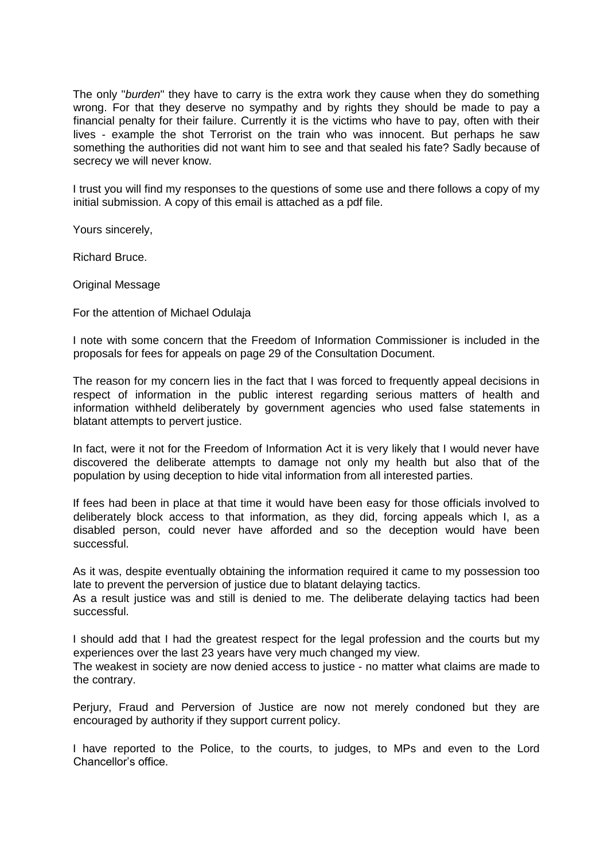The only "*burden*" they have to carry is the extra work they cause when they do something wrong. For that they deserve no sympathy and by rights they should be made to pay a financial penalty for their failure. Currently it is the victims who have to pay, often with their lives - example the shot Terrorist on the train who was innocent. But perhaps he saw something the authorities did not want him to see and that sealed his fate? Sadly because of secrecy we will never know.

I trust you will find my responses to the questions of some use and there follows a copy of my initial submission. A copy of this email is attached as a pdf file.

Yours sincerely,

Richard Bruce.

Original Message

For the attention of Michael Odulaja

I note with some concern that the Freedom of Information Commissioner is included in the proposals for fees for appeals on page 29 of the Consultation Document.

The reason for my concern lies in the fact that I was forced to frequently appeal decisions in respect of information in the public interest regarding serious matters of health and information withheld deliberately by government agencies who used false statements in blatant attempts to pervert justice.

In fact, were it not for the Freedom of Information Act it is very likely that I would never have discovered the deliberate attempts to damage not only my health but also that of the population by using deception to hide vital information from all interested parties.

If fees had been in place at that time it would have been easy for those officials involved to deliberately block access to that information, as they did, forcing appeals which I, as a disabled person, could never have afforded and so the deception would have been successful.

As it was, despite eventually obtaining the information required it came to my possession too late to prevent the perversion of justice due to blatant delaying tactics.

As a result justice was and still is denied to me. The deliberate delaying tactics had been successful.

I should add that I had the greatest respect for the legal profession and the courts but my experiences over the last 23 years have very much changed my view.

The weakest in society are now denied access to justice - no matter what claims are made to the contrary.

Perjury, Fraud and Perversion of Justice are now not merely condoned but they are encouraged by authority if they support current policy.

I have reported to the Police, to the courts, to judges, to MPs and even to the Lord Chancellor's office.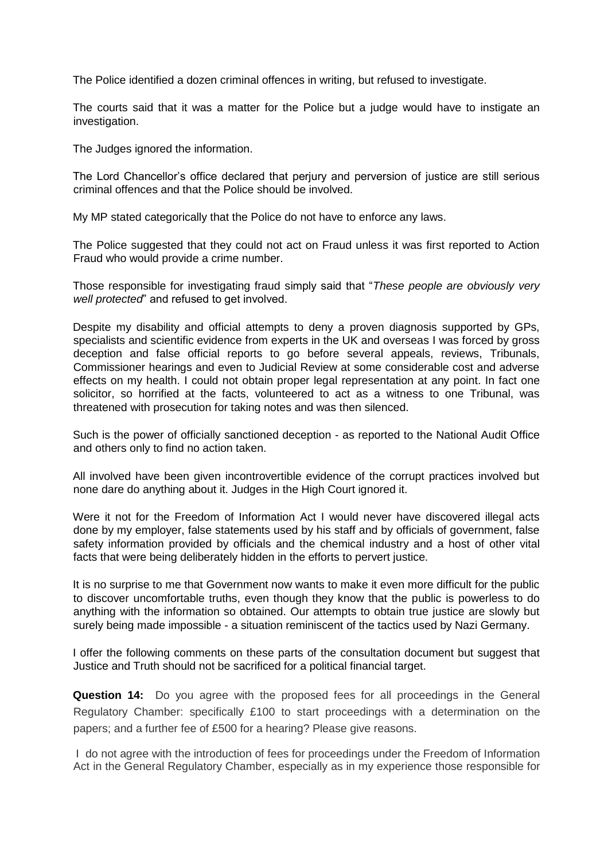The Police identified a dozen criminal offences in writing, but refused to investigate.

The courts said that it was a matter for the Police but a judge would have to instigate an investigation.

The Judges ignored the information.

The Lord Chancellor's office declared that perjury and perversion of justice are still serious criminal offences and that the Police should be involved.

My MP stated categorically that the Police do not have to enforce any laws.

The Police suggested that they could not act on Fraud unless it was first reported to Action Fraud who would provide a crime number.

Those responsible for investigating fraud simply said that "*These people are obviously very well protected*" and refused to get involved.

Despite my disability and official attempts to deny a proven diagnosis supported by GPs, specialists and scientific evidence from experts in the UK and overseas I was forced by gross deception and false official reports to go before several appeals, reviews, Tribunals, Commissioner hearings and even to Judicial Review at some considerable cost and adverse effects on my health. I could not obtain proper legal representation at any point. In fact one solicitor, so horrified at the facts, volunteered to act as a witness to one Tribunal, was threatened with prosecution for taking notes and was then silenced.

Such is the power of officially sanctioned deception - as reported to the National Audit Office and others only to find no action taken.

All involved have been given incontrovertible evidence of the corrupt practices involved but none dare do anything about it. Judges in the High Court ignored it.

Were it not for the Freedom of Information Act I would never have discovered illegal acts done by my employer, false statements used by his staff and by officials of government, false safety information provided by officials and the chemical industry and a host of other vital facts that were being deliberately hidden in the efforts to pervert justice.

It is no surprise to me that Government now wants to make it even more difficult for the public to discover uncomfortable truths, even though they know that the public is powerless to do anything with the information so obtained. Our attempts to obtain true justice are slowly but surely being made impossible - a situation reminiscent of the tactics used by Nazi Germany.

I offer the following comments on these parts of the consultation document but suggest that Justice and Truth should not be sacrificed for a political financial target.

**Question 14:** Do you agree with the proposed fees for all proceedings in the General Regulatory Chamber: specifically £100 to start proceedings with a determination on the papers; and a further fee of £500 for a hearing? Please give reasons.

I do not agree with the introduction of fees for proceedings under the Freedom of Information Act in the General Regulatory Chamber, especially as in my experience those responsible for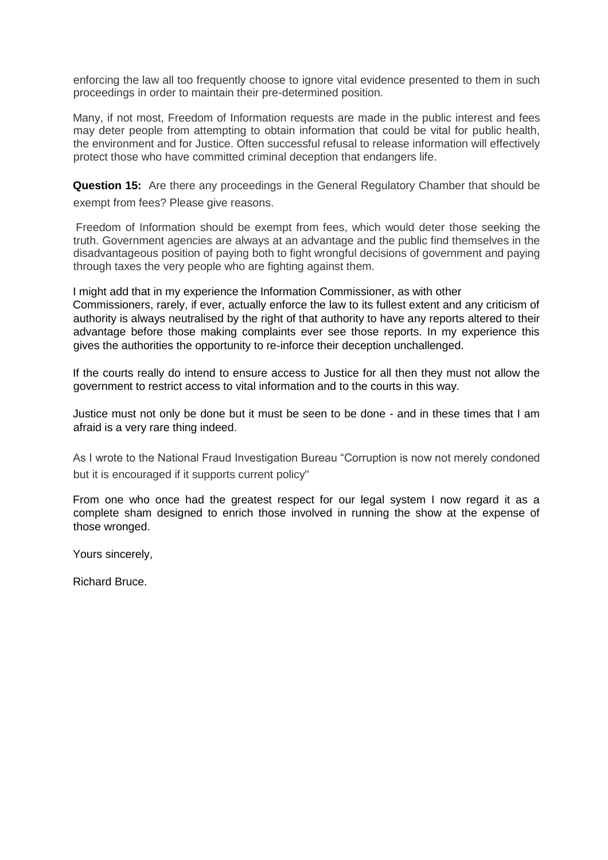enforcing the law all too frequently choose to ignore vital evidence presented to them in such proceedings in order to maintain their pre-determined position.

Many, if not most, Freedom of Information requests are made in the public interest and fees may deter people from attempting to obtain information that could be vital for public health, the environment and for Justice. Often successful refusal to release information will effectively protect those who have committed criminal deception that endangers life.

**Question 15:** Are there any proceedings in the General Regulatory Chamber that should be exempt from fees? Please give reasons.

Freedom of Information should be exempt from fees, which would deter those seeking the truth. Government agencies are always at an advantage and the public find themselves in the disadvantageous position of paying both to fight wrongful decisions of government and paying through taxes the very people who are fighting against them.

I might add that in my experience the Information Commissioner, as with other Commissioners, rarely, if ever, actually enforce the law to its fullest extent and any criticism of authority is always neutralised by the right of that authority to have any reports altered to their advantage before those making complaints ever see those reports. In my experience this gives the authorities the opportunity to re-inforce their deception unchallenged.

If the courts really do intend to ensure access to Justice for all then they must not allow the government to restrict access to vital information and to the courts in this way.

Justice must not only be done but it must be seen to be done - and in these times that I am afraid is a very rare thing indeed.

As I wrote to the National Fraud Investigation Bureau "Corruption is now not merely condoned but it is encouraged if it supports current policy"

From one who once had the greatest respect for our legal system I now regard it as a complete sham designed to enrich those involved in running the show at the expense of those wronged.

Yours sincerely,

Richard Bruce.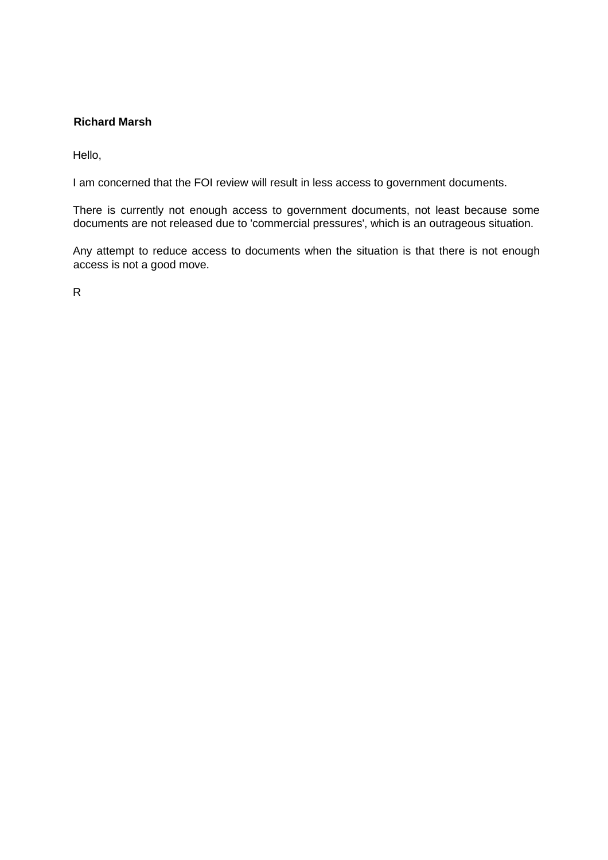# <span id="page-17-0"></span>**Richard Marsh**

Hello,

I am concerned that the FOI review will result in less access to government documents.

There is currently not enough access to government documents, not least because some documents are not released due to 'commercial pressures', which is an outrageous situation.

Any attempt to reduce access to documents when the situation is that there is not enough access is not a good move.

R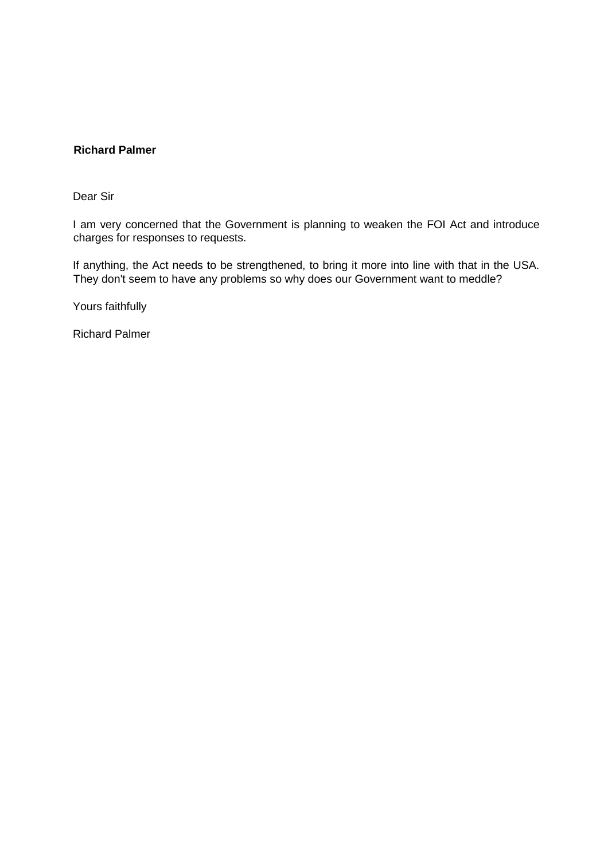## <span id="page-18-0"></span>**Richard Palmer**

Dear Sir

I am very concerned that the Government is planning to weaken the FOI Act and introduce charges for responses to requests.

If anything, the Act needs to be strengthened, to bring it more into line with that in the USA. They don't seem to have any problems so why does our Government want to meddle?

Yours faithfully

Richard Palmer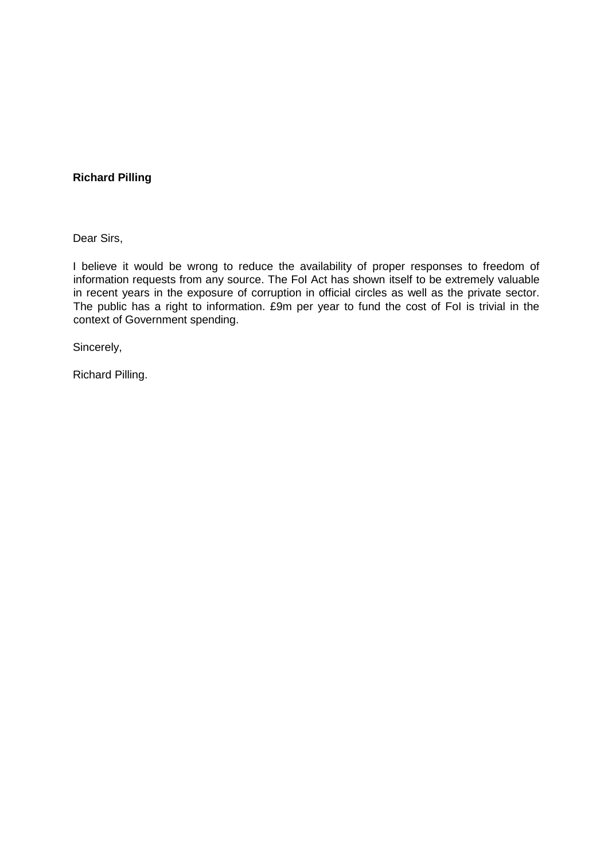## <span id="page-19-0"></span>**Richard Pilling**

Dear Sirs,

I believe it would be wrong to reduce the availability of proper responses to freedom of information requests from any source. The FoI Act has shown itself to be extremely valuable in recent years in the exposure of corruption in official circles as well as the private sector. The public has a right to information. £9m per year to fund the cost of FoI is trivial in the context of Government spending.

Sincerely,

Richard Pilling.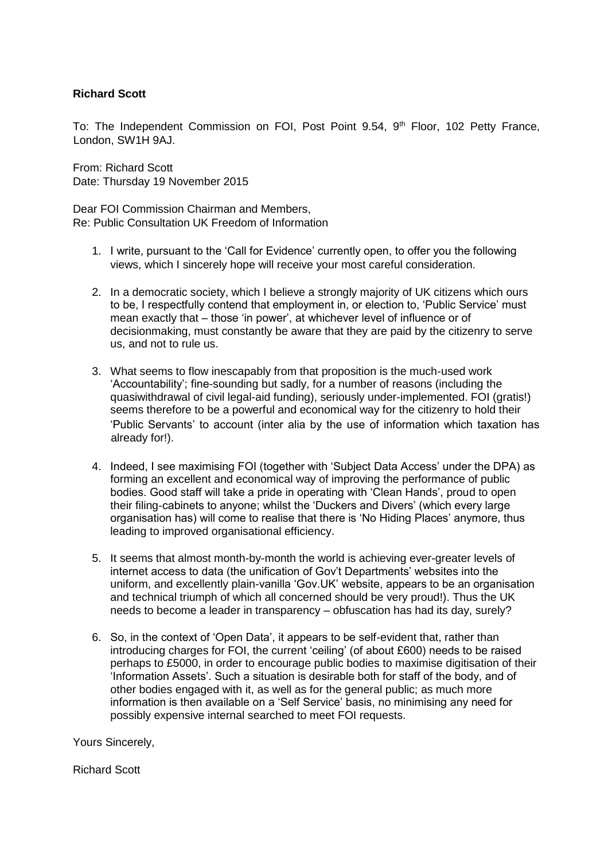# <span id="page-20-0"></span>**Richard Scott**

To: The Independent Commission on FOI, Post Point 9.54, 9<sup>th</sup> Floor, 102 Petty France, London, SW1H 9AJ.

From: Richard Scott Date: Thursday 19 November 2015

Dear FOI Commission Chairman and Members, Re: Public Consultation UK Freedom of Information

- 1. I write, pursuant to the 'Call for Evidence' currently open, to offer you the following views, which I sincerely hope will receive your most careful consideration.
- 2. In a democratic society, which I believe a strongly majority of UK citizens which ours to be, I respectfully contend that employment in, or election to, 'Public Service' must mean exactly that – those 'in power', at whichever level of influence or of decisionmaking, must constantly be aware that they are paid by the citizenry to serve us, and not to rule us.
- 3. What seems to flow inescapably from that proposition is the much-used work 'Accountability'; fine-sounding but sadly, for a number of reasons (including the quasiwithdrawal of civil legal-aid funding), seriously under-implemented. FOI (gratis!) seems therefore to be a powerful and economical way for the citizenry to hold their 'Public Servants' to account (inter alia by the use of information which taxation has already for!).
- 4. Indeed, I see maximising FOI (together with 'Subject Data Access' under the DPA) as forming an excellent and economical way of improving the performance of public bodies. Good staff will take a pride in operating with 'Clean Hands', proud to open their filing-cabinets to anyone; whilst the 'Duckers and Divers' (which every large organisation has) will come to realise that there is 'No Hiding Places' anymore, thus leading to improved organisational efficiency.
- 5. It seems that almost month-by-month the world is achieving ever-greater levels of internet access to data (the unification of Gov't Departments' websites into the uniform, and excellently plain-vanilla 'Gov.UK' website, appears to be an organisation and technical triumph of which all concerned should be very proud!). Thus the UK needs to become a leader in transparency – obfuscation has had its day, surely?
- 6. So, in the context of 'Open Data', it appears to be self-evident that, rather than introducing charges for FOI, the current 'ceiling' (of about £600) needs to be raised perhaps to £5000, in order to encourage public bodies to maximise digitisation of their 'Information Assets'. Such a situation is desirable both for staff of the body, and of other bodies engaged with it, as well as for the general public; as much more information is then available on a 'Self Service' basis, no minimising any need for possibly expensive internal searched to meet FOI requests.

Yours Sincerely,

Richard Scott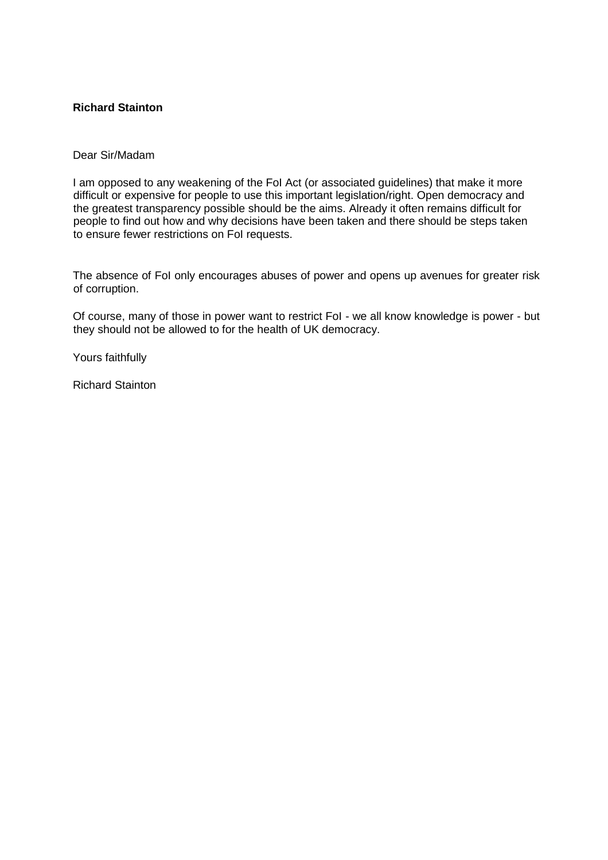# <span id="page-21-0"></span>**Richard Stainton**

#### Dear Sir/Madam

I am opposed to any weakening of the FoI Act (or associated guidelines) that make it more difficult or expensive for people to use this important legislation/right. Open democracy and the greatest transparency possible should be the aims. Already it often remains difficult for people to find out how and why decisions have been taken and there should be steps taken to ensure fewer restrictions on FoI requests.

The absence of FoI only encourages abuses of power and opens up avenues for greater risk of corruption.

Of course, many of those in power want to restrict FoI - we all know knowledge is power - but they should not be allowed to for the health of UK democracy.

Yours faithfully

Richard Stainton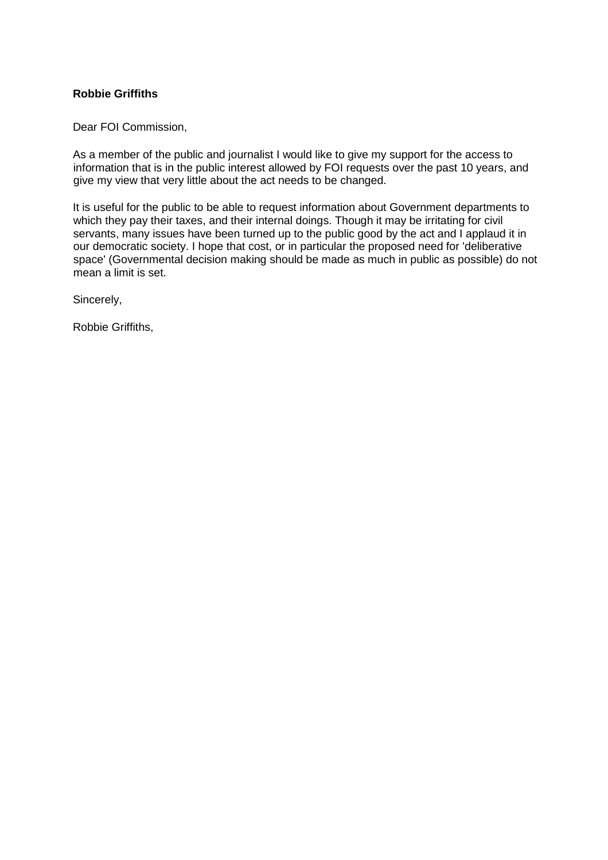# <span id="page-22-0"></span>**Robbie Griffiths**

Dear FOI Commission,

As a member of the public and journalist I would like to give my support for the access to information that is in the public interest allowed by FOI requests over the past 10 years, and give my view that very little about the act needs to be changed.

It is useful for the public to be able to request information about Government departments to which they pay their taxes, and their internal doings. Though it may be irritating for civil servants, many issues have been turned up to the public good by the act and I applaud it in our democratic society. I hope that cost, or in particular the proposed need for 'deliberative space' (Governmental decision making should be made as much in public as possible) do not mean a limit is set.

Sincerely,

Robbie Griffiths,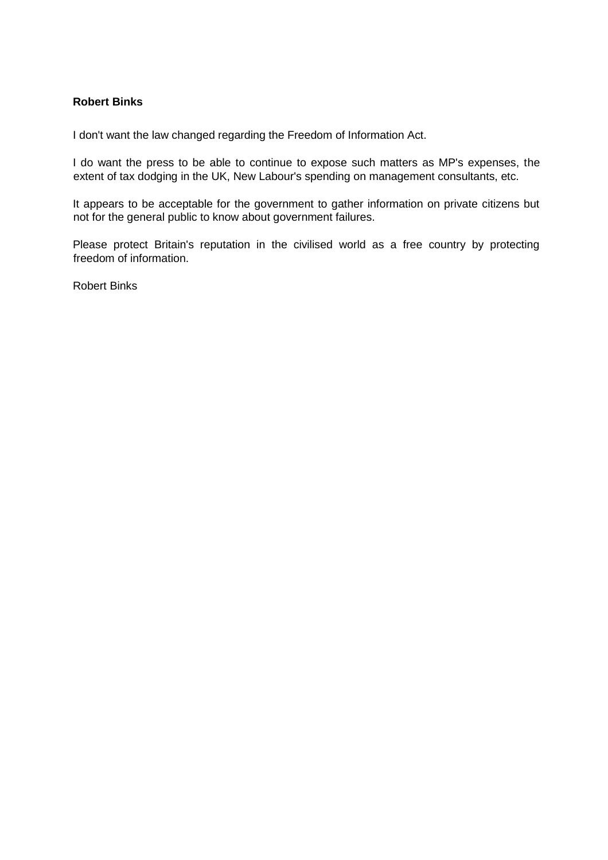## <span id="page-23-0"></span>**Robert Binks**

I don't want the law changed regarding the Freedom of Information Act.

I do want the press to be able to continue to expose such matters as MP's expenses, the extent of tax dodging in the UK, New Labour's spending on management consultants, etc.

It appears to be acceptable for the government to gather information on private citizens but not for the general public to know about government failures.

Please protect Britain's reputation in the civilised world as a free country by protecting freedom of information.

Robert Binks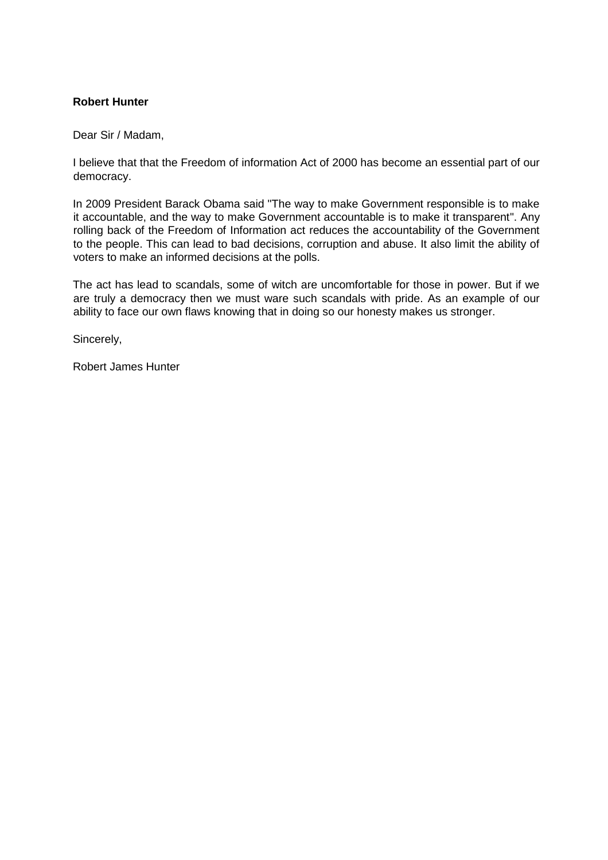## <span id="page-24-0"></span>**Robert Hunter**

Dear Sir / Madam,

I believe that that the Freedom of information Act of 2000 has become an essential part of our democracy.

In 2009 President Barack Obama said "The way to make Government responsible is to make it accountable, and the way to make Government accountable is to make it transparent". Any rolling back of the Freedom of Information act reduces the accountability of the Government to the people. This can lead to bad decisions, corruption and abuse. It also limit the ability of voters to make an informed decisions at the polls.

The act has lead to scandals, some of witch are uncomfortable for those in power. But if we are truly a democracy then we must ware such scandals with pride. As an example of our ability to face our own flaws knowing that in doing so our honesty makes us stronger.

Sincerely,

Robert James Hunter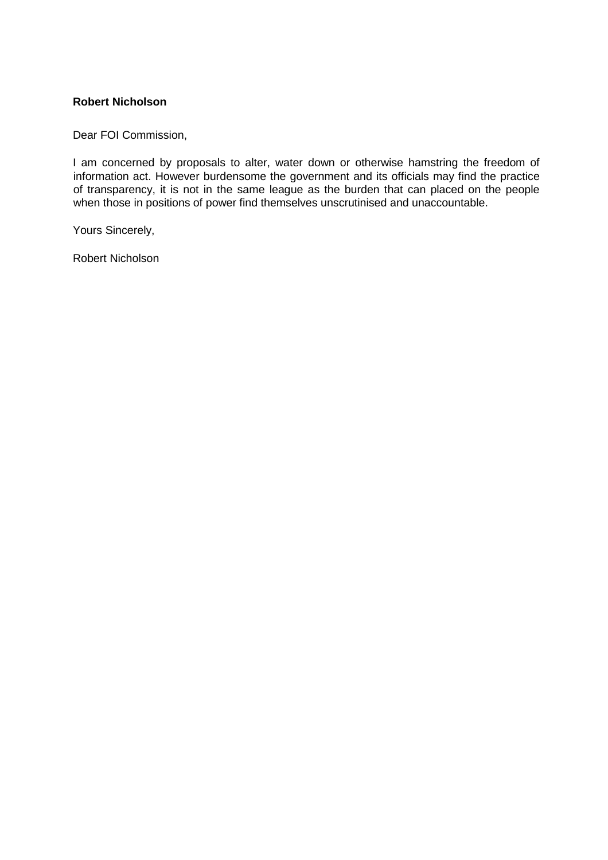### <span id="page-25-0"></span>**Robert Nicholson**

Dear FOI Commission,

I am concerned by proposals to alter, water down or otherwise hamstring the freedom of information act. However burdensome the government and its officials may find the practice of transparency, it is not in the same league as the burden that can placed on the people when those in positions of power find themselves unscrutinised and unaccountable.

Yours Sincerely,

Robert Nicholson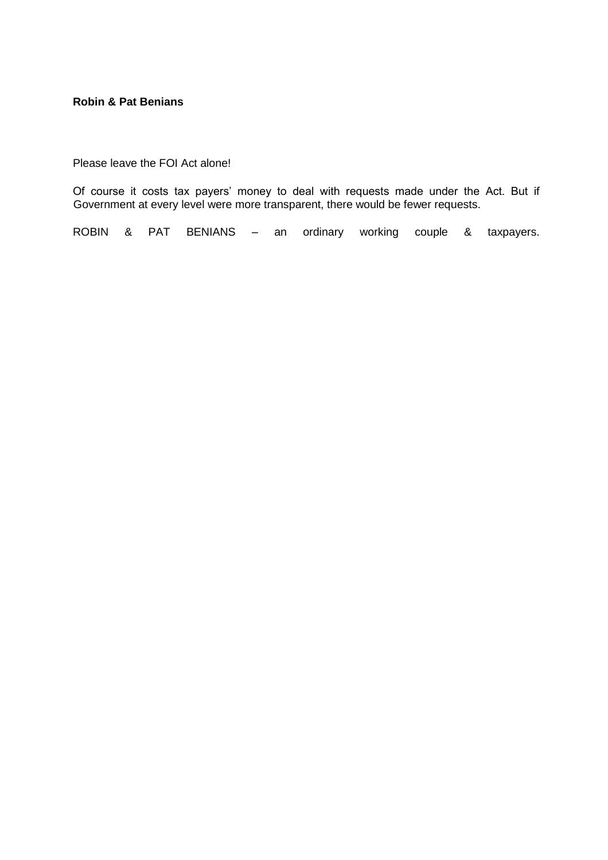#### <span id="page-26-0"></span>**Robin & Pat Benians**

Please leave the FOI Act alone!

Of course it costs tax payers' money to deal with requests made under the Act. But if Government at every level were more transparent, there would be fewer requests.

ROBIN & PAT BENIANS – an ordinary working couple & taxpayers.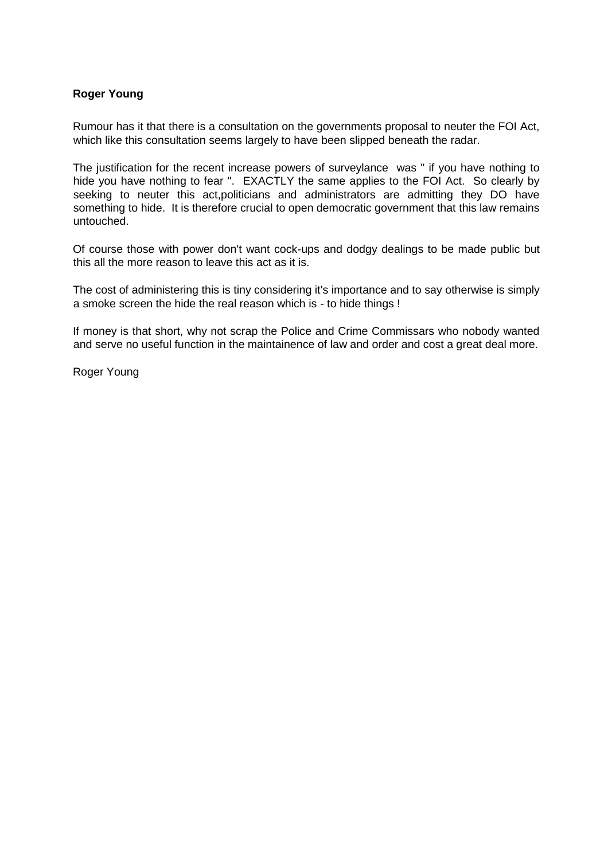# <span id="page-27-0"></span>**Roger Young**

Rumour has it that there is a consultation on the governments proposal to neuter the FOI Act, which like this consultation seems largely to have been slipped beneath the radar.

The justification for the recent increase powers of surveylance was " if you have nothing to hide you have nothing to fear ". EXACTLY the same applies to the FOI Act. So clearly by seeking to neuter this act,politicians and administrators are admitting they DO have something to hide. It is therefore crucial to open democratic government that this law remains untouched.

Of course those with power don't want cock-ups and dodgy dealings to be made public but this all the more reason to leave this act as it is.

The cost of administering this is tiny considering it's importance and to say otherwise is simply a smoke screen the hide the real reason which is - to hide things !

If money is that short, why not scrap the Police and Crime Commissars who nobody wanted and serve no useful function in the maintainence of law and order and cost a great deal more.

Roger Young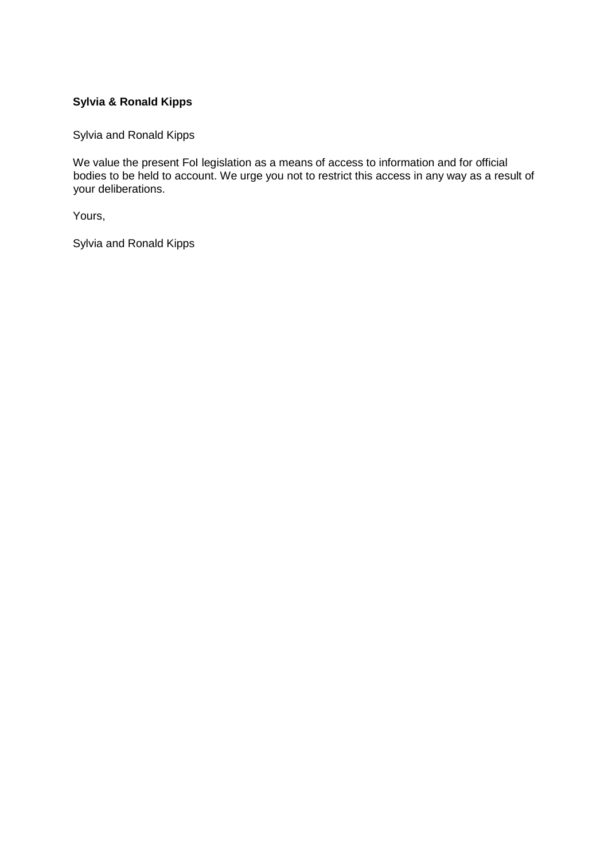# <span id="page-28-0"></span>**Sylvia & Ronald Kipps**

Sylvia and Ronald Kipps

We value the present FoI legislation as a means of access to information and for official bodies to be held to account. We urge you not to restrict this access in any way as a result of your deliberations.

Yours,

Sylvia and Ronald Kipps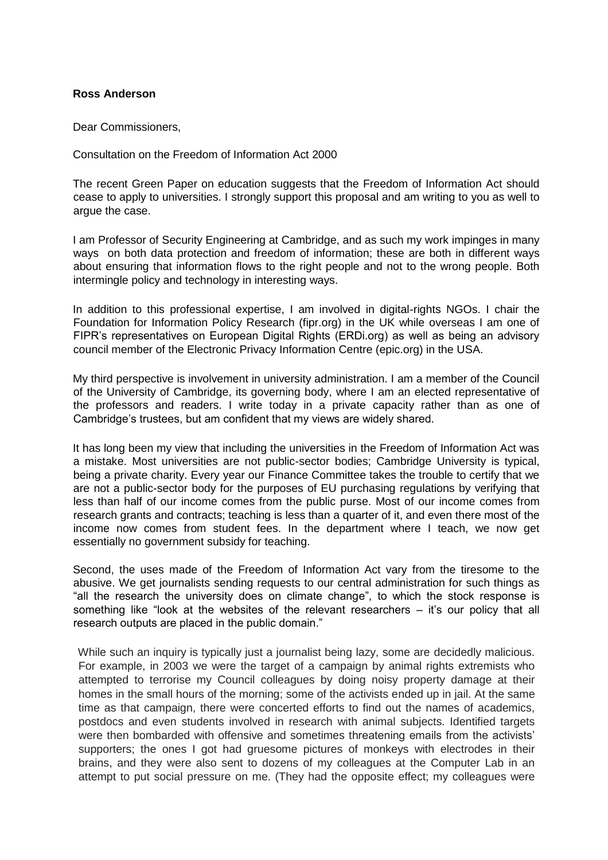#### <span id="page-29-0"></span>**Ross Anderson**

Dear Commissioners,

Consultation on the Freedom of Information Act 2000

The recent Green Paper on education suggests that the Freedom of Information Act should cease to apply to universities. I strongly support this proposal and am writing to you as well to argue the case.

I am Professor of Security Engineering at Cambridge, and as such my work impinges in many ways on both data protection and freedom of information; these are both in different ways about ensuring that information flows to the right people and not to the wrong people. Both intermingle policy and technology in interesting ways.

In addition to this professional expertise, I am involved in digital-rights NGOs. I chair the Foundation for Information Policy Research (fipr.org) in the UK while overseas I am one of FIPR's representatives on European Digital Rights (ERDi.org) as well as being an advisory council member of the Electronic Privacy Information Centre (epic.org) in the USA.

My third perspective is involvement in university administration. I am a member of the Council of the University of Cambridge, its governing body, where I am an elected representative of the professors and readers. I write today in a private capacity rather than as one of Cambridge's trustees, but am confident that my views are widely shared.

It has long been my view that including the universities in the Freedom of Information Act was a mistake. Most universities are not public-sector bodies; Cambridge University is typical, being a private charity. Every year our Finance Committee takes the trouble to certify that we are not a public-sector body for the purposes of EU purchasing regulations by verifying that less than half of our income comes from the public purse. Most of our income comes from research grants and contracts; teaching is less than a quarter of it, and even there most of the income now comes from student fees. In the department where I teach, we now get essentially no government subsidy for teaching.

Second, the uses made of the Freedom of Information Act vary from the tiresome to the abusive. We get journalists sending requests to our central administration for such things as "all the research the university does on climate change", to which the stock response is something like "look at the websites of the relevant researchers – it's our policy that all research outputs are placed in the public domain."

While such an inquiry is typically just a journalist being lazy, some are decidedly malicious. For example, in 2003 we were the target of a campaign by animal rights extremists who attempted to terrorise my Council colleagues by doing noisy property damage at their homes in the small hours of the morning; some of the activists ended up in jail. At the same time as that campaign, there were concerted efforts to find out the names of academics, postdocs and even students involved in research with animal subjects. Identified targets were then bombarded with offensive and sometimes threatening emails from the activists' supporters; the ones I got had gruesome pictures of monkeys with electrodes in their brains, and they were also sent to dozens of my colleagues at the Computer Lab in an attempt to put social pressure on me. (They had the opposite effect; my colleagues were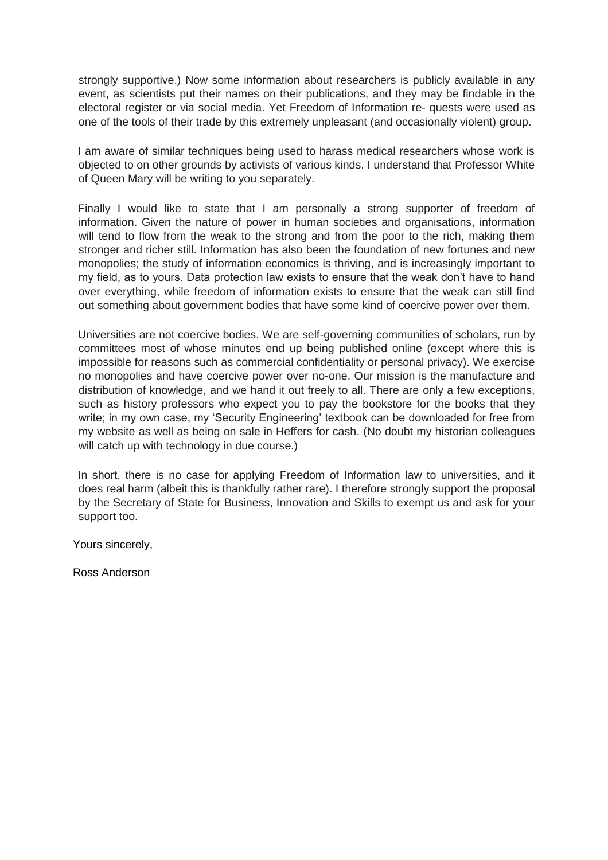strongly supportive.) Now some information about researchers is publicly available in any event, as scientists put their names on their publications, and they may be findable in the electoral register or via social media. Yet Freedom of Information re- quests were used as one of the tools of their trade by this extremely unpleasant (and occasionally violent) group.

I am aware of similar techniques being used to harass medical researchers whose work is objected to on other grounds by activists of various kinds. I understand that Professor White of Queen Mary will be writing to you separately.

Finally I would like to state that I am personally a strong supporter of freedom of information. Given the nature of power in human societies and organisations, information will tend to flow from the weak to the strong and from the poor to the rich, making them stronger and richer still. Information has also been the foundation of new fortunes and new monopolies; the study of information economics is thriving, and is increasingly important to my field, as to yours. Data protection law exists to ensure that the weak don't have to hand over everything, while freedom of information exists to ensure that the weak can still find out something about government bodies that have some kind of coercive power over them.

Universities are not coercive bodies. We are self-governing communities of scholars, run by committees most of whose minutes end up being published online (except where this is impossible for reasons such as commercial confidentiality or personal privacy). We exercise no monopolies and have coercive power over no-one. Our mission is the manufacture and distribution of knowledge, and we hand it out freely to all. There are only a few exceptions, such as history professors who expect you to pay the bookstore for the books that they write; in my own case, my 'Security Engineering' textbook can be downloaded for free from my website as well as being on sale in Heffers for cash. (No doubt my historian colleagues will catch up with technology in due course.)

In short, there is no case for applying Freedom of Information law to universities, and it does real harm (albeit this is thankfully rather rare). I therefore strongly support the proposal by the Secretary of State for Business, Innovation and Skills to exempt us and ask for your support too.

Yours sincerely,

Ross Anderson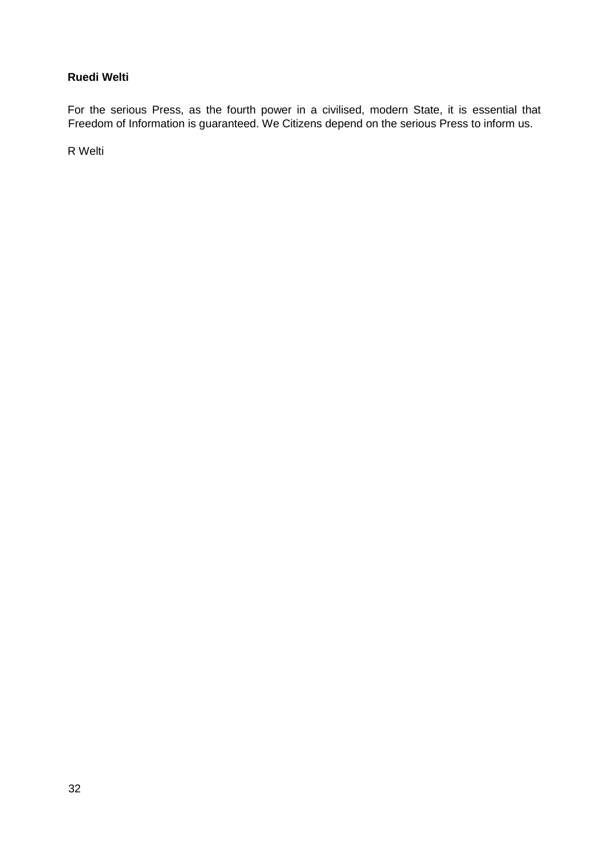# <span id="page-31-0"></span>**Ruedi Welti**

For the serious Press, as the fourth power in a civilised, modern State, it is essential that Freedom of Information is guaranteed. We Citizens depend on the serious Press to inform us.

R Welti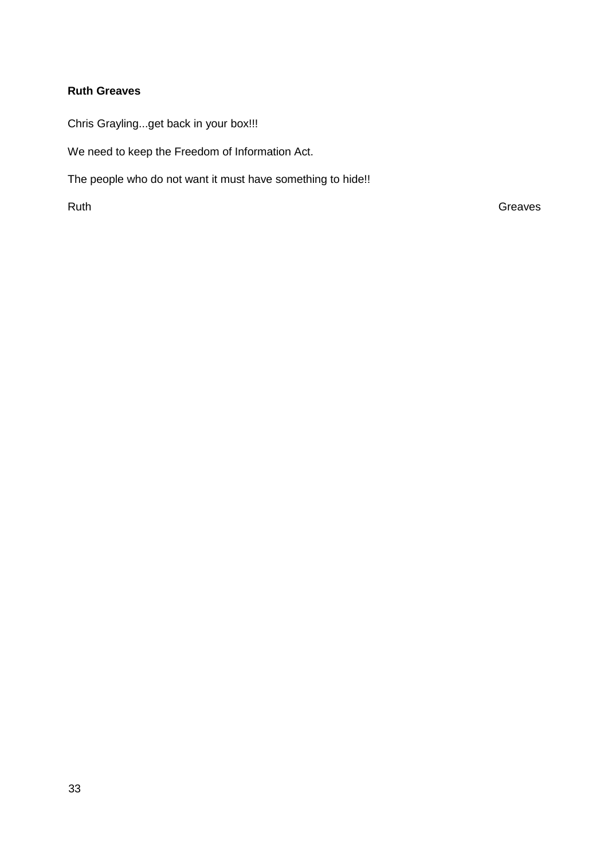# <span id="page-32-0"></span>**Ruth Greaves**

Chris Grayling...get back in your box!!!

We need to keep the Freedom of Information Act.

The people who do not want it must have something to hide!!

Ruth Greaves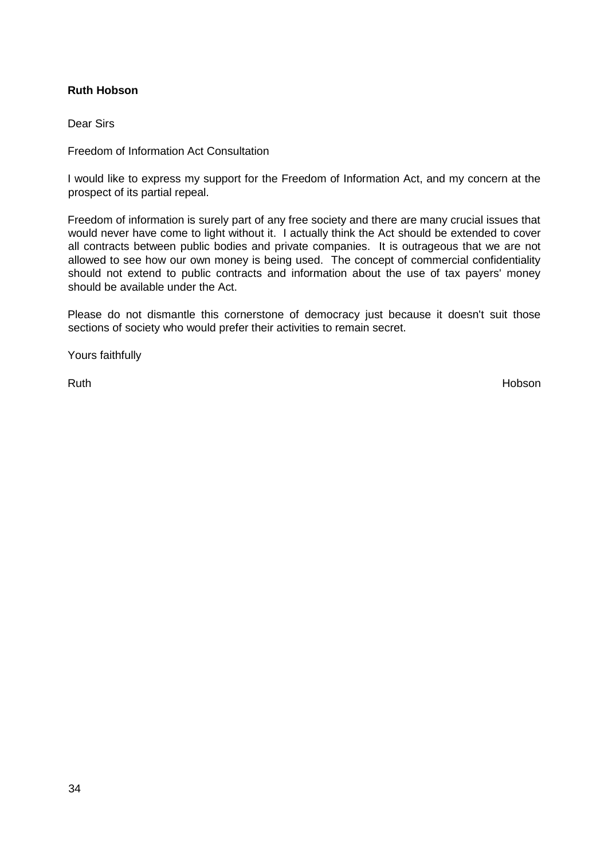# <span id="page-33-0"></span>**Ruth Hobson**

Dear Sirs

Freedom of Information Act Consultation

I would like to express my support for the Freedom of Information Act, and my concern at the prospect of its partial repeal.

Freedom of information is surely part of any free society and there are many crucial issues that would never have come to light without it. I actually think the Act should be extended to cover all contracts between public bodies and private companies. It is outrageous that we are not allowed to see how our own money is being used. The concept of commercial confidentiality should not extend to public contracts and information about the use of tax payers' money should be available under the Act.

Please do not dismantle this cornerstone of democracy just because it doesn't suit those sections of society who would prefer their activities to remain secret.

Yours faithfully

Ruth **Example 2008 Ruth Hobson**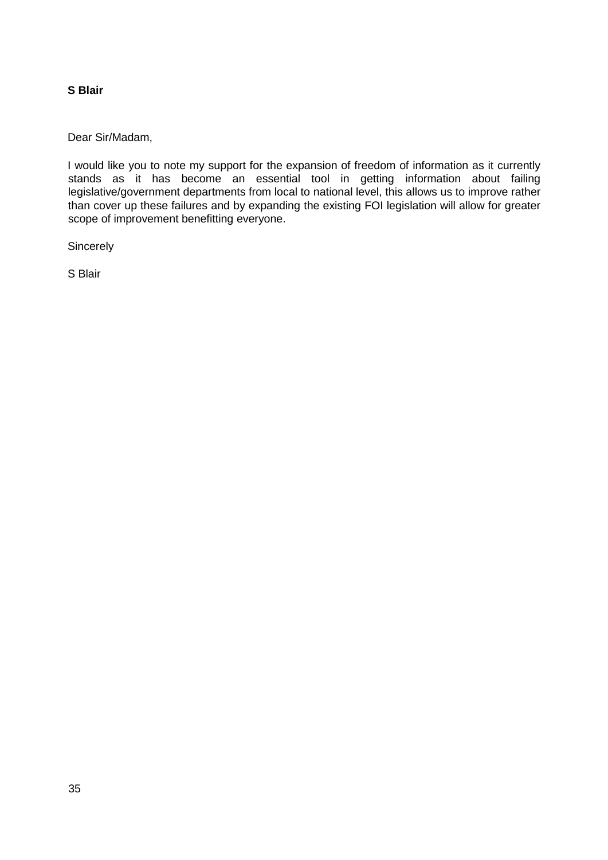## <span id="page-34-0"></span>**S Blair**

Dear Sir/Madam,

I would like you to note my support for the expansion of freedom of information as it currently stands as it has become an essential tool in getting information about failing legislative/government departments from local to national level, this allows us to improve rather than cover up these failures and by expanding the existing FOI legislation will allow for greater scope of improvement benefitting everyone.

**Sincerely** 

S Blair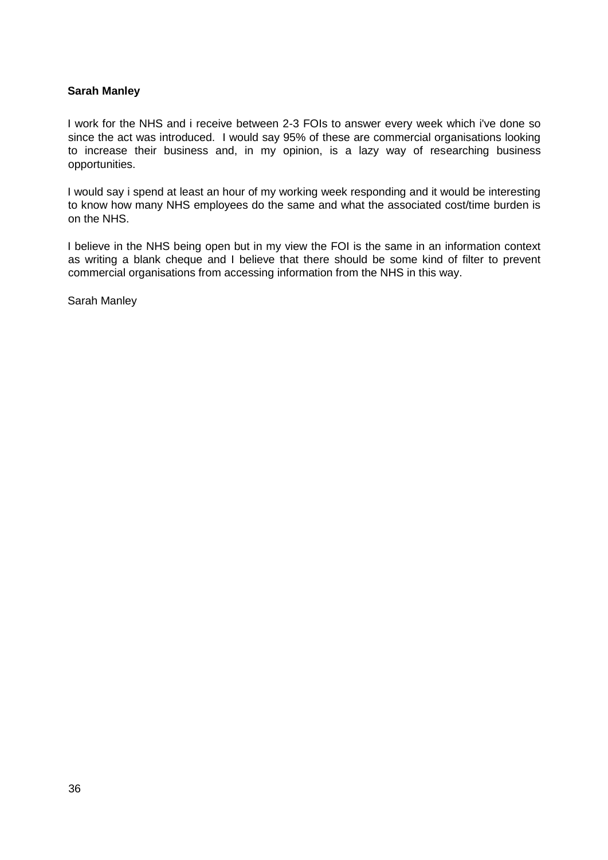## <span id="page-35-0"></span>**Sarah Manley**

I work for the NHS and i receive between 2-3 FOIs to answer every week which i've done so since the act was introduced. I would say 95% of these are commercial organisations looking to increase their business and, in my opinion, is a lazy way of researching business opportunities.

I would say i spend at least an hour of my working week responding and it would be interesting to know how many NHS employees do the same and what the associated cost/time burden is on the NHS.

I believe in the NHS being open but in my view the FOI is the same in an information context as writing a blank cheque and I believe that there should be some kind of filter to prevent commercial organisations from accessing information from the NHS in this way.

Sarah Manley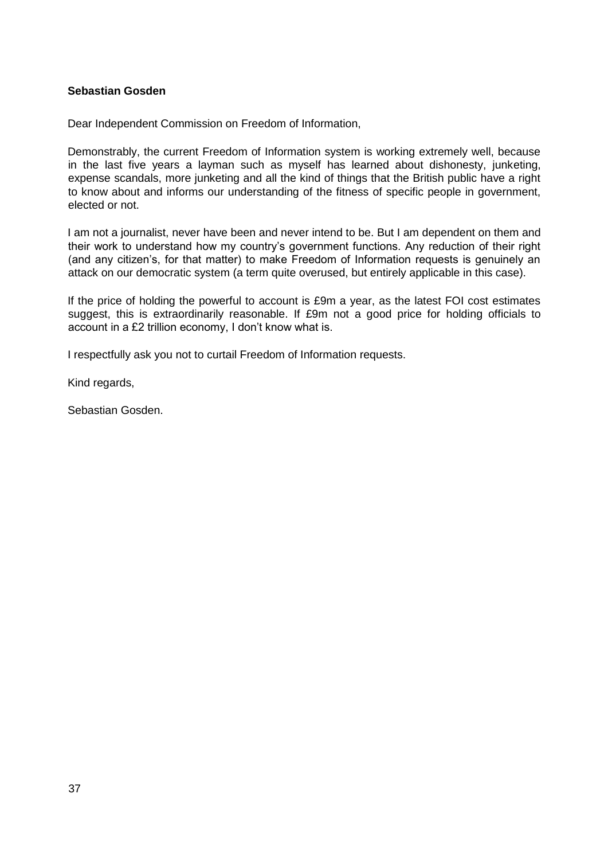### **Sebastian Gosden**

Dear Independent Commission on Freedom of Information,

Demonstrably, the current Freedom of Information system is working extremely well, because in the last five years a layman such as myself has learned about dishonesty, junketing, expense scandals, more junketing and all the kind of things that the British public have a right to know about and informs our understanding of the fitness of specific people in government, elected or not.

I am not a journalist, never have been and never intend to be. But I am dependent on them and their work to understand how my country's government functions. Any reduction of their right (and any citizen's, for that matter) to make Freedom of Information requests is genuinely an attack on our democratic system (a term quite overused, but entirely applicable in this case).

If the price of holding the powerful to account is £9m a year, as the latest FOI cost estimates suggest, this is extraordinarily reasonable. If £9m not a good price for holding officials to account in a £2 trillion economy, I don't know what is.

I respectfully ask you not to curtail Freedom of Information requests.

Kind regards,

Sebastian Gosden.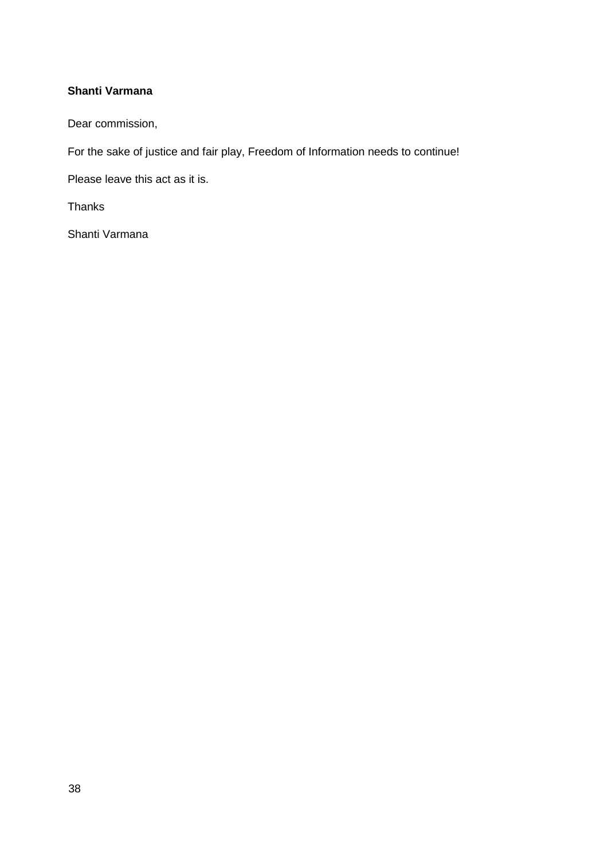# **Shanti Varmana**

Dear commission,

For the sake of justice and fair play, Freedom of Information needs to continue!

Please leave this act as it is.

Thanks

Shanti Varmana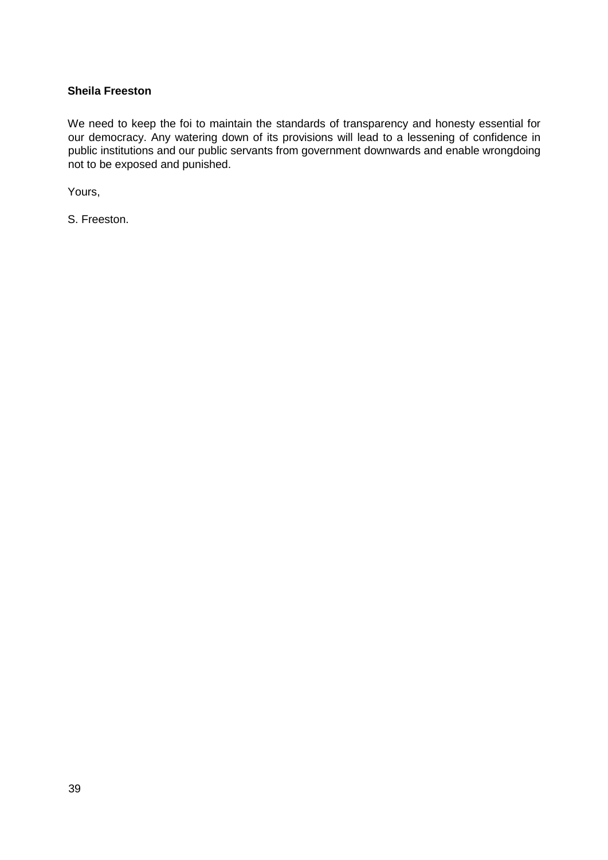### **Sheila Freeston**

We need to keep the foi to maintain the standards of transparency and honesty essential for our democracy. Any watering down of its provisions will lead to a lessening of confidence in public institutions and our public servants from government downwards and enable wrongdoing not to be exposed and punished.

Yours,

S. Freeston.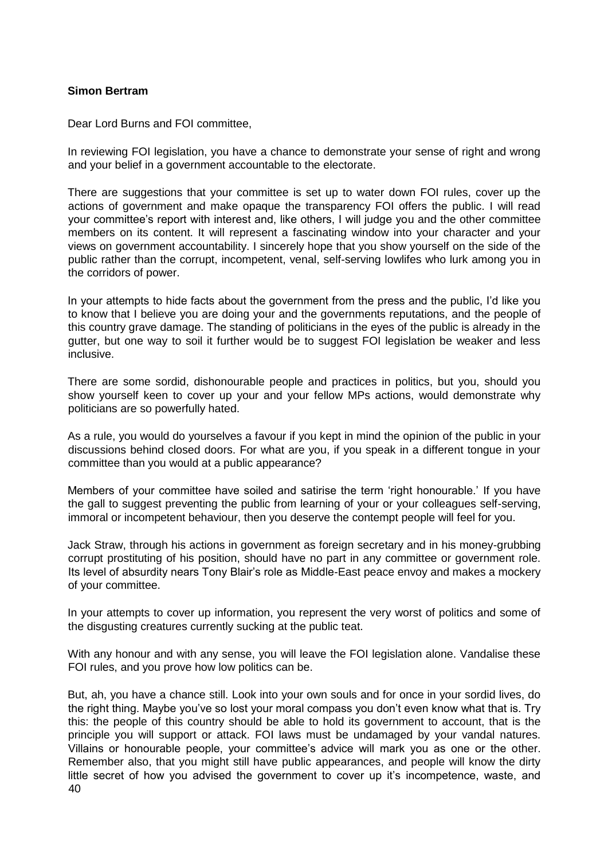### **Simon Bertram**

Dear Lord Burns and FOI committee,

In reviewing FOI legislation, you have a chance to demonstrate your sense of right and wrong and your belief in a government accountable to the electorate.

There are suggestions that your committee is set up to water down FOI rules, cover up the actions of government and make opaque the transparency FOI offers the public. I will read your committee's report with interest and, like others, I will judge you and the other committee members on its content. It will represent a fascinating window into your character and your views on government accountability. I sincerely hope that you show yourself on the side of the public rather than the corrupt, incompetent, venal, self-serving lowlifes who lurk among you in the corridors of power.

In your attempts to hide facts about the government from the press and the public, I'd like you to know that I believe you are doing your and the governments reputations, and the people of this country grave damage. The standing of politicians in the eyes of the public is already in the gutter, but one way to soil it further would be to suggest FOI legislation be weaker and less inclusive.

There are some sordid, dishonourable people and practices in politics, but you, should you show yourself keen to cover up your and your fellow MPs actions, would demonstrate why politicians are so powerfully hated.

As a rule, you would do yourselves a favour if you kept in mind the opinion of the public in your discussions behind closed doors. For what are you, if you speak in a different tongue in your committee than you would at a public appearance?

Members of your committee have soiled and satirise the term 'right honourable.' If you have the gall to suggest preventing the public from learning of your or your colleagues self-serving, immoral or incompetent behaviour, then you deserve the contempt people will feel for you.

Jack Straw, through his actions in government as foreign secretary and in his money-grubbing corrupt prostituting of his position, should have no part in any committee or government role. Its level of absurdity nears Tony Blair's role as Middle-East peace envoy and makes a mockery of your committee.

In your attempts to cover up information, you represent the very worst of politics and some of the disgusting creatures currently sucking at the public teat.

With any honour and with any sense, you will leave the FOI legislation alone. Vandalise these FOI rules, and you prove how low politics can be.

40 But, ah, you have a chance still. Look into your own souls and for once in your sordid lives, do the right thing. Maybe you've so lost your moral compass you don't even know what that is. Try this: the people of this country should be able to hold its government to account, that is the principle you will support or attack. FOI laws must be undamaged by your vandal natures. Villains or honourable people, your committee's advice will mark you as one or the other. Remember also, that you might still have public appearances, and people will know the dirty little secret of how you advised the government to cover up it's incompetence, waste, and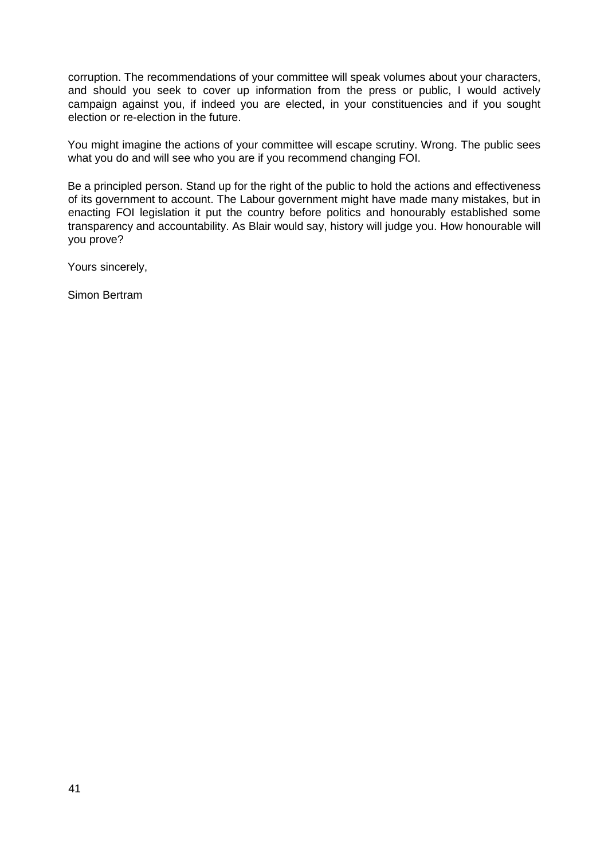corruption. The recommendations of your committee will speak volumes about your characters, and should you seek to cover up information from the press or public, I would actively campaign against you, if indeed you are elected, in your constituencies and if you sought election or re-election in the future.

You might imagine the actions of your committee will escape scrutiny. Wrong. The public sees what you do and will see who you are if you recommend changing FOI.

Be a principled person. Stand up for the right of the public to hold the actions and effectiveness of its government to account. The Labour government might have made many mistakes, but in enacting FOI legislation it put the country before politics and honourably established some transparency and accountability. As Blair would say, history will judge you. How honourable will you prove?

Yours sincerely,

Simon Bertram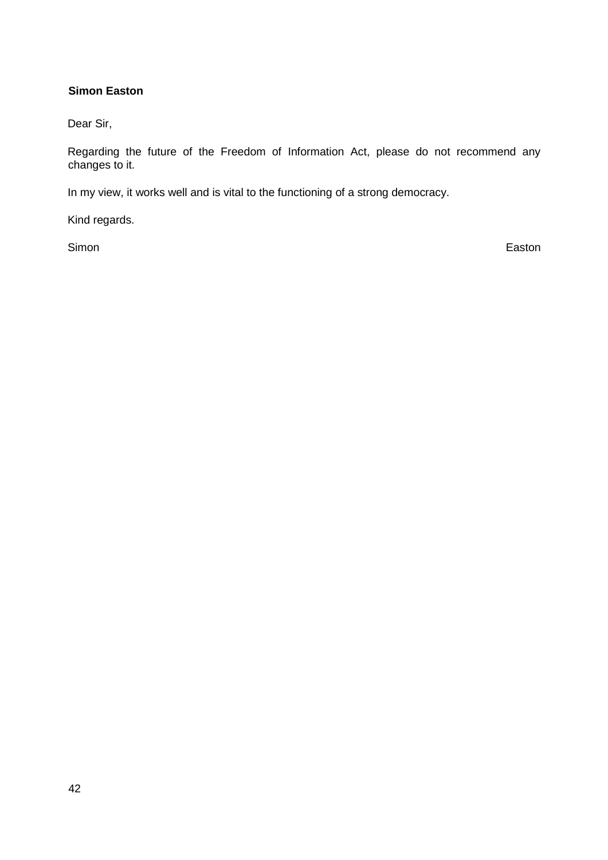# **Simon Easton**

Dear Sir,

Regarding the future of the Freedom of Information Act, please do not recommend any changes to it.

In my view, it works well and is vital to the functioning of a strong democracy.

Kind regards.

Simon Easton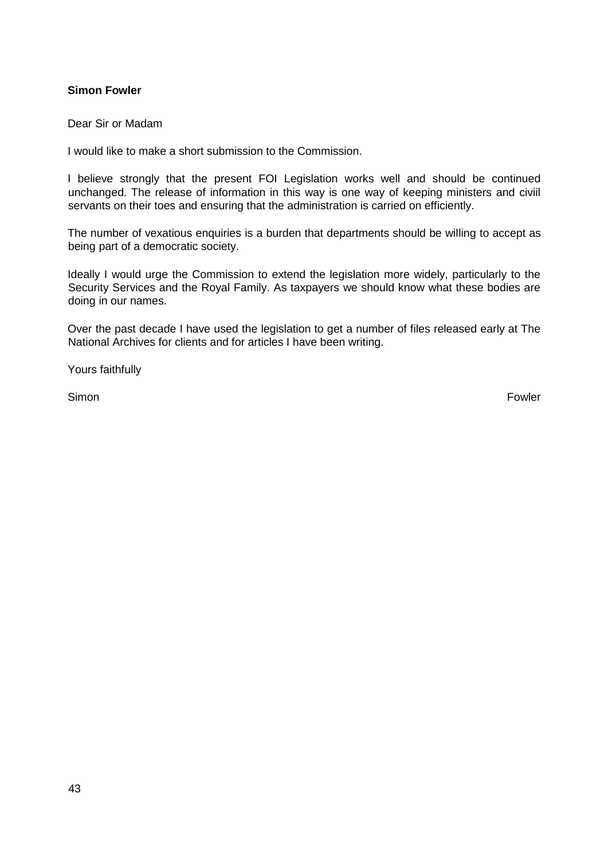### **Simon Fowler**

Dear Sir or Madam

I would like to make a short submission to the Commission.

I believe strongly that the present FOI Legislation works well and should be continued unchanged. The release of information in this way is one way of keeping ministers and civiil servants on their toes and ensuring that the administration is carried on efficiently.

The number of vexatious enquiries is a burden that departments should be willing to accept as being part of a democratic society.

Ideally I would urge the Commission to extend the legislation more widely, particularly to the Security Services and the Royal Family. As taxpayers we should know what these bodies are doing in our names.

Over the past decade I have used the legislation to get a number of files released early at The National Archives for clients and for articles I have been writing.

Yours faithfully

Simon **Fowler**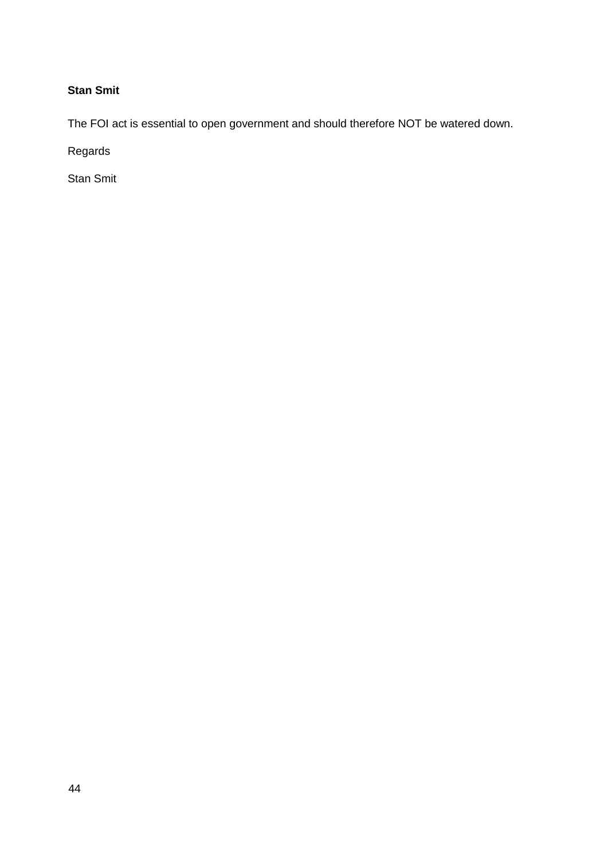# **Stan Smit**

The FOI act is essential to open government and should therefore NOT be watered down.

Regards

Stan Smit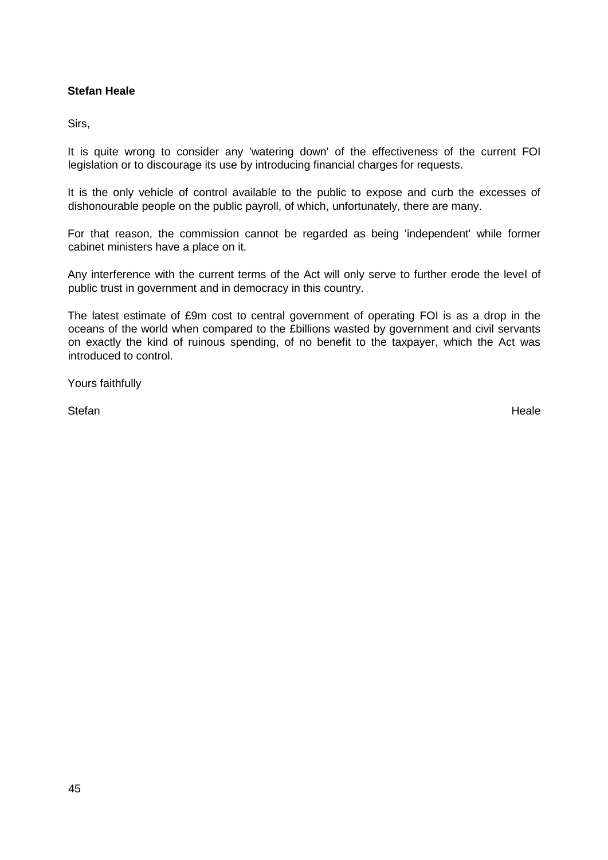# **Stefan Heale**

Sirs,

It is quite wrong to consider any 'watering down' of the effectiveness of the current FOI legislation or to discourage its use by introducing financial charges for requests.

It is the only vehicle of control available to the public to expose and curb the excesses of dishonourable people on the public payroll, of which, unfortunately, there are many.

For that reason, the commission cannot be regarded as being 'independent' while former cabinet ministers have a place on it.

Any interference with the current terms of the Act will only serve to further erode the level of public trust in government and in democracy in this country.

The latest estimate of £9m cost to central government of operating FOI is as a drop in the oceans of the world when compared to the £billions wasted by government and civil servants on exactly the kind of ruinous spending, of no benefit to the taxpayer, which the Act was introduced to control.

Yours faithfully

Stefan Heale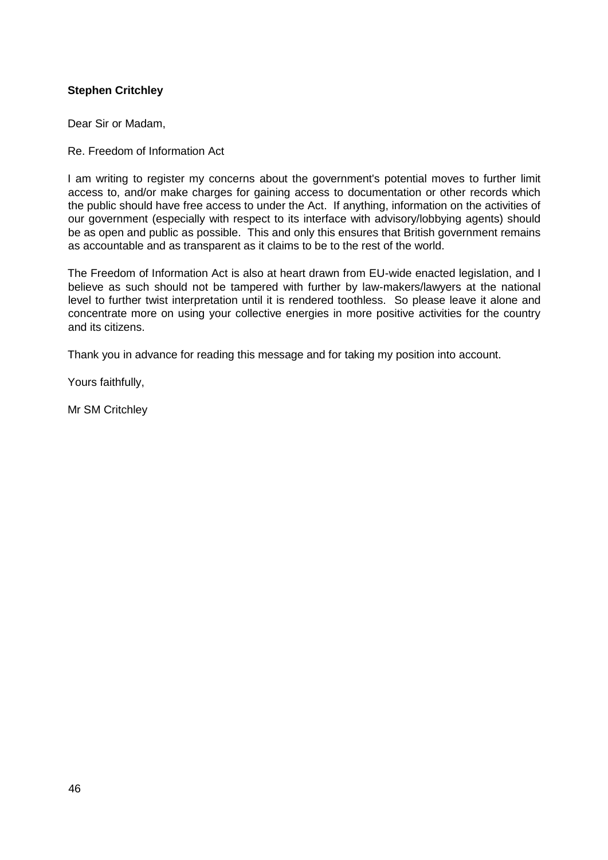# **Stephen Critchley**

Dear Sir or Madam,

#### Re. Freedom of Information Act

I am writing to register my concerns about the government's potential moves to further limit access to, and/or make charges for gaining access to documentation or other records which the public should have free access to under the Act. If anything, information on the activities of our government (especially with respect to its interface with advisory/lobbying agents) should be as open and public as possible. This and only this ensures that British government remains as accountable and as transparent as it claims to be to the rest of the world.

The Freedom of Information Act is also at heart drawn from EU-wide enacted legislation, and I believe as such should not be tampered with further by law-makers/lawyers at the national level to further twist interpretation until it is rendered toothless. So please leave it alone and concentrate more on using your collective energies in more positive activities for the country and its citizens.

Thank you in advance for reading this message and for taking my position into account.

Yours faithfully,

Mr SM Critchley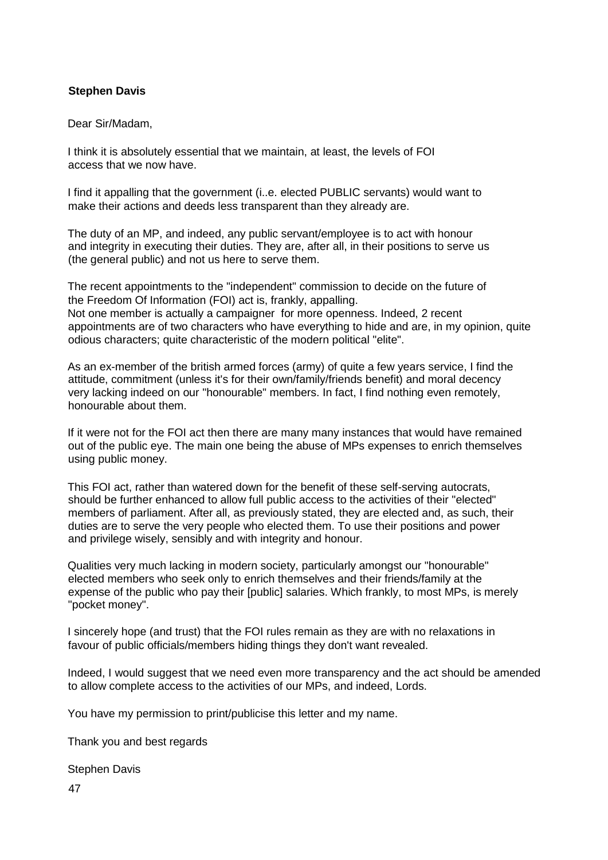# **Stephen Davis**

#### Dear Sir/Madam,

I think it is absolutely essential that we maintain, at least, the levels of FOI access that we now have.

I find it appalling that the government (i..e. elected PUBLIC servants) would want to make their actions and deeds less transparent than they already are.

The duty of an MP, and indeed, any public servant/employee is to act with honour and integrity in executing their duties. They are, after all, in their positions to serve us (the general public) and not us here to serve them.

The recent appointments to the "independent" commission to decide on the future of the Freedom Of Information (FOI) act is, frankly, appalling. Not one member is actually a campaigner for more openness. Indeed, 2 recent appointments are of two characters who have everything to hide and are, in my opinion, quite odious characters; quite characteristic of the modern political "elite".

As an ex-member of the british armed forces (army) of quite a few years service, I find the attitude, commitment (unless it's for their own/family/friends benefit) and moral decency very lacking indeed on our "honourable" members. In fact, I find nothing even remotely, honourable about them.

If it were not for the FOI act then there are many many instances that would have remained out of the public eye. The main one being the abuse of MPs expenses to enrich themselves using public money.

This FOI act, rather than watered down for the benefit of these self-serving autocrats, should be further enhanced to allow full public access to the activities of their "elected" members of parliament. After all, as previously stated, they are elected and, as such, their duties are to serve the very people who elected them. To use their positions and power and privilege wisely, sensibly and with integrity and honour.

Qualities very much lacking in modern society, particularly amongst our "honourable" elected members who seek only to enrich themselves and their friends/family at the expense of the public who pay their [public] salaries. Which frankly, to most MPs, is merely "pocket money".

I sincerely hope (and trust) that the FOI rules remain as they are with no relaxations in favour of public officials/members hiding things they don't want revealed.

Indeed, I would suggest that we need even more transparency and the act should be amended to allow complete access to the activities of our MPs, and indeed, Lords.

You have my permission to print/publicise this letter and my name.

Thank you and best regards

Stephen Davis

47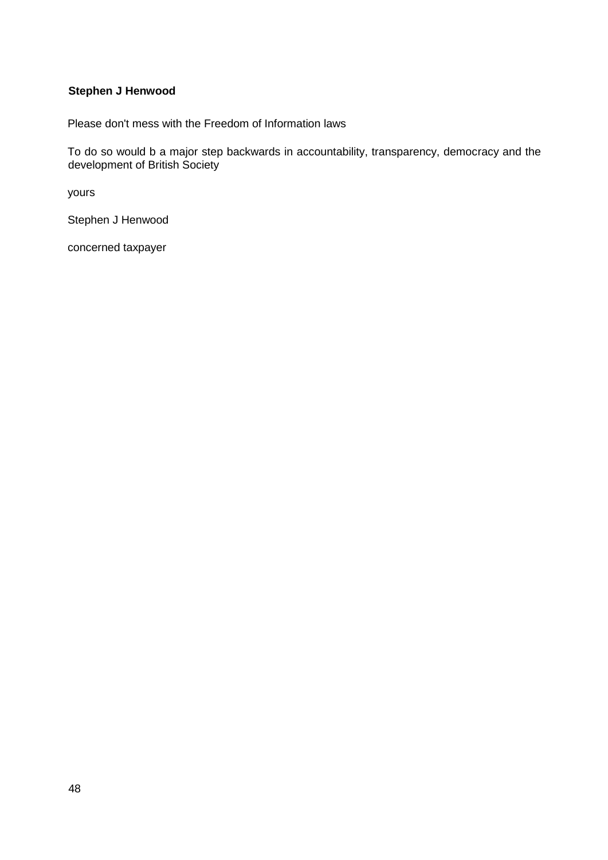# **Stephen J Henwood**

Please don't mess with the Freedom of Information laws

To do so would b a major step backwards in accountability, transparency, democracy and the development of British Society

yours

Stephen J Henwood

concerned taxpayer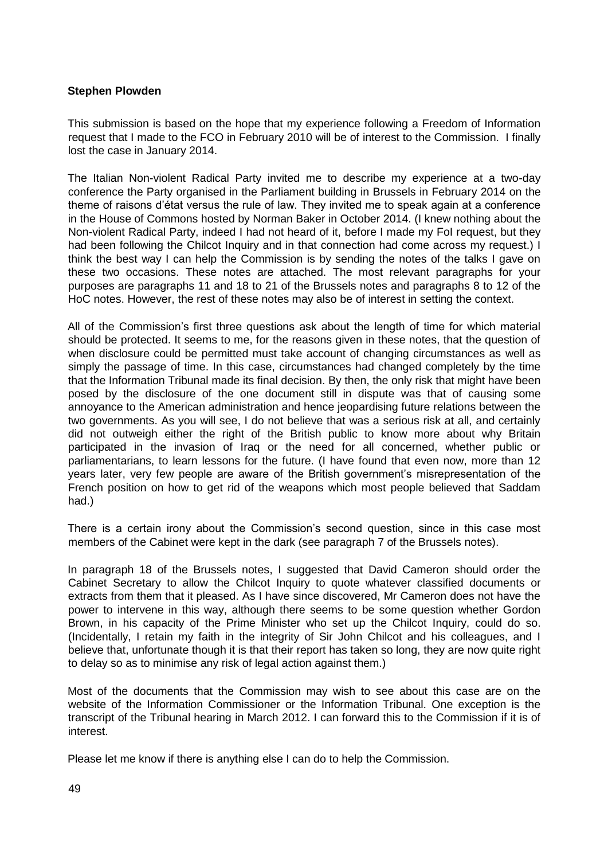#### **Stephen Plowden**

This submission is based on the hope that my experience following a Freedom of Information request that I made to the FCO in February 2010 will be of interest to the Commission. I finally lost the case in January 2014.

The Italian Non-violent Radical Party invited me to describe my experience at a two-day conference the Party organised in the Parliament building in Brussels in February 2014 on the theme of raisons d'état versus the rule of law. They invited me to speak again at a conference in the House of Commons hosted by Norman Baker in October 2014. (I knew nothing about the Non-violent Radical Party, indeed I had not heard of it, before I made my FoI request, but they had been following the Chilcot Inquiry and in that connection had come across my request.) I think the best way I can help the Commission is by sending the notes of the talks I gave on these two occasions. These notes are attached. The most relevant paragraphs for your purposes are paragraphs 11 and 18 to 21 of the Brussels notes and paragraphs 8 to 12 of the HoC notes. However, the rest of these notes may also be of interest in setting the context.

All of the Commission's first three questions ask about the length of time for which material should be protected. It seems to me, for the reasons given in these notes, that the question of when disclosure could be permitted must take account of changing circumstances as well as simply the passage of time. In this case, circumstances had changed completely by the time that the Information Tribunal made its final decision. By then, the only risk that might have been posed by the disclosure of the one document still in dispute was that of causing some annoyance to the American administration and hence jeopardising future relations between the two governments. As you will see, I do not believe that was a serious risk at all, and certainly did not outweigh either the right of the British public to know more about why Britain participated in the invasion of Iraq or the need for all concerned, whether public or parliamentarians, to learn lessons for the future. (I have found that even now, more than 12 years later, very few people are aware of the British government's misrepresentation of the French position on how to get rid of the weapons which most people believed that Saddam had.)

There is a certain irony about the Commission's second question, since in this case most members of the Cabinet were kept in the dark (see paragraph 7 of the Brussels notes).

In paragraph 18 of the Brussels notes, I suggested that David Cameron should order the Cabinet Secretary to allow the Chilcot Inquiry to quote whatever classified documents or extracts from them that it pleased. As I have since discovered, Mr Cameron does not have the power to intervene in this way, although there seems to be some question whether Gordon Brown, in his capacity of the Prime Minister who set up the Chilcot Inquiry, could do so. (Incidentally, I retain my faith in the integrity of Sir John Chilcot and his colleagues, and I believe that, unfortunate though it is that their report has taken so long, they are now quite right to delay so as to minimise any risk of legal action against them.)

Most of the documents that the Commission may wish to see about this case are on the website of the Information Commissioner or the Information Tribunal. One exception is the transcript of the Tribunal hearing in March 2012. I can forward this to the Commission if it is of interest.

Please let me know if there is anything else I can do to help the Commission.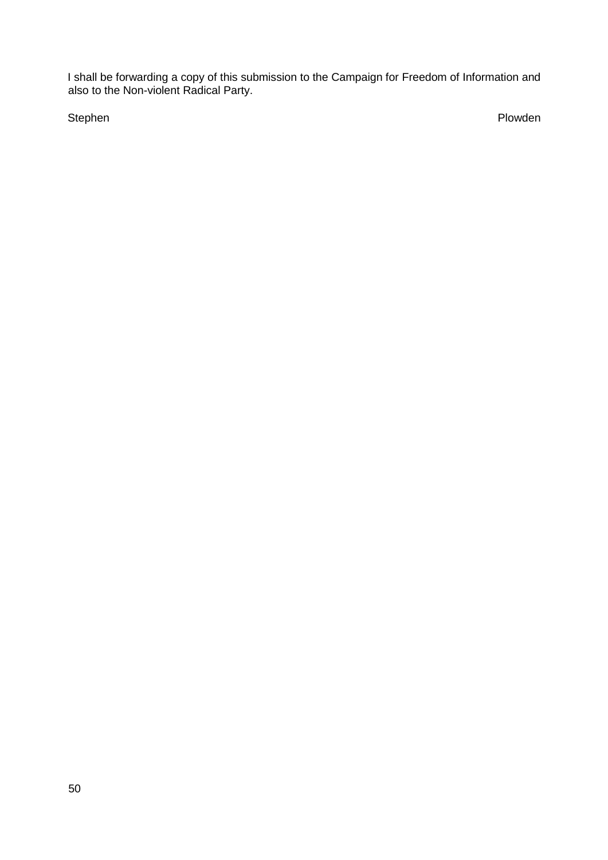I shall be forwarding a copy of this submission to the Campaign for Freedom of Information and also to the Non-violent Radical Party.

Stephen Plowden and the stephen problem in the stephen plot of the stephen plot of the stephen plot of the step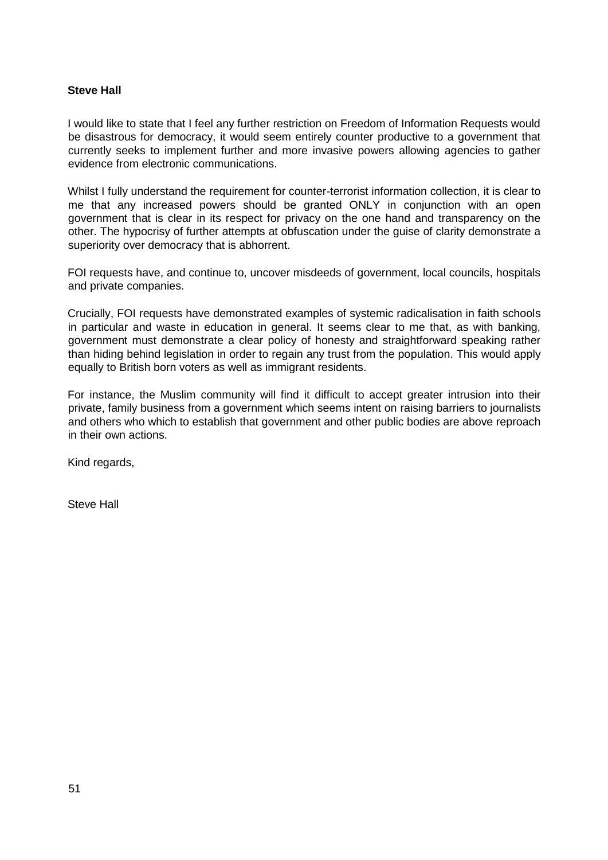### **Steve Hall**

I would like to state that I feel any further restriction on Freedom of Information Requests would be disastrous for democracy, it would seem entirely counter productive to a government that currently seeks to implement further and more invasive powers allowing agencies to gather evidence from electronic communications.

Whilst I fully understand the requirement for counter-terrorist information collection, it is clear to me that any increased powers should be granted ONLY in conjunction with an open government that is clear in its respect for privacy on the one hand and transparency on the other. The hypocrisy of further attempts at obfuscation under the guise of clarity demonstrate a superiority over democracy that is abhorrent.

FOI requests have, and continue to, uncover misdeeds of government, local councils, hospitals and private companies.

Crucially, FOI requests have demonstrated examples of systemic radicalisation in faith schools in particular and waste in education in general. It seems clear to me that, as with banking, government must demonstrate a clear policy of honesty and straightforward speaking rather than hiding behind legislation in order to regain any trust from the population. This would apply equally to British born voters as well as immigrant residents.

For instance, the Muslim community will find it difficult to accept greater intrusion into their private, family business from a government which seems intent on raising barriers to journalists and others who which to establish that government and other public bodies are above reproach in their own actions.

Kind regards,

Steve Hall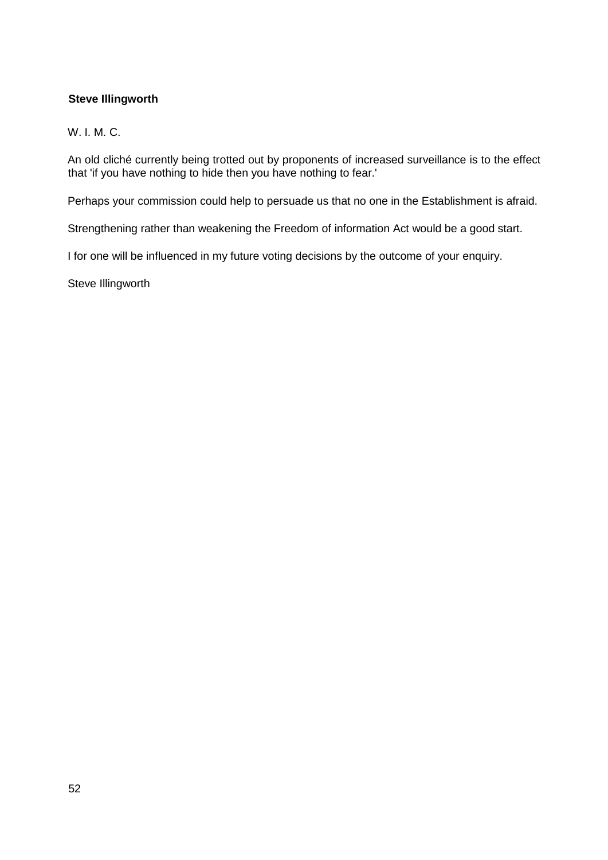# **Steve Illingworth**

# W. I. M. C.

An old cliché currently being trotted out by proponents of increased surveillance is to the effect that 'if you have nothing to hide then you have nothing to fear.'

Perhaps your commission could help to persuade us that no one in the Establishment is afraid.

Strengthening rather than weakening the Freedom of information Act would be a good start.

I for one will be influenced in my future voting decisions by the outcome of your enquiry.

Steve Illingworth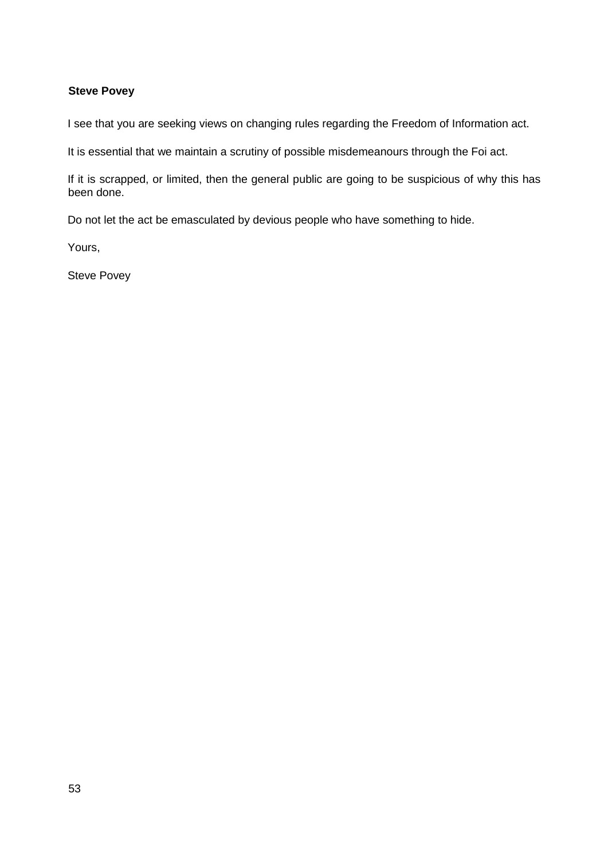# **Steve Povey**

I see that you are seeking views on changing rules regarding the Freedom of Information act.

It is essential that we maintain a scrutiny of possible misdemeanours through the Foi act.

If it is scrapped, or limited, then the general public are going to be suspicious of why this has been done.

Do not let the act be emasculated by devious people who have something to hide.

Yours,

Steve Povey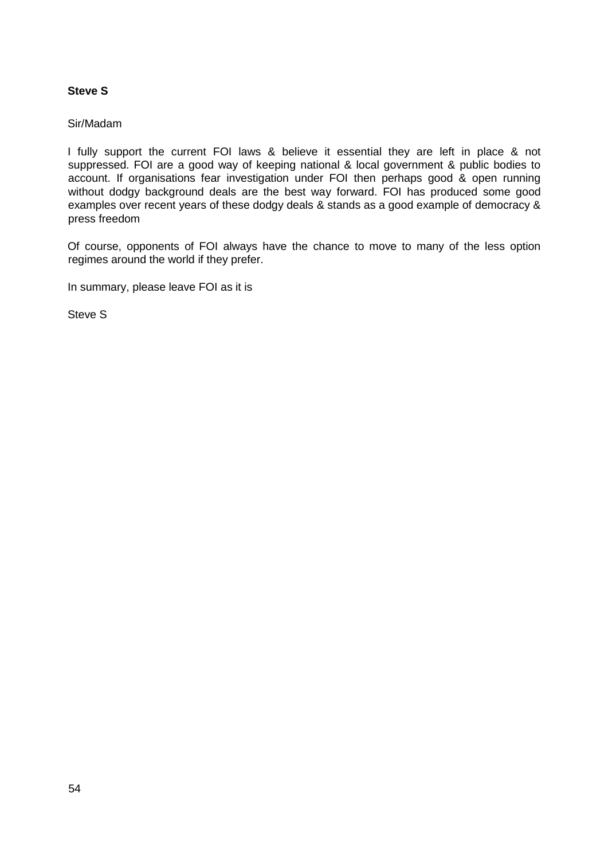# **Steve S**

#### Sir/Madam

I fully support the current FOI laws & believe it essential they are left in place & not suppressed. FOI are a good way of keeping national & local government & public bodies to account. If organisations fear investigation under FOI then perhaps good & open running without dodgy background deals are the best way forward. FOI has produced some good examples over recent years of these dodgy deals & stands as a good example of democracy & press freedom

Of course, opponents of FOI always have the chance to move to many of the less option regimes around the world if they prefer.

In summary, please leave FOI as it is

Steve S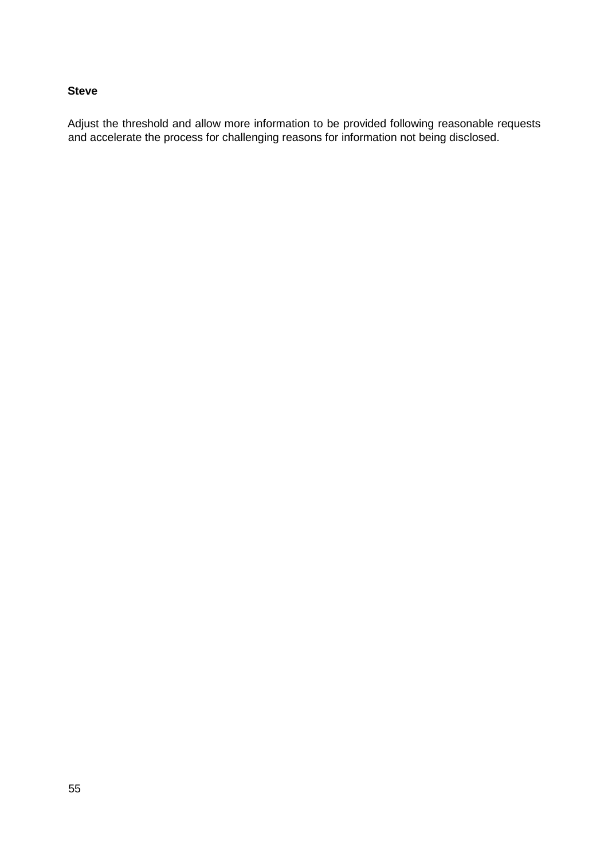### **Steve**

Adjust the threshold and allow more information to be provided following reasonable requests and accelerate the process for challenging reasons for information not being disclosed.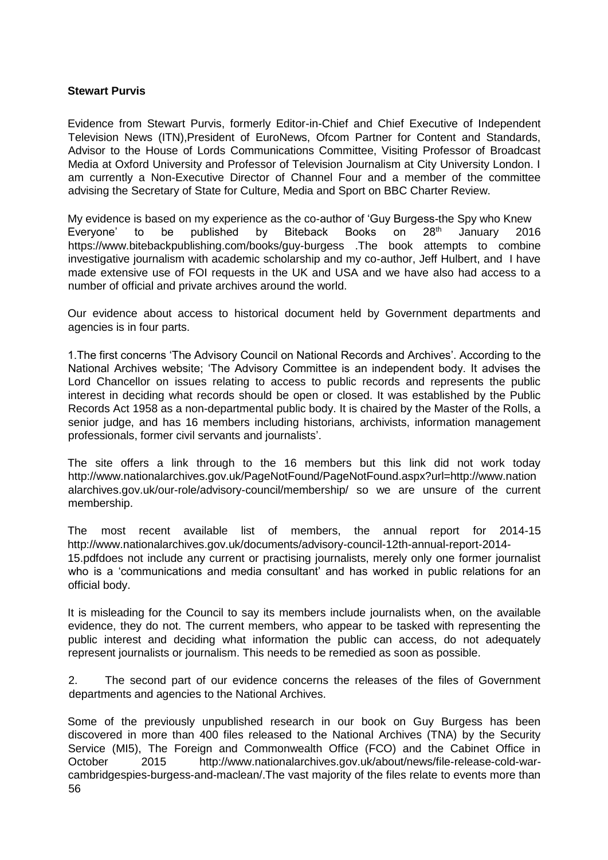#### **Stewart Purvis**

Evidence from Stewart Purvis, formerly Editor-in-Chief and Chief Executive of Independent Television News (ITN),President of EuroNews, Ofcom Partner for Content and Standards, Advisor to the House of Lords Communications Committee, Visiting Professor of Broadcast Media at Oxford University and Professor of Television Journalism at City University London. I am currently a Non-Executive Director of Channel Four and a member of the committee advising the Secretary of State for Culture, Media and Sport on BBC Charter Review.

My evidence is based on my experience as the co-author of 'Guy Burgess-the Spy who Knew<br>Everyone' to be published by Biteback Books on 28<sup>th</sup> January 201 Everyone' to be published by Biteback Books on 28<sup>th</sup> January 2016 <https://www.bitebackpublishing.com/books/guy-burgess> [.](https://www.bitebackpublishing.com/books/guy-burgess)The book attempts to combine investigative journalism with academic scholarship and my co-author, Jeff Hulbert, and I have made extensive use of FOI requests in the UK and USA and we have also had access to a number of official and private archives around the world.

Our evidence about access to historical document held by Government departments and agencies is in four parts.

1.The first concerns 'The Advisory Council on National Records and Archives'. According to the National Archives website; 'The Advisory Committee is an independent body. It advises the Lord Chancellor on issues relating to access to public records and represents the public interest in deciding what records should be open or closed. It was established by the Public Records Act 1958 as a non-departmental public body. It is chaired by the Master of the Rolls, a senior judge, and has 16 members including historians, archivists, information management professionals, former civil servants and journalists'.

The site offers a link through to the 16 members but this link did not work today [http://www.nationalarchives.gov.uk/PageNotFound/PageNotFound.aspx?url=http://www.nation](http://www.nationalarchives.gov.uk/PageNotFound/PageNotFound.aspx?url=http://www.nationalarchives.gov.uk/our-role/advisory-council/membership/)  [alarchives.gov.uk/our-role/advisory-council/membership/](http://www.nationalarchives.gov.uk/PageNotFound/PageNotFound.aspx?url=http://www.nationalarchives.gov.uk/our-role/advisory-council/membership/) so we are unsure of the current membership.

The most recent available list of members, the annual report for 2014-15 [http://www.nationalarchives.gov.uk/documents/advisory-council-12th-annual-report-2014-](http://www.nationalarchives.gov.uk/documents/advisory-council-12th-annual-report-2014-15.pdf) [15.pdfdo](http://www.nationalarchives.gov.uk/documents/advisory-council-12th-annual-report-2014-15.pdf)es not include any current or practising journalists, merely only one former journalist who is a 'communications and media consultant' and has worked in public relations for an official body.

It is misleading for the Council to say its members include journalists when, on the available evidence, they do not. The current members, who appear to be tasked with representing the public interest and deciding what information the public can access, do not adequately represent journalists or journalism. This needs to be remedied as soon as possible.

2. The second part of our evidence concerns the releases of the files of Government departments and agencies to the National Archives.

56 Some of the previously unpublished research in our book on Guy Burgess has been discovered in more than 400 files released to the National Archives (TNA) by the Security Service (MI5). The Foreign and Commonwealth Office (FCO) and the Cabinet Office in October 2015 [http://www.nationalarchives.gov.uk/about/news/file-release-cold-war](http://www.nationalarchives.gov.uk/about/news/file-release-cold-war-cambridge-spies-burgess-and-maclean/)[cambridgespies-burgess-and-maclean/.T](http://www.nationalarchives.gov.uk/about/news/file-release-cold-war-cambridge-spies-burgess-and-maclean/)he vast majority of the files relate to events more than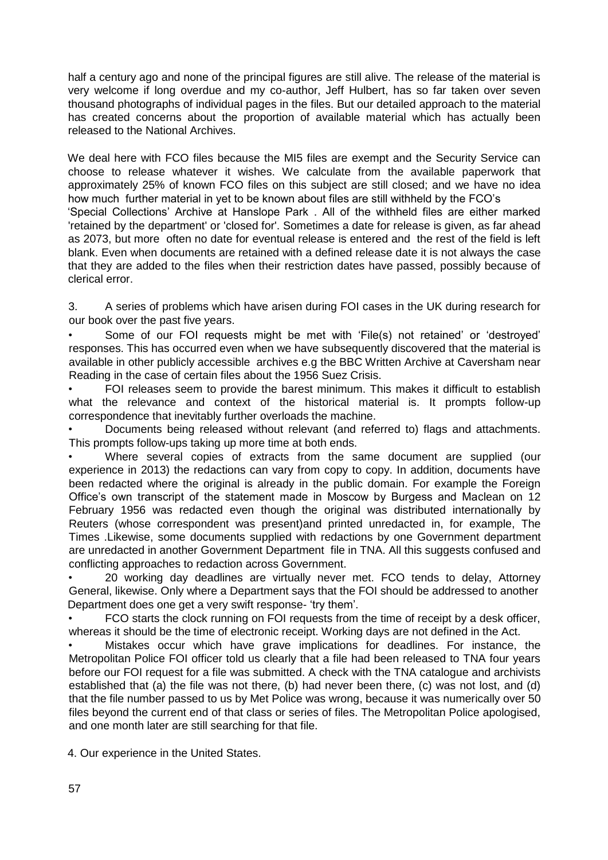half a century ago and none of the principal figures are still alive. The release of the material is very welcome if long overdue and my co-author, Jeff Hulbert, has so far taken over seven thousand photographs of individual pages in the files. But our detailed approach to the material has created concerns about the proportion of available material which has actually been released to the National Archives.

We deal here with FCO files because the MI5 files are exempt and the Security Service can choose to release whatever it wishes. We calculate from the available paperwork that approximately 25% of known FCO files on this subject are still closed; and we have no idea how much further material in yet to be known about files are still withheld by the FCO's 'Special Collections' Archive at Hanslope Park . All of the withheld files are either marked 'retained by the department' or 'closed for'. Sometimes a date for release is given, as far ahead as 2073, but more often no date for eventual release is entered and the rest of the field is left blank. Even when documents are retained with a defined release date it is not always the case that they are added to the files when their restriction dates have passed, possibly because of clerical error.

3. A series of problems which have arisen during FOI cases in the UK during research for our book over the past five years.

• Some of our FOI requests might be met with 'File(s) not retained' or 'destroyed' responses. This has occurred even when we have subsequently discovered that the material is available in other publicly accessible archives e.g the BBC Written Archive at Caversham near Reading in the case of certain files about the 1956 Suez Crisis.

• FOI releases seem to provide the barest minimum. This makes it difficult to establish what the relevance and context of the historical material is. It prompts follow-up correspondence that inevitably further overloads the machine.

• Documents being released without relevant (and referred to) flags and attachments. This prompts follow-ups taking up more time at both ends.

• Where several copies of extracts from the same document are supplied (our experience in 2013) the redactions can vary from copy to copy. In addition, documents have been redacted where the original is already in the public domain. For example the Foreign Office's own transcript of the statement made in Moscow by Burgess and Maclean on 12 February 1956 was redacted even though the original was distributed internationally by Reuters (whose correspondent was present)and printed unredacted in, for example, The Times .Likewise, some documents supplied with redactions by one Government department are unredacted in another Government Department file in TNA. All this suggests confused and conflicting approaches to redaction across Government.

• 20 working day deadlines are virtually never met. FCO tends to delay, Attorney General, likewise. Only where a Department says that the FOI should be addressed to another Department does one get a very swift response- 'try them'.

• FCO starts the clock running on FOI requests from the time of receipt by a desk officer, whereas it should be the time of electronic receipt. Working days are not defined in the Act.

• Mistakes occur which have grave implications for deadlines. For instance, the Metropolitan Police FOI officer told us clearly that a file had been released to TNA four years before our FOI request for a file was submitted. A check with the TNA catalogue and archivists established that (a) the file was not there, (b) had never been there, (c) was not lost, and (d) that the file number passed to us by Met Police was wrong, because it was numerically over 50 files beyond the current end of that class or series of files. The Metropolitan Police apologised, and one month later are still searching for that file.

4. Our experience in the United States.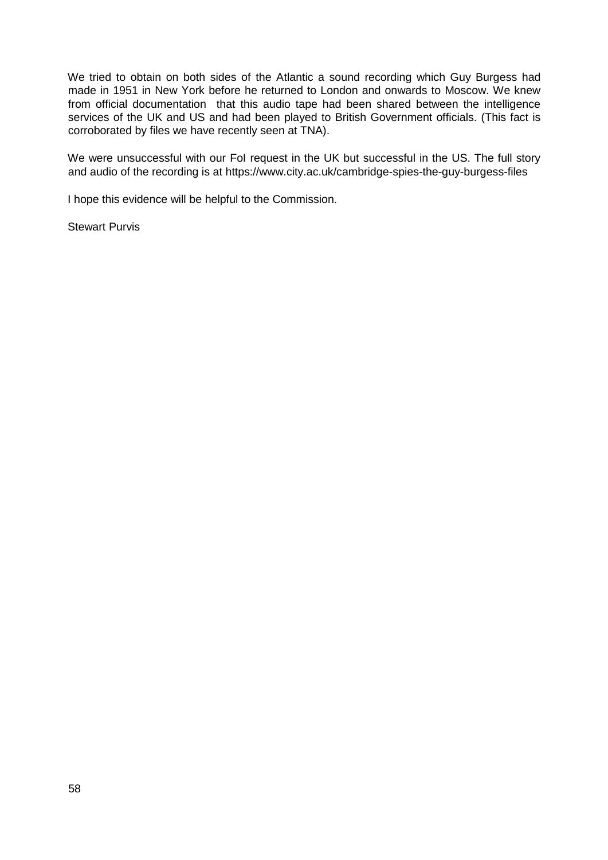We tried to obtain on both sides of the Atlantic a sound recording which Guy Burgess had made in 1951 in New York before he returned to London and onwards to Moscow. We knew from official documentation that this audio tape had been shared between the intelligence services of the UK and US and had been played to British Government officials. (This fact is corroborated by files we have recently seen at TNA).

We were unsuccessful with our FoI request in the UK but successful in the US. The full story and audio of the recording is at<https://www.city.ac.uk/cambridge-spies-the-guy-burgess-files>

I hope this evidence will be helpful to the Commission.

Stewart Purvis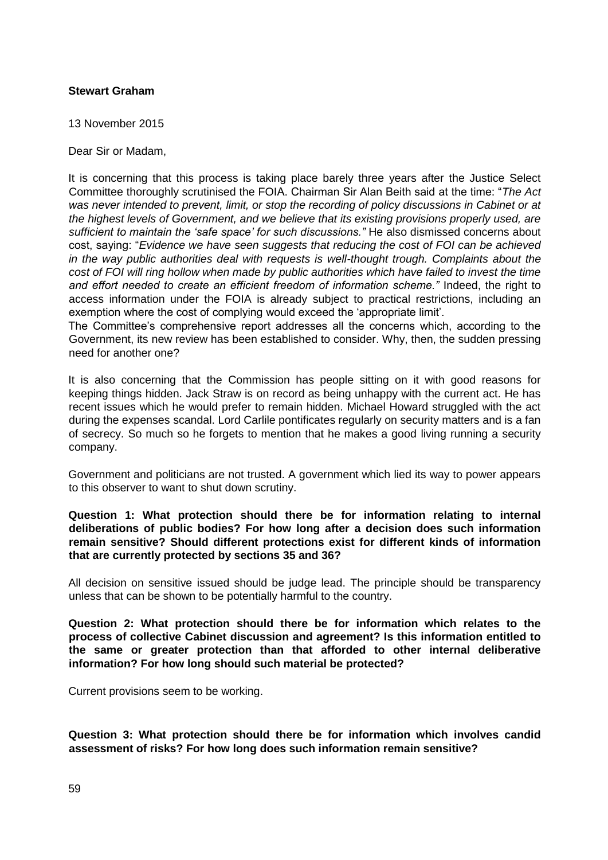### **Stewart Graham**

13 November 2015

Dear Sir or Madam,

It is concerning that this process is taking place barely three years after the Justice Select Committee thoroughly scrutinised the FOIA. Chairman Sir Alan Beith said at the time: "*The Act was never intended to prevent, limit, or stop the recording of policy discussions in Cabinet or at the highest levels of Government, and we believe that its existing provisions properly used, are sufficient to maintain the 'safe space' for such discussions."* He also dismissed concerns about cost, saying: "*Evidence we have seen suggests that reducing the cost of FOI can be achieved in the way public authorities deal with requests is well-thought trough. Complaints about the cost of FOI will ring hollow when made by public authorities which have failed to invest the time and effort needed to create an efficient freedom of information scheme."* Indeed, the right to access information under the FOIA is already subject to practical restrictions, including an exemption where the cost of complying would exceed the 'appropriate limit'.

The Committee's comprehensive report addresses all the concerns which, according to the Government, its new review has been established to consider. Why, then, the sudden pressing need for another one?

It is also concerning that the Commission has people sitting on it with good reasons for keeping things hidden. Jack Straw is on record as being unhappy with the current act. He has recent issues which he would prefer to remain hidden. Michael Howard struggled with the act during the expenses scandal. Lord Carlile pontificates regularly on security matters and is a fan of secrecy. So much so he forgets to mention that he makes a good living running a security company.

Government and politicians are not trusted. A government which lied its way to power appears to this observer to want to shut down scrutiny.

**Question 1: What protection should there be for information relating to internal deliberations of public bodies? For how long after a decision does such information remain sensitive? Should different protections exist for different kinds of information that are currently protected by sections 35 and 36?** 

All decision on sensitive issued should be judge lead. The principle should be transparency unless that can be shown to be potentially harmful to the country.

**Question 2: What protection should there be for information which relates to the process of collective Cabinet discussion and agreement? Is this information entitled to the same or greater protection than that afforded to other internal deliberative information? For how long should such material be protected?** 

Current provisions seem to be working.

**Question 3: What protection should there be for information which involves candid assessment of risks? For how long does such information remain sensitive?**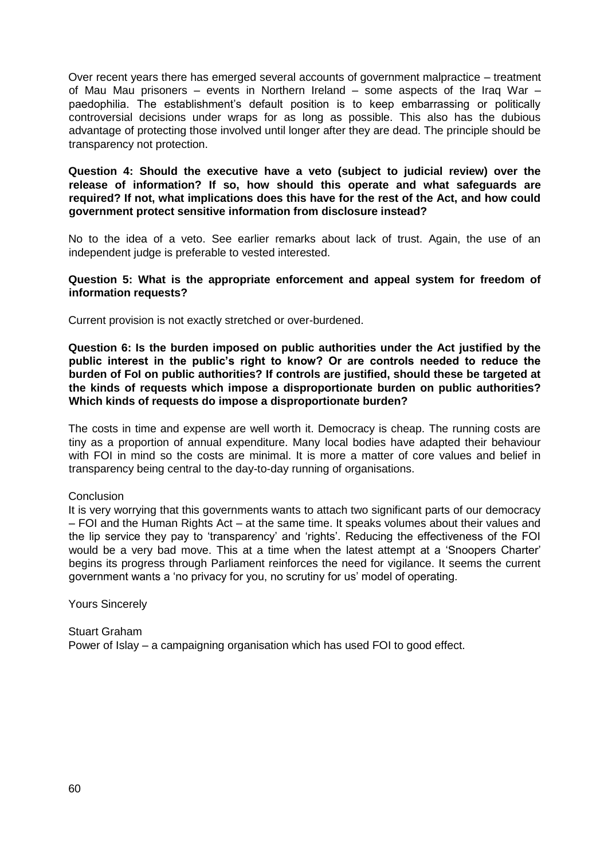Over recent years there has emerged several accounts of government malpractice – treatment of Mau Mau prisoners – events in Northern Ireland – some aspects of the Iraq War – paedophilia. The establishment's default position is to keep embarrassing or politically controversial decisions under wraps for as long as possible. This also has the dubious advantage of protecting those involved until longer after they are dead. The principle should be transparency not protection.

**Question 4: Should the executive have a veto (subject to judicial review) over the release of information? If so, how should this operate and what safeguards are required? If not, what implications does this have for the rest of the Act, and how could government protect sensitive information from disclosure instead?**

No to the idea of a veto. See earlier remarks about lack of trust. Again, the use of an independent judge is preferable to vested interested.

**Question 5: What is the appropriate enforcement and appeal system for freedom of information requests?**

Current provision is not exactly stretched or over-burdened.

**Question 6: Is the burden imposed on public authorities under the Act justified by the public interest in the public's right to know? Or are controls needed to reduce the burden of FoI on public authorities? If controls are justified, should these be targeted at the kinds of requests which impose a disproportionate burden on public authorities? Which kinds of requests do impose a disproportionate burden?**

The costs in time and expense are well worth it. Democracy is cheap. The running costs are tiny as a proportion of annual expenditure. Many local bodies have adapted their behaviour with FOI in mind so the costs are minimal. It is more a matter of core values and belief in transparency being central to the day-to-day running of organisations.

**Conclusion** 

It is very worrying that this governments wants to attach two significant parts of our democracy – FOI and the Human Rights Act – at the same time. It speaks volumes about their values and the lip service they pay to 'transparency' and 'rights'. Reducing the effectiveness of the FOI would be a very bad move. This at a time when the latest attempt at a 'Snoopers Charter' begins its progress through Parliament reinforces the need for vigilance. It seems the current government wants a 'no privacy for you, no scrutiny for us' model of operating.

Yours Sincerely

Stuart Graham Power of Islay – a campaigning organisation which has used FOI to good effect.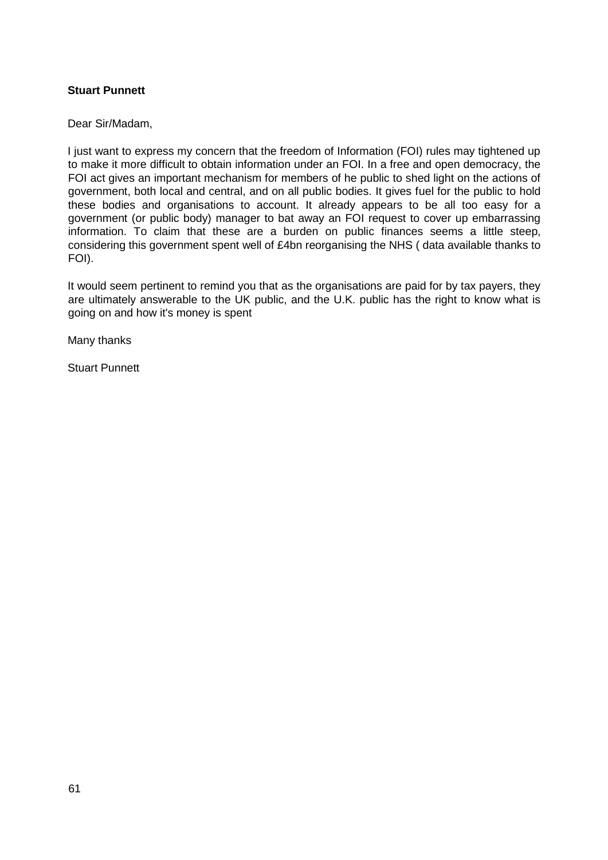## **Stuart Punnett**

Dear Sir/Madam,

I just want to express my concern that the freedom of Information (FOI) rules may tightened up to make it more difficult to obtain information under an FOI. In a free and open democracy, the FOI act gives an important mechanism for members of he public to shed light on the actions of government, both local and central, and on all public bodies. It gives fuel for the public to hold these bodies and organisations to account. It already appears to be all too easy for a government (or public body) manager to bat away an FOI request to cover up embarrassing information. To claim that these are a burden on public finances seems a little steep, considering this government spent well of £4bn reorganising the NHS ( data available thanks to FOI).

It would seem pertinent to remind you that as the organisations are paid for by tax payers, they are ultimately answerable to the UK public, and the U.K. public has the right to know what is going on and how it's money is spent

Many thanks

Stuart Punnett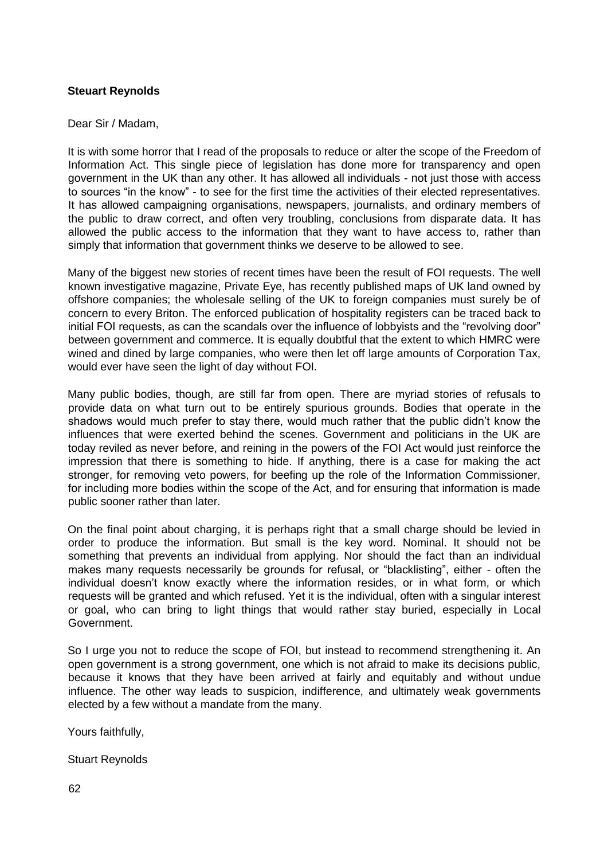### **Steuart Reynolds**

#### Dear Sir / Madam,

It is with some horror that I read of the proposals to reduce or alter the scope of the Freedom of Information Act. This single piece of legislation has done more for transparency and open government in the UK than any other. It has allowed all individuals - not just those with access to sources "in the know" - to see for the first time the activities of their elected representatives. It has allowed campaigning organisations, newspapers, journalists, and ordinary members of the public to draw correct, and often very troubling, conclusions from disparate data. It has allowed the public access to the information that they want to have access to, rather than simply that information that government thinks we deserve to be allowed to see.

Many of the biggest new stories of recent times have been the result of FOI requests. The well known investigative magazine, Private Eye, has recently published maps of UK land owned by offshore companies; the wholesale selling of the UK to foreign companies must surely be of concern to every Briton. The enforced publication of hospitality registers can be traced back to initial FOI requests, as can the scandals over the influence of lobbyists and the "revolving door" between government and commerce. It is equally doubtful that the extent to which HMRC were wined and dined by large companies, who were then let off large amounts of Corporation Tax, would ever have seen the light of day without FOI.

Many public bodies, though, are still far from open. There are myriad stories of refusals to provide data on what turn out to be entirely spurious grounds. Bodies that operate in the shadows would much prefer to stay there, would much rather that the public didn't know the influences that were exerted behind the scenes. Government and politicians in the UK are today reviled as never before, and reining in the powers of the FOI Act would just reinforce the impression that there is something to hide. If anything, there is a case for making the act stronger, for removing veto powers, for beefing up the role of the Information Commissioner, for including more bodies within the scope of the Act, and for ensuring that information is made public sooner rather than later.

On the final point about charging, it is perhaps right that a small charge should be levied in order to produce the information. But small is the key word. Nominal. It should not be something that prevents an individual from applying. Nor should the fact than an individual makes many requests necessarily be grounds for refusal, or "blacklisting", either - often the individual doesn't know exactly where the information resides, or in what form, or which requests will be granted and which refused. Yet it is the individual, often with a singular interest or goal, who can bring to light things that would rather stay buried, especially in Local Government.

So I urge you not to reduce the scope of FOI, but instead to recommend strengthening it. An open government is a strong government, one which is not afraid to make its decisions public, because it knows that they have been arrived at fairly and equitably and without undue influence. The other way leads to suspicion, indifference, and ultimately weak governments elected by a few without a mandate from the many.

Yours faithfully,

Stuart Reynolds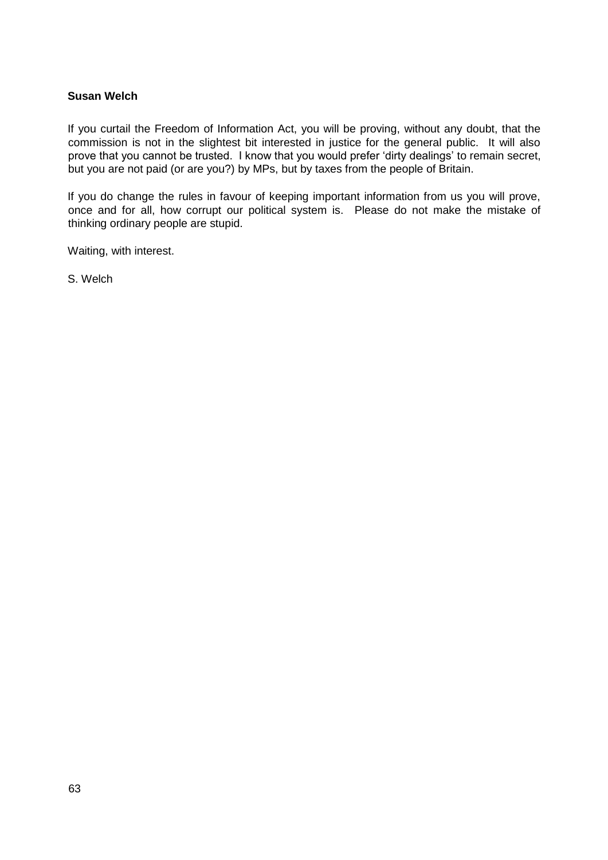### **Susan Welch**

If you curtail the Freedom of Information Act, you will be proving, without any doubt, that the commission is not in the slightest bit interested in justice for the general public. It will also prove that you cannot be trusted. I know that you would prefer 'dirty dealings' to remain secret, but you are not paid (or are you?) by MPs, but by taxes from the people of Britain.

If you do change the rules in favour of keeping important information from us you will prove, once and for all, how corrupt our political system is. Please do not make the mistake of thinking ordinary people are stupid.

Waiting, with interest.

S. Welch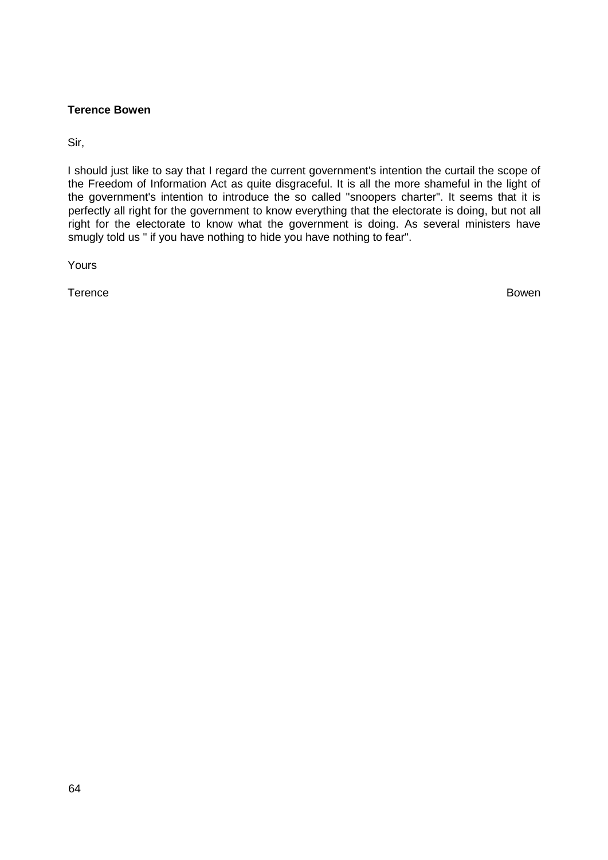### **Terence Bowen**

Sir,

I should just like to say that I regard the current government's intention the curtail the scope of the Freedom of Information Act as quite disgraceful. It is all the more shameful in the light of the government's intention to introduce the so called "snoopers charter". It seems that it is perfectly all right for the government to know everything that the electorate is doing, but not all right for the electorate to know what the government is doing. As several ministers have smugly told us " if you have nothing to hide you have nothing to fear".

Yours

Terence Bowen Bowen and the set of the set of the set of the set of the set of the Bowen Bowen Bowen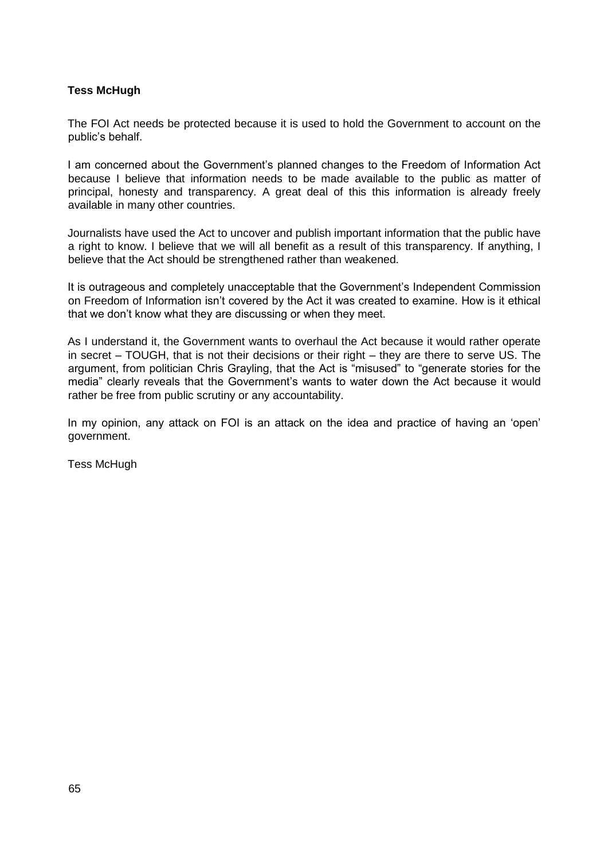# **Tess McHugh**

The FOI Act needs be protected because it is used to hold the Government to account on the public's behalf.

I am concerned about the Government's planned changes to the Freedom of Information Act because I believe that information needs to be made available to the public as matter of principal, honesty and transparency. A great deal of this this information is already freely available in many other countries.

Journalists have used the Act to uncover and publish important information that the public have a right to know. I believe that we will all benefit as a result of this transparency. If anything, I believe that the Act should be strengthened rather than weakened.

It is outrageous and completely unacceptable that the Government's Independent Commission on Freedom of Information isn't covered by the Act it was created to examine. How is it ethical that we don't know what they are discussing or when they meet.

As I understand it, the Government wants to overhaul the Act because it would rather operate in secret – TOUGH, that is not their decisions or their right – they are there to serve US. The argument, from politician Chris Grayling, that the Act is "misused" to "generate stories for the media" clearly reveals that the Government's wants to water down the Act because it would rather be free from public scrutiny or any accountability.

In my opinion, any attack on FOI is an attack on the idea and practice of having an 'open' government.

Tess McHugh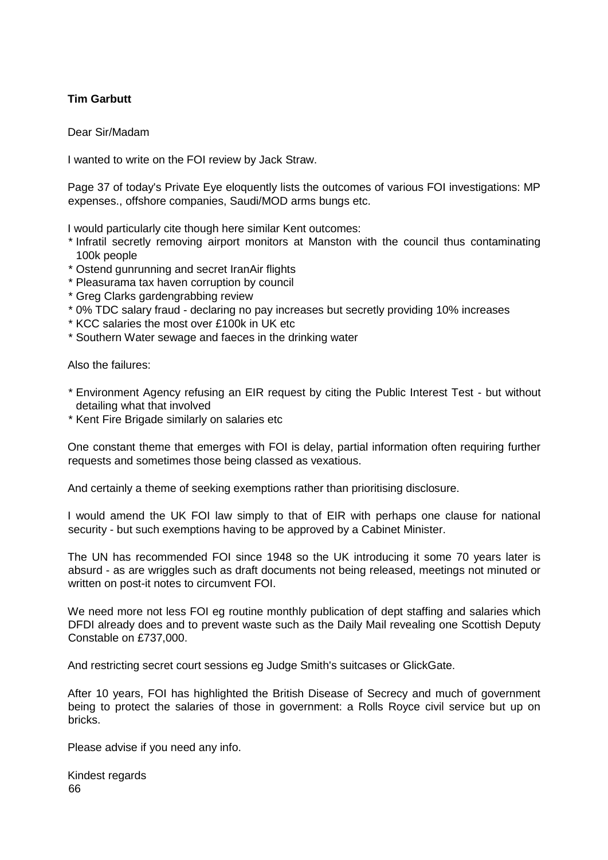# **Tim Garbutt**

Dear Sir/Madam

I wanted to write on the FOI review by Jack Straw.

Page 37 of today's Private Eye eloquently lists the outcomes of various FOI investigations: MP expenses., offshore companies, Saudi/MOD arms bungs etc.

I would particularly cite though here similar Kent outcomes:

- \* Infratil secretly removing airport monitors at Manston with the council thus contaminating 100k people
- \* Ostend gunrunning and secret IranAir flights
- \* Pleasurama tax haven corruption by council
- \* Greg Clarks gardengrabbing review
- \* 0% TDC salary fraud declaring no pay increases but secretly providing 10% increases
- \* KCC salaries the most over £100k in UK etc
- \* Southern Water sewage and faeces in the drinking water

Also the failures:

- \* Environment Agency refusing an EIR request by citing the Public Interest Test but without detailing what that involved
- \* Kent Fire Brigade similarly on salaries etc

One constant theme that emerges with FOI is delay, partial information often requiring further requests and sometimes those being classed as vexatious.

And certainly a theme of seeking exemptions rather than prioritising disclosure.

I would amend the UK FOI law simply to that of EIR with perhaps one clause for national security - but such exemptions having to be approved by a Cabinet Minister.

The UN has recommended FOI since 1948 so the UK introducing it some 70 years later is absurd - as are wriggles such as draft documents not being released, meetings not minuted or written on post-it notes to circumvent FOI.

We need more not less FOI eg routine monthly publication of dept staffing and salaries which DFDI already does and to prevent waste such as the Daily Mail revealing one Scottish Deputy Constable on £737,000.

And restricting secret court sessions eg Judge Smith's suitcases or GlickGate.

After 10 years, FOI has highlighted the British Disease of Secrecy and much of government being to protect the salaries of those in government: a Rolls Royce civil service but up on bricks.

Please advise if you need any info.

66 Kindest regards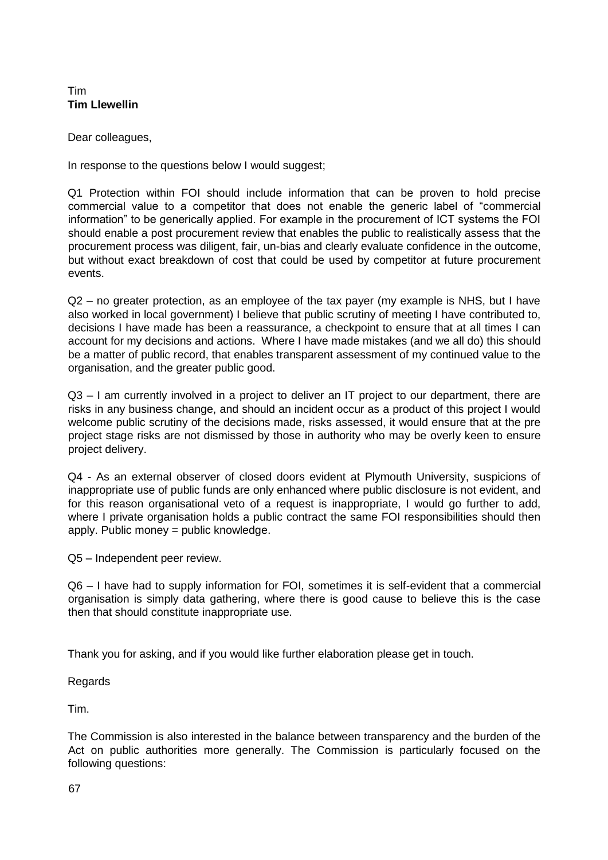### Tim **Tim Llewellin**

Dear colleagues,

In response to the questions below I would suggest;

Q1 Protection within FOI should include information that can be proven to hold precise commercial value to a competitor that does not enable the generic label of "commercial information" to be generically applied. For example in the procurement of ICT systems the FOI should enable a post procurement review that enables the public to realistically assess that the procurement process was diligent, fair, un-bias and clearly evaluate confidence in the outcome, but without exact breakdown of cost that could be used by competitor at future procurement events.

Q2 – no greater protection, as an employee of the tax payer (my example is NHS, but I have also worked in local government) I believe that public scrutiny of meeting I have contributed to, decisions I have made has been a reassurance, a checkpoint to ensure that at all times I can account for my decisions and actions. Where I have made mistakes (and we all do) this should be a matter of public record, that enables transparent assessment of my continued value to the organisation, and the greater public good.

Q3 – I am currently involved in a project to deliver an IT project to our department, there are risks in any business change, and should an incident occur as a product of this project I would welcome public scrutiny of the decisions made, risks assessed, it would ensure that at the pre project stage risks are not dismissed by those in authority who may be overly keen to ensure project delivery.

Q4 - As an external observer of closed doors evident at Plymouth University, suspicions of inappropriate use of public funds are only enhanced where public disclosure is not evident, and for this reason organisational veto of a request is inappropriate, I would go further to add, where I private organisation holds a public contract the same FOI responsibilities should then apply. Public money = public knowledge.

Q5 – Independent peer review.

Q6 – I have had to supply information for FOI, sometimes it is self-evident that a commercial organisation is simply data gathering, where there is good cause to believe this is the case then that should constitute inappropriate use.

Thank you for asking, and if you would like further elaboration please get in touch.

Regards

Tim.

The Commission is also interested in the balance between transparency and the burden of the Act on public authorities more generally. The Commission is particularly focused on the following questions: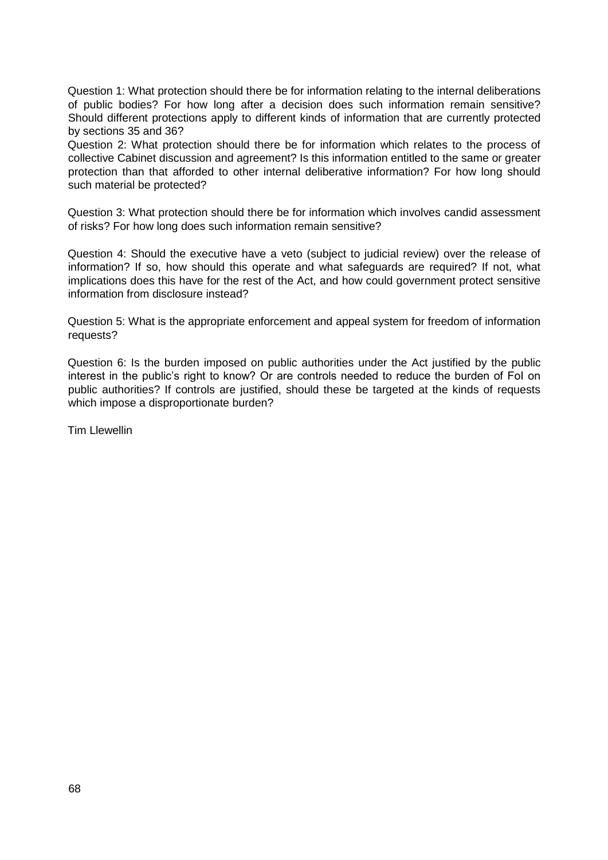Question 1: What protection should there be for information relating to the internal deliberations of public bodies? For how long after a decision does such information remain sensitive? Should different protections apply to different kinds of information that are currently protected by sections 35 and 36?

Question 2: What protection should there be for information which relates to the process of collective Cabinet discussion and agreement? Is this information entitled to the same or greater protection than that afforded to other internal deliberative information? For how long should such material be protected?

Question 3: What protection should there be for information which involves candid assessment of risks? For how long does such information remain sensitive?

Question 4: Should the executive have a veto (subject to judicial review) over the release of information? If so, how should this operate and what safeguards are required? If not, what implications does this have for the rest of the Act, and how could government protect sensitive information from disclosure instead?

Question 5: What is the appropriate enforcement and appeal system for freedom of information requests?

Question 6: Is the burden imposed on public authorities under the Act justified by the public interest in the public's right to know? Or are controls needed to reduce the burden of FoI on public authorities? If controls are justified, should these be targeted at the kinds of requests which impose a disproportionate burden?

Tim Llewellin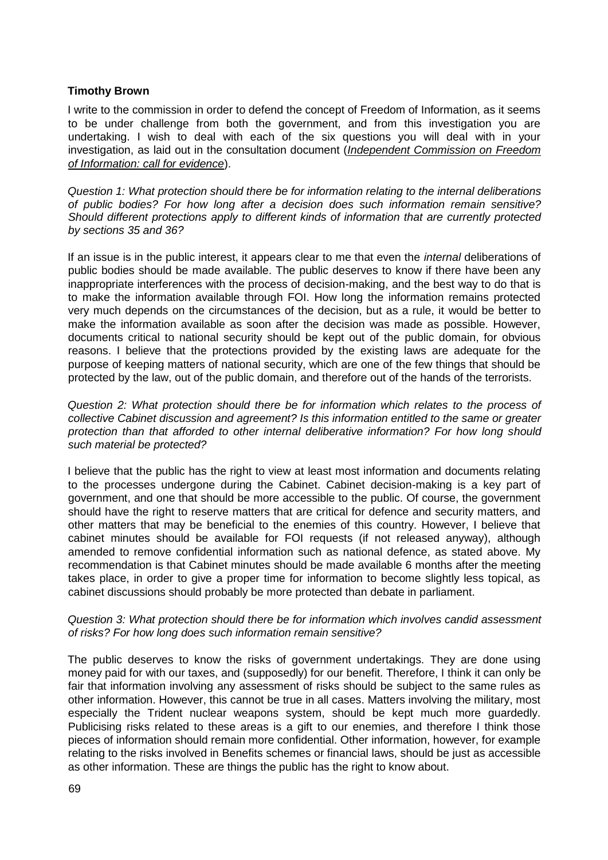### **Timothy Brown**

I write to the commission in order to defend the concept of Freedom of Information, as it seems to be under challenge from both the government, and from this investigation you are undertaking. I wish to deal with each of the six questions you will deal with in your investigation, as laid out in the consultation document (*[Independent Commission on Freedom](https://www.gov.uk/government/uploads/system/uploads/attachment_data/file/472007/ICFOI_call_for_evidence_paper_web281015.pdf) [of Information: call for evidence](https://www.gov.uk/government/uploads/system/uploads/attachment_data/file/472007/ICFOI_call_for_evidence_paper_web281015.pdf)*[\).](https://www.gov.uk/government/uploads/system/uploads/attachment_data/file/472007/ICFOI_call_for_evidence_paper_web281015.pdf)

*Question 1: What protection should there be for information relating to the internal deliberations of public bodies? For how long after a decision does such information remain sensitive? Should different protections apply to different kinds of information that are currently protected by sections 35 and 36?* 

If an issue is in the public interest, it appears clear to me that even the *internal* deliberations of public bodies should be made available. The public deserves to know if there have been any inappropriate interferences with the process of decision-making, and the best way to do that is to make the information available through FOI. How long the information remains protected very much depends on the circumstances of the decision, but as a rule, it would be better to make the information available as soon after the decision was made as possible. However, documents critical to national security should be kept out of the public domain, for obvious reasons. I believe that the protections provided by the existing laws are adequate for the purpose of keeping matters of national security, which are one of the few things that should be protected by the law, out of the public domain, and therefore out of the hands of the terrorists.

*Question 2: What protection should there be for information which relates to the process of collective Cabinet discussion and agreement? Is this information entitled to the same or greater protection than that afforded to other internal deliberative information? For how long should such material be protected?* 

I believe that the public has the right to view at least most information and documents relating to the processes undergone during the Cabinet. Cabinet decision-making is a key part of government, and one that should be more accessible to the public. Of course, the government should have the right to reserve matters that are critical for defence and security matters, and other matters that may be beneficial to the enemies of this country. However, I believe that cabinet minutes should be available for FOI requests (if not released anyway), although amended to remove confidential information such as national defence, as stated above. My recommendation is that Cabinet minutes should be made available 6 months after the meeting takes place, in order to give a proper time for information to become slightly less topical, as cabinet discussions should probably be more protected than debate in parliament.

#### *Question 3: What protection should there be for information which involves candid assessment of risks? For how long does such information remain sensitive?*

The public deserves to know the risks of government undertakings. They are done using money paid for with our taxes, and (supposedly) for our benefit. Therefore, I think it can only be fair that information involving any assessment of risks should be subject to the same rules as other information. However, this cannot be true in all cases. Matters involving the military, most especially the Trident nuclear weapons system, should be kept much more guardedly. Publicising risks related to these areas is a gift to our enemies, and therefore I think those pieces of information should remain more confidential. Other information, however, for example relating to the risks involved in Benefits schemes or financial laws, should be just as accessible as other information. These are things the public has the right to know about.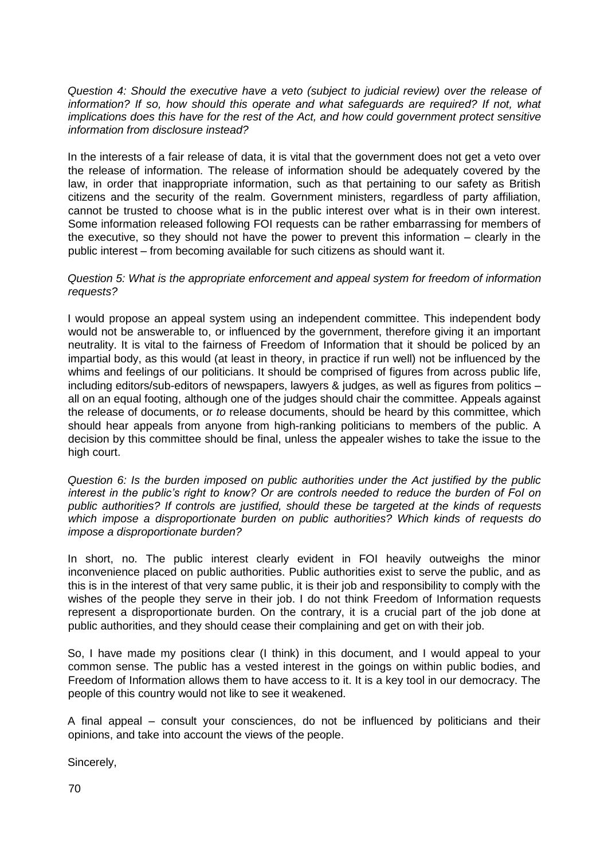*Question 4: Should the executive have a veto (subject to judicial review) over the release of*  information? If so, how should this operate and what safeguards are required? If not, what *implications does this have for the rest of the Act, and how could government protect sensitive information from disclosure instead?* 

In the interests of a fair release of data, it is vital that the government does not get a veto over the release of information. The release of information should be adequately covered by the law, in order that inappropriate information, such as that pertaining to our safety as British citizens and the security of the realm. Government ministers, regardless of party affiliation, cannot be trusted to choose what is in the public interest over what is in their own interest. Some information released following FOI requests can be rather embarrassing for members of the executive, so they should not have the power to prevent this information – clearly in the public interest – from becoming available for such citizens as should want it.

#### *Question 5: What is the appropriate enforcement and appeal system for freedom of information requests?*

I would propose an appeal system using an independent committee. This independent body would not be answerable to, or influenced by the government, therefore giving it an important neutrality. It is vital to the fairness of Freedom of Information that it should be policed by an impartial body, as this would (at least in theory, in practice if run well) not be influenced by the whims and feelings of our politicians. It should be comprised of figures from across public life, including editors/sub-editors of newspapers, lawyers & judges, as well as figures from politics – all on an equal footing, although one of the judges should chair the committee. Appeals against the release of documents, or *to* release documents, should be heard by this committee, which should hear appeals from anyone from high-ranking politicians to members of the public. A decision by this committee should be final, unless the appealer wishes to take the issue to the high court.

*Question 6: Is the burden imposed on public authorities under the Act justified by the public interest in the public's right to know? Or are controls needed to reduce the burden of FoI on public authorities? If controls are justified, should these be targeted at the kinds of requests which impose a disproportionate burden on public authorities? Which kinds of requests do impose a disproportionate burden?* 

In short, no. The public interest clearly evident in FOI heavily outweighs the minor inconvenience placed on public authorities. Public authorities exist to serve the public, and as this is in the interest of that very same public, it is their job and responsibility to comply with the wishes of the people they serve in their job. I do not think Freedom of Information requests represent a disproportionate burden. On the contrary, it is a crucial part of the job done at public authorities, and they should cease their complaining and get on with their job.

So, I have made my positions clear (I think) in this document, and I would appeal to your common sense. The public has a vested interest in the goings on within public bodies, and Freedom of Information allows them to have access to it. It is a key tool in our democracy. The people of this country would not like to see it weakened.

A final appeal – consult your consciences, do not be influenced by politicians and their opinions, and take into account the views of the people.

Sincerely,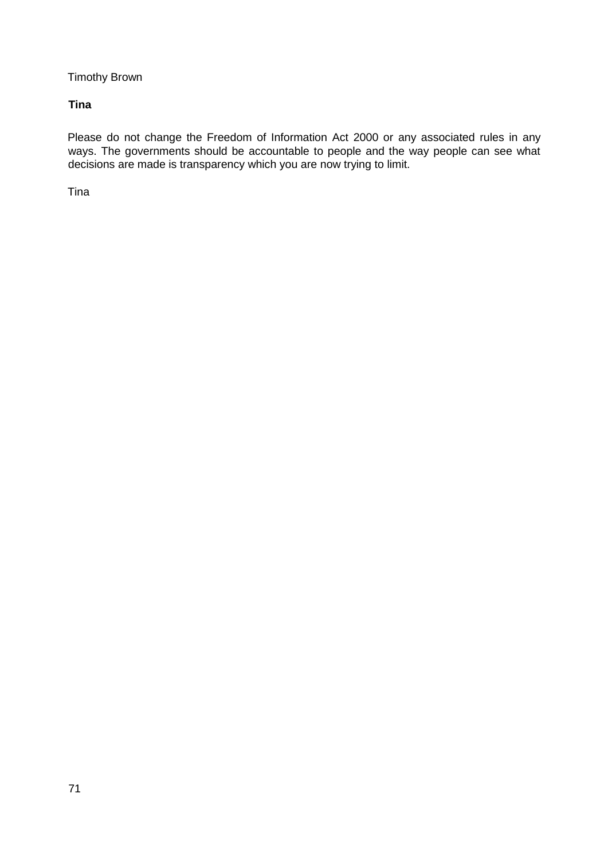Timothy Brown

# **Tina**

Please do not change the Freedom of Information Act 2000 or any associated rules in any ways. The governments should be accountable to people and the way people can see what decisions are made is transparency which you are now trying to limit.

Tina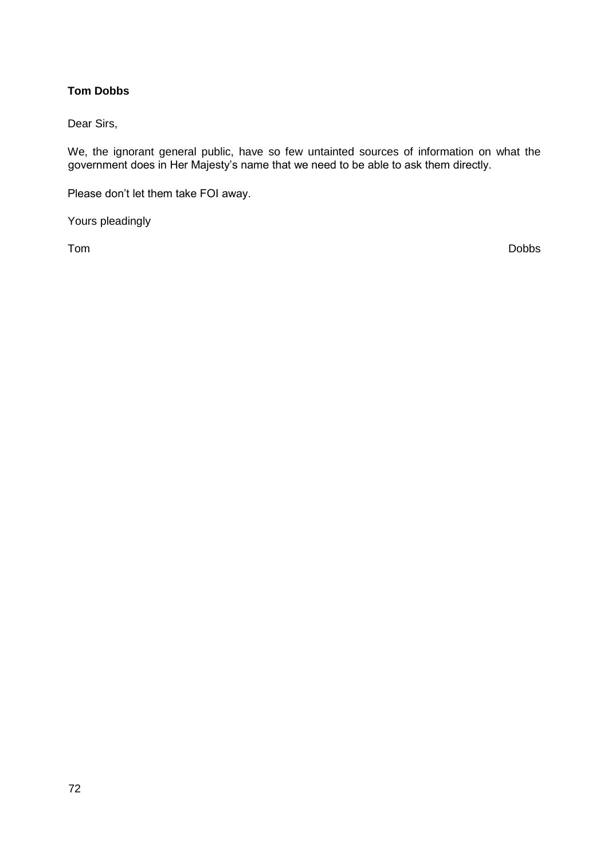# **Tom Dobbs**

Dear Sirs,

We, the ignorant general public, have so few untainted sources of information on what the government does in Her Majesty's name that we need to be able to ask them directly.

Please don't let them take FOI away.

Yours pleadingly

Tom Dobbs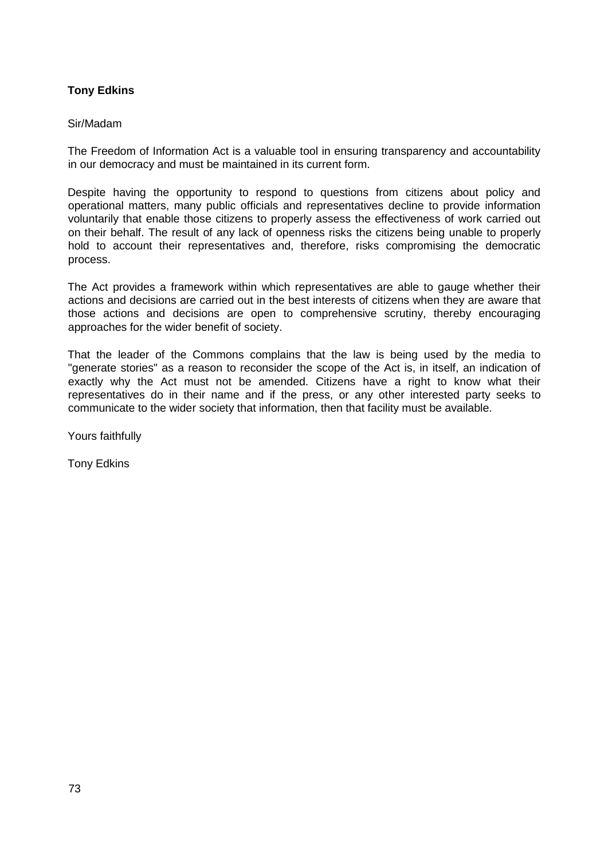### **Tony Edkins**

#### Sir/Madam

The Freedom of Information Act is a valuable tool in ensuring transparency and accountability in our democracy and must be maintained in its current form.

Despite having the opportunity to respond to questions from citizens about policy and operational matters, many public officials and representatives decline to provide information voluntarily that enable those citizens to properly assess the effectiveness of work carried out on their behalf. The result of any lack of openness risks the citizens being unable to properly hold to account their representatives and, therefore, risks compromising the democratic process.

The Act provides a framework within which representatives are able to gauge whether their actions and decisions are carried out in the best interests of citizens when they are aware that those actions and decisions are open to comprehensive scrutiny, thereby encouraging approaches for the wider benefit of society.

That the leader of the Commons complains that the law is being used by the media to "generate stories" as a reason to reconsider the scope of the Act is, in itself, an indication of exactly why the Act must not be amended. Citizens have a right to know what their representatives do in their name and if the press, or any other interested party seeks to communicate to the wider society that information, then that facility must be available.

Yours faithfully

Tony Edkins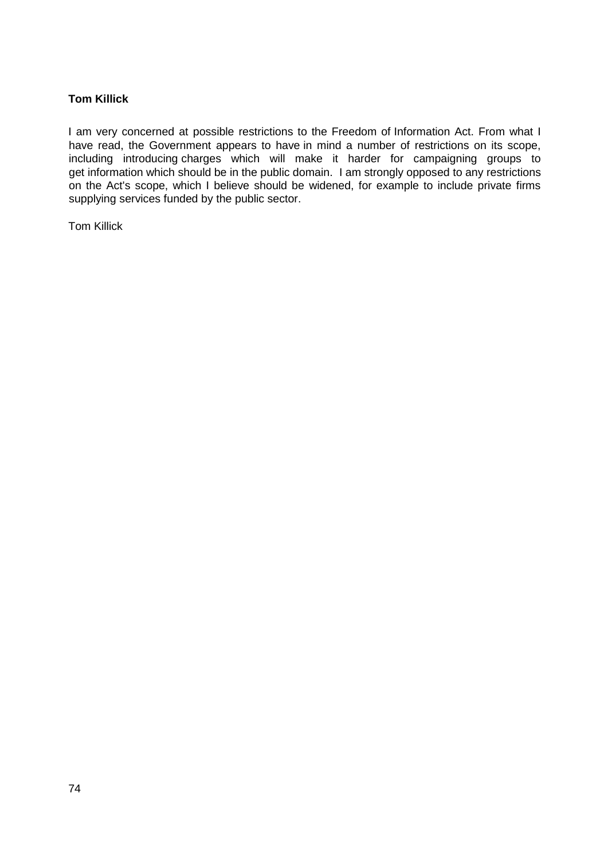## **Tom Killick**

I am very concerned at possible restrictions to the Freedom of Information Act. From what I have read, the Government appears to have in mind a number of restrictions on its scope, including introducing charges which will make it harder for campaigning groups to get information which should be in the public domain. I am strongly opposed to any restrictions on the Act's scope, which I believe should be widened, for example to include private firms supplying services funded by the public sector.

Tom Killick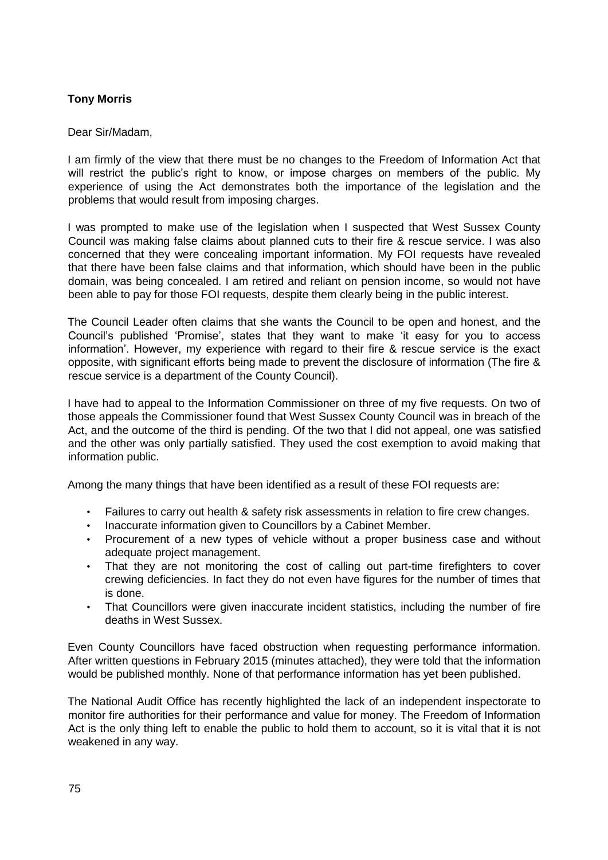# **Tony Morris**

### Dear Sir/Madam,

I am firmly of the view that there must be no changes to the Freedom of Information Act that will restrict the public's right to know, or impose charges on members of the public. My experience of using the Act demonstrates both the importance of the legislation and the problems that would result from imposing charges.

I was prompted to make use of the legislation when I suspected that West Sussex County Council was making false claims about planned cuts to their fire & rescue service. I was also concerned that they were concealing important information. My FOI requests have revealed that there have been false claims and that information, which should have been in the public domain, was being concealed. I am retired and reliant on pension income, so would not have been able to pay for those FOI requests, despite them clearly being in the public interest.

The Council Leader often claims that she wants the Council to be open and honest, and the Council's published 'Promise', states that they want to make 'it easy for you to access information'. However, my experience with regard to their fire & rescue service is the exact opposite, with significant efforts being made to prevent the disclosure of information (The fire & rescue service is a department of the County Council).

I have had to appeal to the Information Commissioner on three of my five requests. On two of those appeals the Commissioner found that West Sussex County Council was in breach of the Act, and the outcome of the third is pending. Of the two that I did not appeal, one was satisfied and the other was only partially satisfied. They used the cost exemption to avoid making that information public.

Among the many things that have been identified as a result of these FOI requests are:

- Failures to carry out health & safety risk assessments in relation to fire crew changes.
- Inaccurate information given to Councillors by a Cabinet Member.
- Procurement of a new types of vehicle without a proper business case and without adequate project management.
- That they are not monitoring the cost of calling out part-time firefighters to cover crewing deficiencies. In fact they do not even have figures for the number of times that is done.
- That Councillors were given inaccurate incident statistics, including the number of fire deaths in West Sussex.

Even County Councillors have faced obstruction when requesting performance information. After written questions in February 2015 (minutes attached), they were told that the information would be published monthly. None of that performance information has yet been published.

The National Audit Office has recently highlighted the lack of an independent inspectorate to monitor fire authorities for their performance and value for money. The Freedom of Information Act is the only thing left to enable the public to hold them to account, so it is vital that it is not weakened in any way.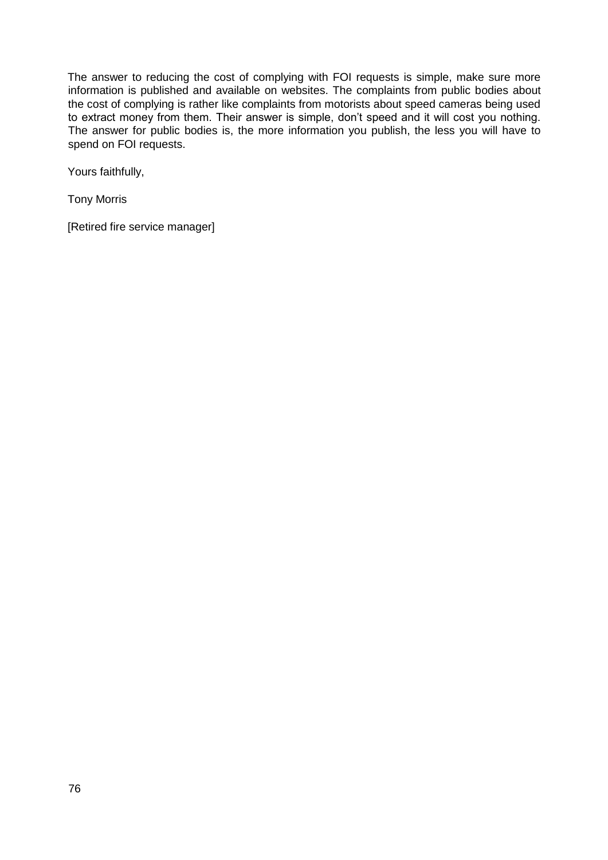The answer to reducing the cost of complying with FOI requests is simple, make sure more information is published and available on websites. The complaints from public bodies about the cost of complying is rather like complaints from motorists about speed cameras being used to extract money from them. Their answer is simple, don't speed and it will cost you nothing. The answer for public bodies is, the more information you publish, the less you will have to spend on FOI requests.

Yours faithfully,

Tony Morris

[Retired fire service manager]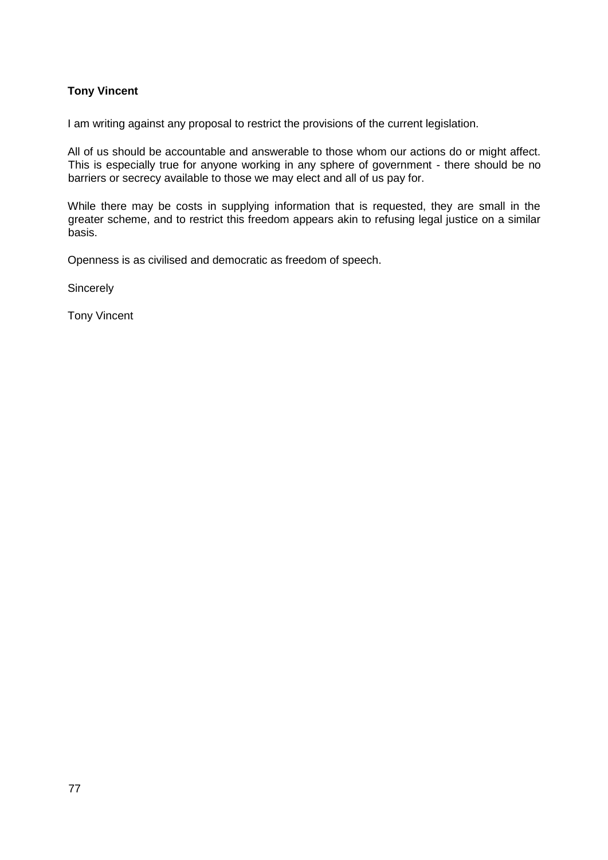# **Tony Vincent**

I am writing against any proposal to restrict the provisions of the current legislation.

All of us should be accountable and answerable to those whom our actions do or might affect. This is especially true for anyone working in any sphere of government - there should be no barriers or secrecy available to those we may elect and all of us pay for.

While there may be costs in supplying information that is requested, they are small in the greater scheme, and to restrict this freedom appears akin to refusing legal justice on a similar basis.

Openness is as civilised and democratic as freedom of speech.

**Sincerely** 

Tony Vincent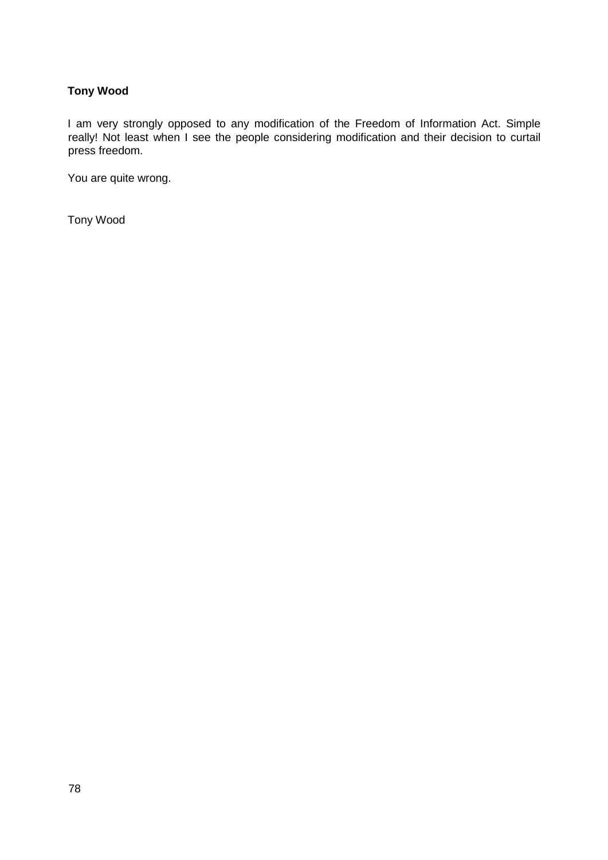# **Tony Wood**

I am very strongly opposed to any modification of the Freedom of Information Act. Simple really! Not least when I see the people considering modification and their decision to curtail press freedom.

You are quite wrong.

Tony Wood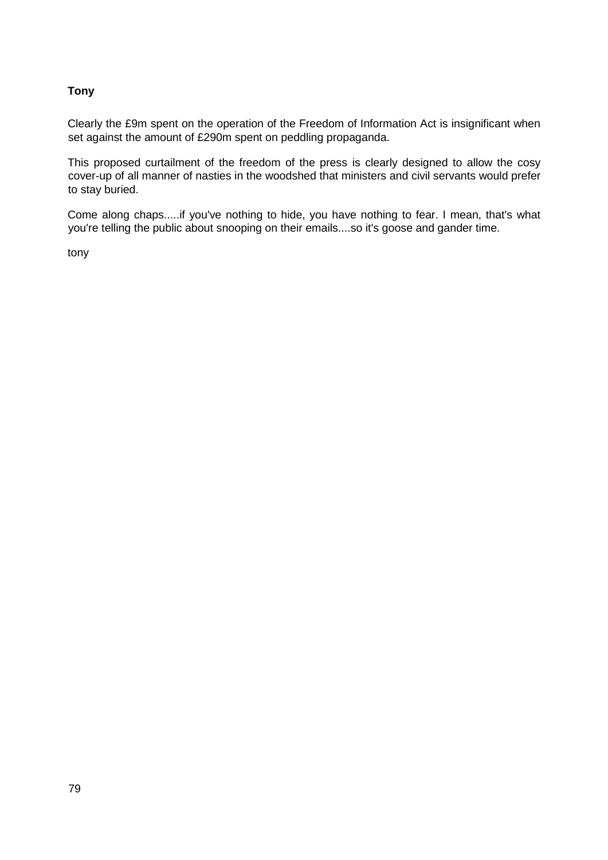## **Tony**

Clearly the £9m spent on the operation of the Freedom of Information Act is insignificant when set against the amount of £290m spent on peddling propaganda.

This proposed curtailment of the freedom of the press is clearly designed to allow the cosy cover-up of all manner of nasties in the woodshed that ministers and civil servants would prefer to stay buried.

Come along chaps.....if you've nothing to hide, you have nothing to fear. I mean, that's what you're telling the public about snooping on their emails....so it's goose and gander time.

tony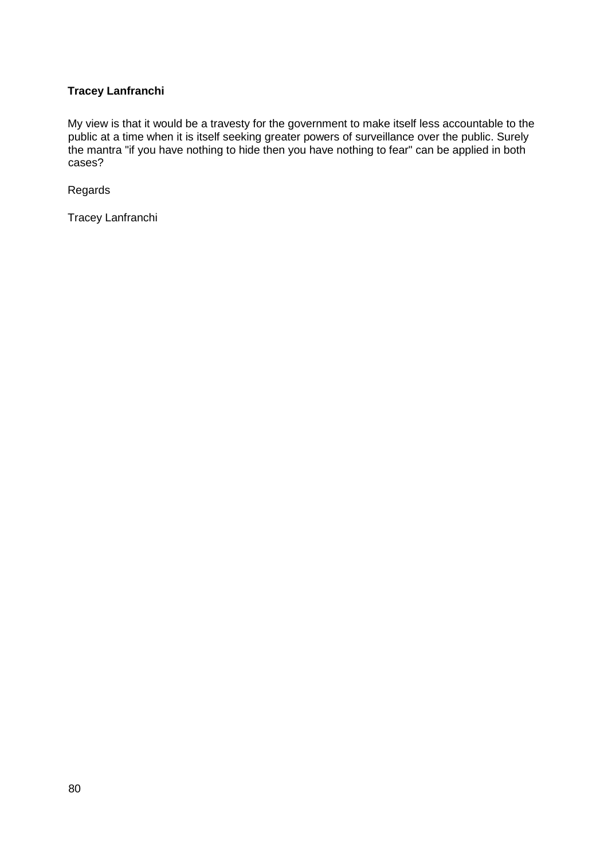# **Tracey Lanfranchi**

My view is that it would be a travesty for the government to make itself less accountable to the public at a time when it is itself seeking greater powers of surveillance over the public. Surely the mantra "if you have nothing to hide then you have nothing to fear" can be applied in both cases?

Regards

Tracey Lanfranchi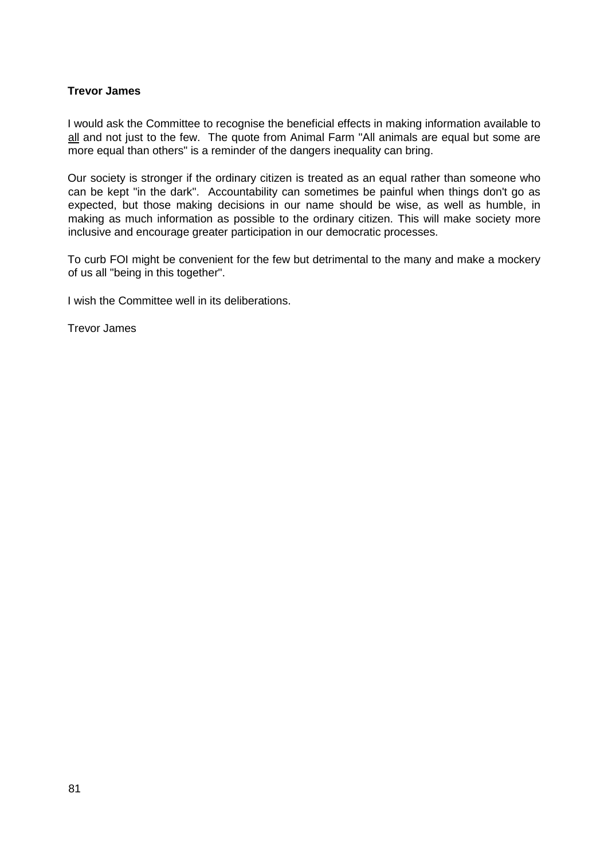### **Trevor James**

I would ask the Committee to recognise the beneficial effects in making information available to all and not just to the few. The quote from Animal Farm "All animals are equal but some are more equal than others" is a reminder of the dangers inequality can bring.

Our society is stronger if the ordinary citizen is treated as an equal rather than someone who can be kept "in the dark". Accountability can sometimes be painful when things don't go as expected, but those making decisions in our name should be wise, as well as humble, in making as much information as possible to the ordinary citizen. This will make society more inclusive and encourage greater participation in our democratic processes.

To curb FOI might be convenient for the few but detrimental to the many and make a mockery of us all "being in this together".

I wish the Committee well in its deliberations.

Trevor James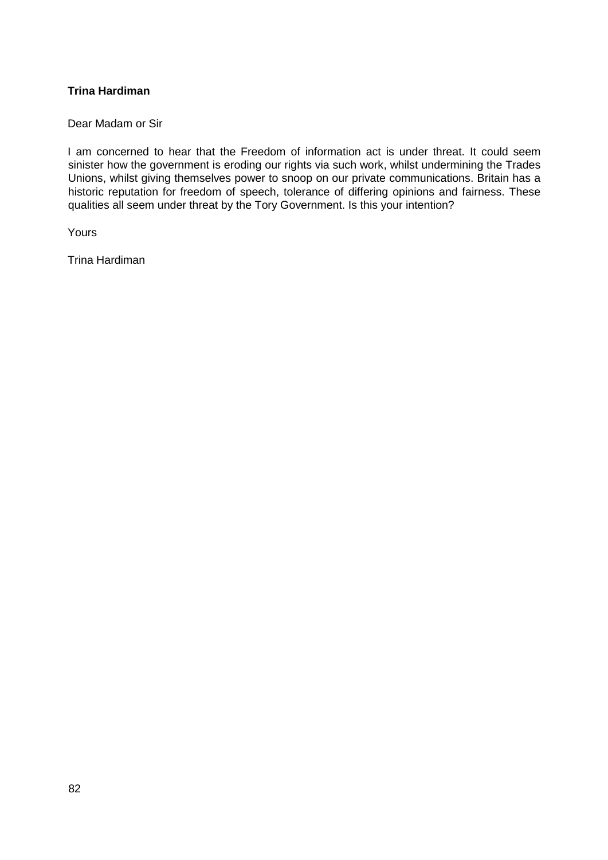## **Trina Hardiman**

Dear Madam or Sir

I am concerned to hear that the Freedom of information act is under threat. It could seem sinister how the government is eroding our rights via such work, whilst undermining the Trades Unions, whilst giving themselves power to snoop on our private communications. Britain has a historic reputation for freedom of speech, tolerance of differing opinions and fairness. These qualities all seem under threat by the Tory Government. Is this your intention?

Yours

Trina Hardiman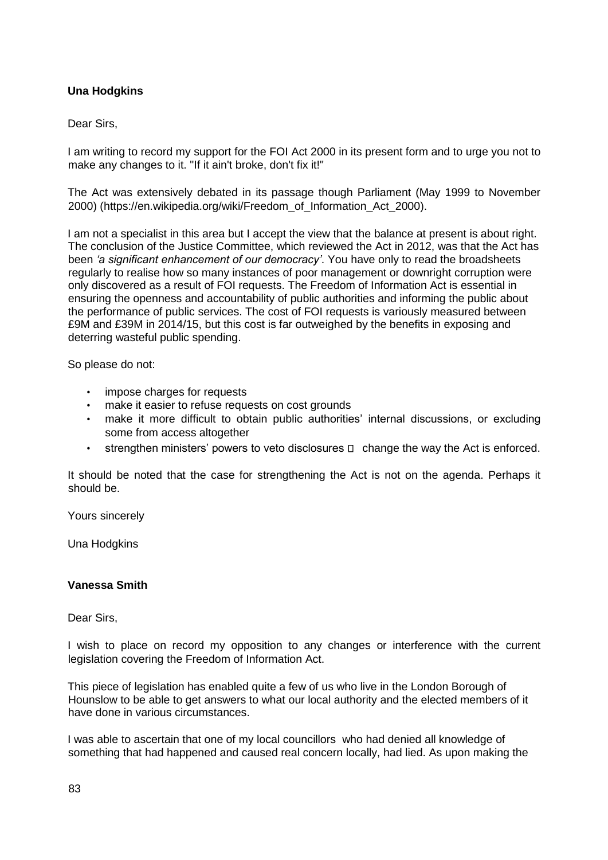## **Una Hodgkins**

#### Dear Sirs,

I am writing to record my support for the FOI Act 2000 in its present form and to urge you not to make any changes to it. "If it ain't broke, don't fix it!"

The Act was extensively debated in its passage though Parliament (May 1999 to November 2000) [\(https://en.wikipedia.org/wiki/Freedom\\_of\\_Information\\_Act\\_2000\).](https://en.wikipedia.org/wiki/Freedom_of_Information_Act_2000)

I am not a specialist in this area but I accept the view that the balance at present is about right. The conclusion of the Justice Committee, which reviewed the Act in 2012, was that the Act has been *'a significant enhancement of our democracy'*. You have only to read the broadsheets regularly to realise how so many instances of poor management or downright corruption were only discovered as a result of FOI requests. The Freedom of Information Act is essential in ensuring the openness and accountability of public authorities and informing the public about the performance of public services. The cost of FOI requests is variously measured between £9M and £39M in 2014/15, but this cost is far outweighed by the benefits in exposing and deterring wasteful public spending.

So please do not:

- impose charges for requests
- make it easier to refuse requests on cost grounds
- make it more difficult to obtain public authorities' internal discussions, or excluding some from access altogether
- $\cdot$  strengthen ministers' powers to veto disclosures  $\Box$  change the way the Act is enforced.

It should be noted that the case for strengthening the Act is not on the agenda. Perhaps it should be.

Yours sincerely

Una Hodgkins

#### **Vanessa Smith**

Dear Sirs,

I wish to place on record my opposition to any changes or interference with the current legislation covering the Freedom of Information Act.

This piece of legislation has enabled quite a few of us who live in the London Borough of Hounslow to be able to get answers to what our local authority and the elected members of it have done in various circumstances.

I was able to ascertain that one of my local councillors who had denied all knowledge of something that had happened and caused real concern locally, had lied. As upon making the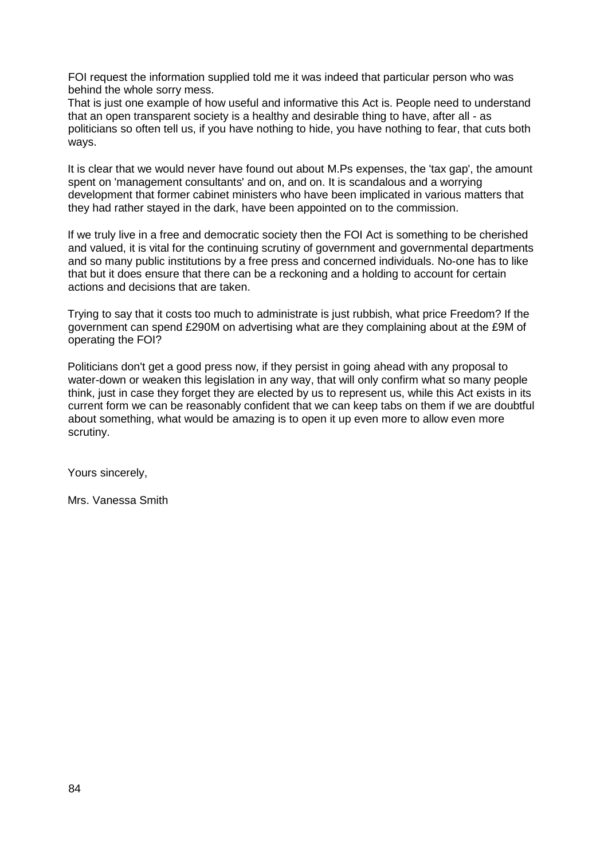FOI request the information supplied told me it was indeed that particular person who was behind the whole sorry mess.

That is just one example of how useful and informative this Act is. People need to understand that an open transparent society is a healthy and desirable thing to have, after all - as politicians so often tell us, if you have nothing to hide, you have nothing to fear, that cuts both ways.

It is clear that we would never have found out about M.Ps expenses, the 'tax gap', the amount spent on 'management consultants' and on, and on. It is scandalous and a worrying development that former cabinet ministers who have been implicated in various matters that they had rather stayed in the dark, have been appointed on to the commission.

If we truly live in a free and democratic society then the FOI Act is something to be cherished and valued, it is vital for the continuing scrutiny of government and governmental departments and so many public institutions by a free press and concerned individuals. No-one has to like that but it does ensure that there can be a reckoning and a holding to account for certain actions and decisions that are taken.

Trying to say that it costs too much to administrate is just rubbish, what price Freedom? If the government can spend £290M on advertising what are they complaining about at the £9M of operating the FOI?

Politicians don't get a good press now, if they persist in going ahead with any proposal to water-down or weaken this legislation in any way, that will only confirm what so many people think, just in case they forget they are elected by us to represent us, while this Act exists in its current form we can be reasonably confident that we can keep tabs on them if we are doubtful about something, what would be amazing is to open it up even more to allow even more scrutiny.

Yours sincerely,

Mrs. Vanessa Smith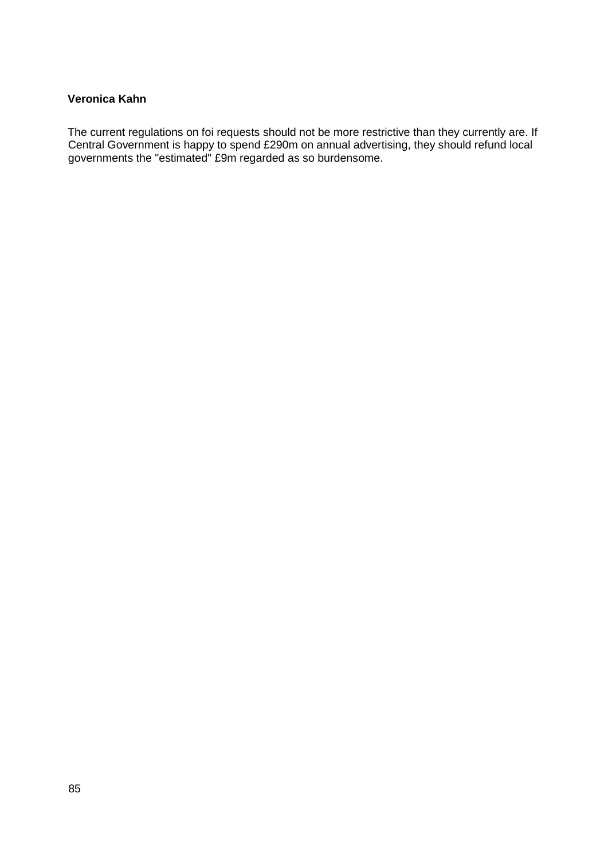### **Veronica Kahn**

The current regulations on foi requests should not be more restrictive than they currently are. If Central Government is happy to spend £290m on annual advertising, they should refund local governments the "estimated" £9m regarded as so burdensome.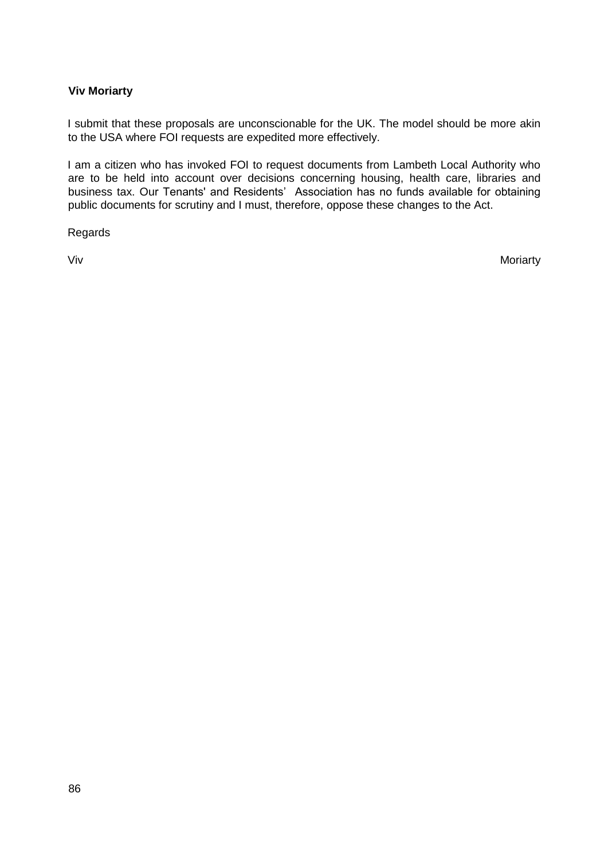### **Viv Moriarty**

I submit that these proposals are unconscionable for the UK. The model should be more akin to the USA where FOI requests are expedited more effectively.

I am a citizen who has invoked FOI to request documents from Lambeth Local Authority who are to be held into account over decisions concerning housing, health care, libraries and business tax. Our Tenants' and Residents' Association has no funds available for obtaining public documents for scrutiny and I must, therefore, oppose these changes to the Act.

Regards

Viv Moriarty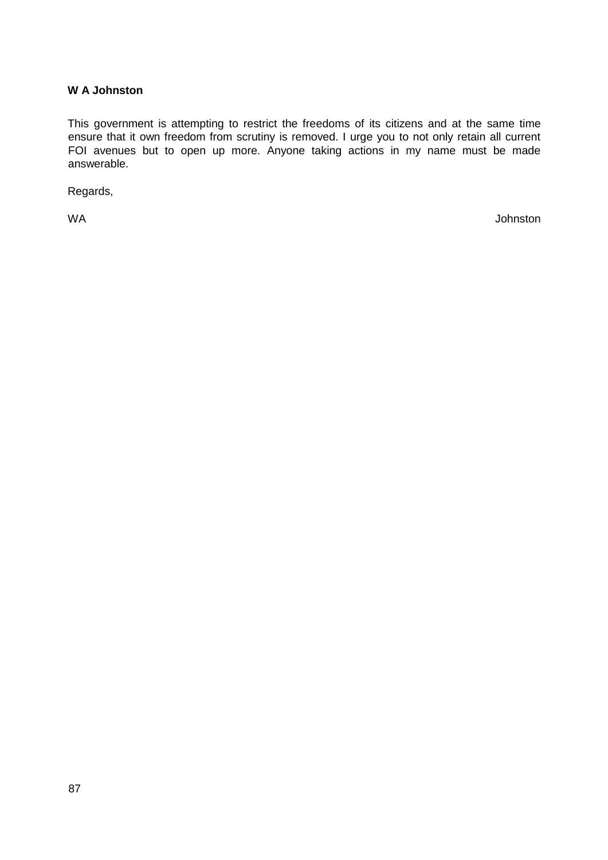### **W A Johnston**

This government is attempting to restrict the freedoms of its citizens and at the same time ensure that it own freedom from scrutiny is removed. I urge you to not only retain all current FOI avenues but to open up more. Anyone taking actions in my name must be made answerable.

Regards,

WA Johnston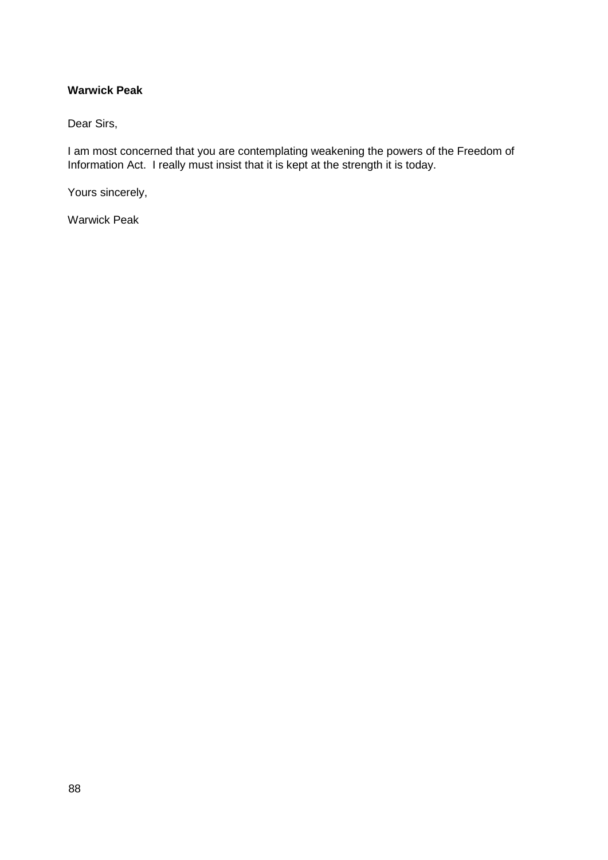### **Warwick Peak**

Dear Sirs,

I am most concerned that you are contemplating weakening the powers of the Freedom of Information Act. I really must insist that it is kept at the strength it is today.

Yours sincerely,

Warwick Peak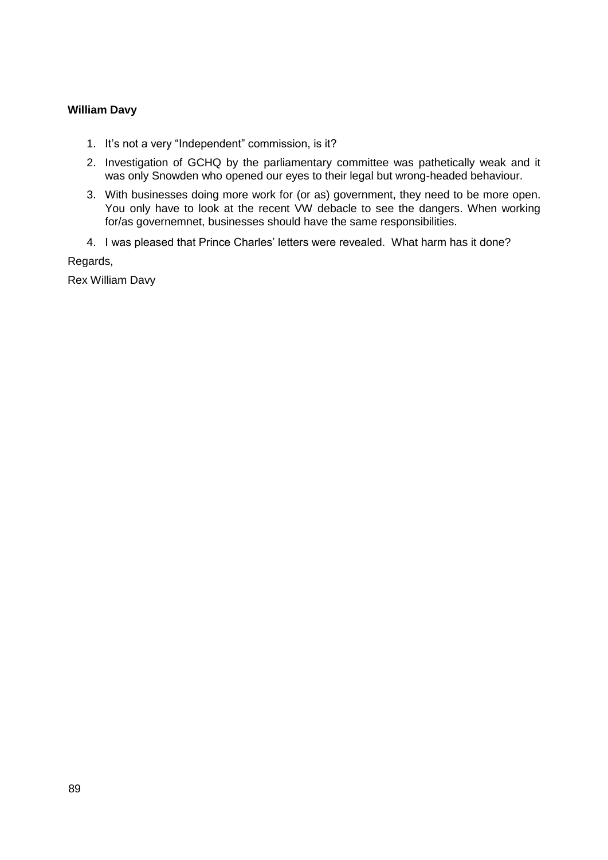### **William Davy**

- 1. It's not a very "Independent" commission, is it?
- 2. Investigation of GCHQ by the parliamentary committee was pathetically weak and it was only Snowden who opened our eyes to their legal but wrong-headed behaviour.
- 3. With businesses doing more work for (or as) government, they need to be more open. You only have to look at the recent VW debacle to see the dangers. When working for/as governemnet, businesses should have the same responsibilities.
- 4. I was pleased that Prince Charles' letters were revealed. What harm has it done?

Regards,

Rex William Davy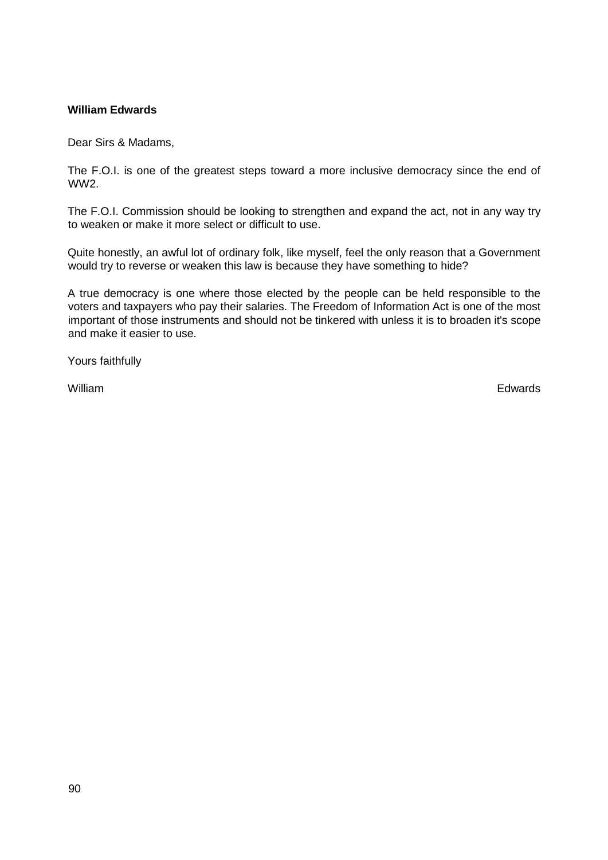### **William Edwards**

Dear Sirs & Madams,

The F.O.I. is one of the greatest steps toward a more inclusive democracy since the end of WW2.

The F.O.I. Commission should be looking to strengthen and expand the act, not in any way try to weaken or make it more select or difficult to use.

Quite honestly, an awful lot of ordinary folk, like myself, feel the only reason that a Government would try to reverse or weaken this law is because they have something to hide?

A true democracy is one where those elected by the people can be held responsible to the voters and taxpayers who pay their salaries. The Freedom of Information Act is one of the most important of those instruments and should not be tinkered with unless it is to broaden it's scope and make it easier to use.

Yours faithfully

William Edwards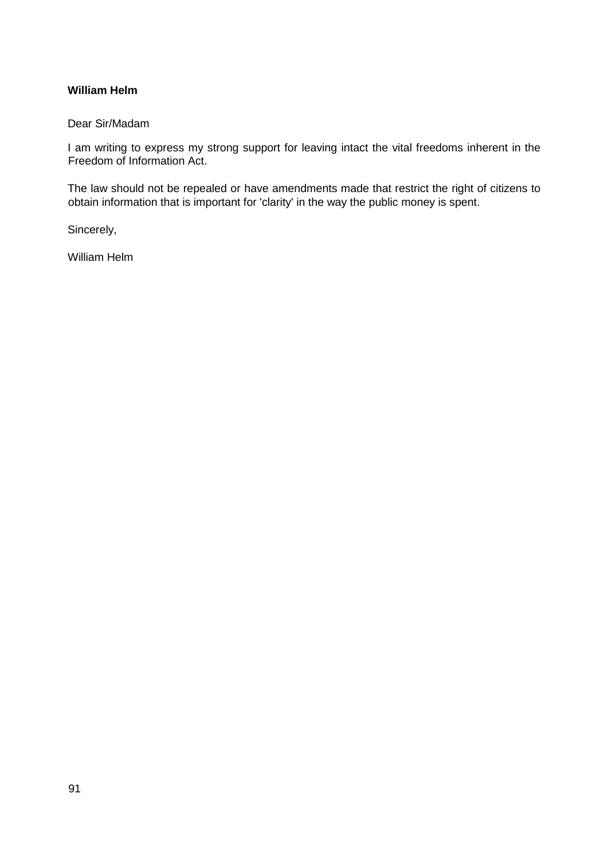### **William Helm**

#### Dear Sir/Madam

I am writing to express my strong support for leaving intact the vital freedoms inherent in the Freedom of Information Act.

The law should not be repealed or have amendments made that restrict the right of citizens to obtain information that is important for 'clarity' in the way the public money is spent.

Sincerely,

William Helm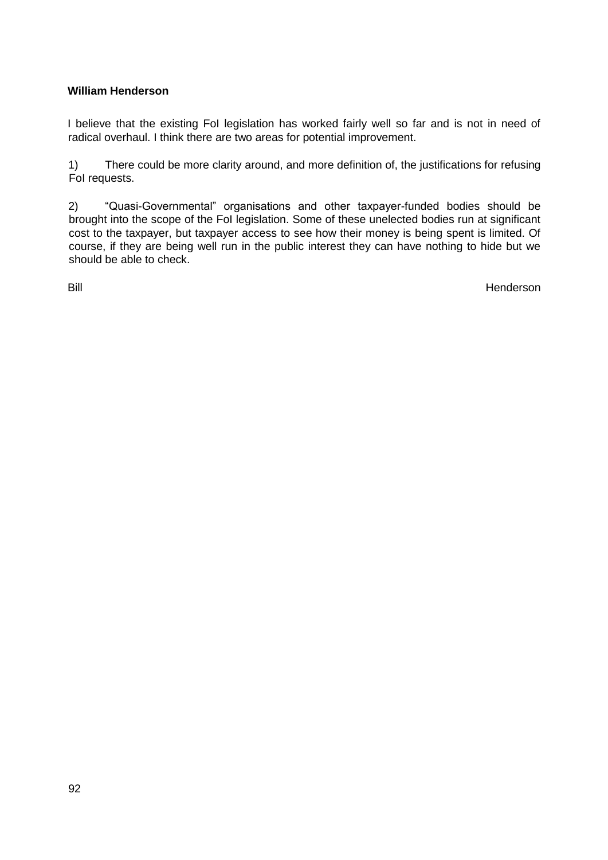## **William Henderson**

I believe that the existing FoI legislation has worked fairly well so far and is not in need of radical overhaul. I think there are two areas for potential improvement.

1) There could be more clarity around, and more definition of, the justifications for refusing FoI requests.

2) "Quasi-Governmental" organisations and other taxpayer-funded bodies should be brought into the scope of the FoI legislation. Some of these unelected bodies run at significant cost to the taxpayer, but taxpayer access to see how their money is being spent is limited. Of course, if they are being well run in the public interest they can have nothing to hide but we should be able to check.

Bill Henderson